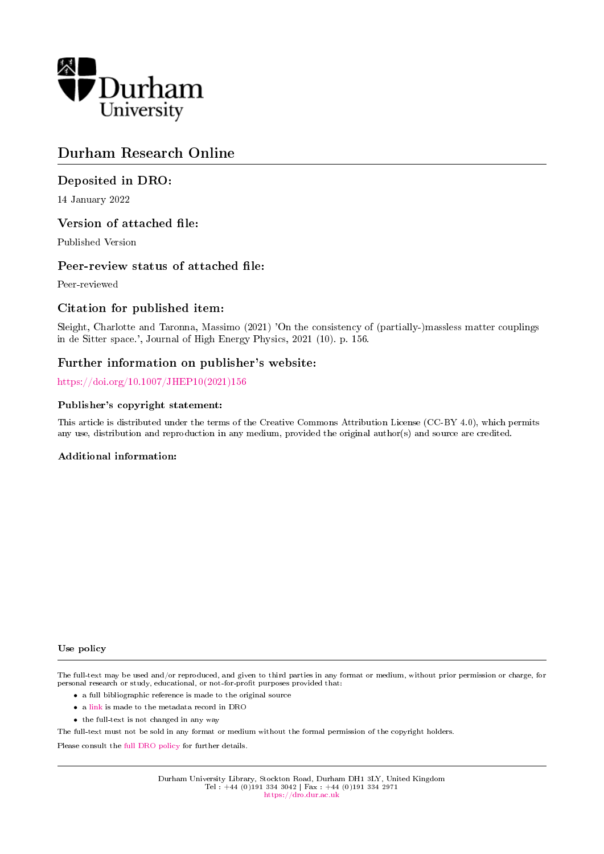

# Durham Research Online

# Deposited in DRO:

14 January 2022

# Version of attached file:

Published Version

# Peer-review status of attached file:

Peer-reviewed

# Citation for published item:

Sleight, Charlotte and Taronna, Massimo (2021) 'On the consistency of (partially-)massless matter couplings in de Sitter space.', Journal of High Energy Physics, 2021 (10). p. 156.

# Further information on publisher's website:

[https://doi.org/10.1007/JHEP10\(2021\)156](https://doi.org/10.1007/JHEP10(2021)156)

# Publisher's copyright statement:

This article is distributed under the terms of the Creative Commons Attribution License (CC-BY 4.0), which permits any use, distribution and reproduction in any medium, provided the original author(s) and source are credited.

## Additional information:

#### Use policy

The full-text may be used and/or reproduced, and given to third parties in any format or medium, without prior permission or charge, for personal research or study, educational, or not-for-profit purposes provided that:

- a full bibliographic reference is made to the original source
- a [link](http://dro.dur.ac.uk/35050/) is made to the metadata record in DRO
- the full-text is not changed in any way

The full-text must not be sold in any format or medium without the formal permission of the copyright holders.

Please consult the [full DRO policy](https://dro.dur.ac.uk/policies/usepolicy.pdf) for further details.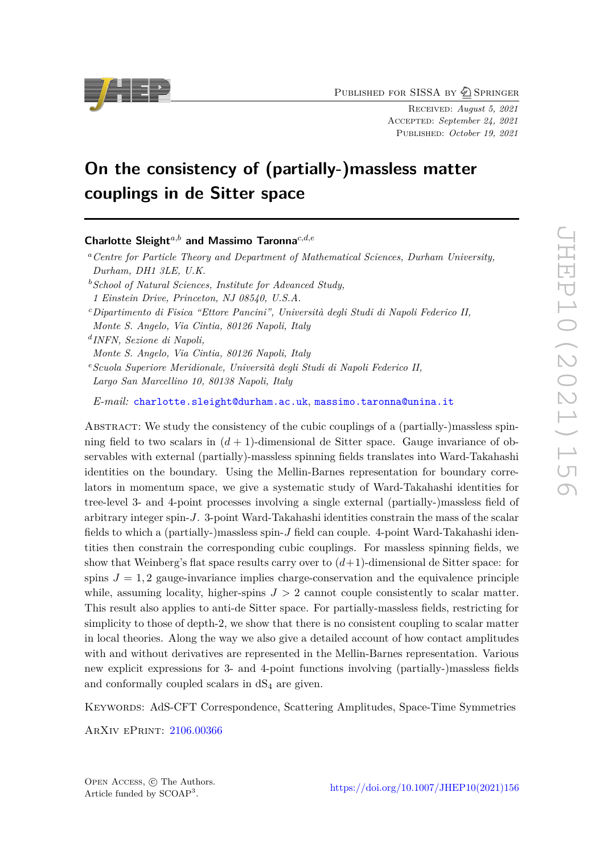PUBLISHED FOR SISSA BY 2 SPRINGER

Received: *August 5, 2021* Accepted: *September 24, 2021* Published: *October 19, 2021*

# **On the consistency of (partially-)massless matter couplings in de Sitter space**

**Charlotte Sleight***a,b* **and Massimo Taronna***c,d,e*

*<sup>a</sup>Centre for Particle Theory and Department of Mathematical Sciences, Durham University, Durham, DH1 3LE, U.K.*

*<sup>b</sup>School of Natural Sciences, Institute for Advanced Study,*

*1 Einstein Drive, Princeton, NJ 08540, U.S.A.*

*<sup>c</sup>Dipartimento di Fisica "Ettore Pancini", Università degli Studi di Napoli Federico II,*

*Monte S. Angelo, Via Cintia, 80126 Napoli, Italy*

*d INFN, Sezione di Napoli,*

*Monte S. Angelo, Via Cintia, 80126 Napoli, Italy*

*<sup>e</sup>Scuola Superiore Meridionale, Università degli Studi di Napoli Federico II, Largo San Marcellino 10, 80138 Napoli, Italy*

*E-mail:* [charlotte.sleight@durham.ac.uk](mailto:charlotte.sleight@durham.ac.uk), [massimo.taronna@unina.it](mailto:massimo.taronna@unina.it)

ABSTRACT: We study the consistency of the cubic couplings of a (partially-)massless spinning field to two scalars in  $(d+1)$ -dimensional de Sitter space. Gauge invariance of observables with external (partially)-massless spinning fields translates into Ward-Takahashi identities on the boundary. Using the Mellin-Barnes representation for boundary correlators in momentum space, we give a systematic study of Ward-Takahashi identities for tree-level 3- and 4-point processes involving a single external (partially-)massless field of arbitrary integer spin-*J*. 3-point Ward-Takahashi identities constrain the mass of the scalar fields to which a (partially-)massless spin-*J* field can couple. 4-point Ward-Takahashi identities then constrain the corresponding cubic couplings. For massless spinning fields, we show that Weinberg's flat space results carry over to  $(d+1)$ -dimensional de Sitter space: for spins  $J = 1, 2$  gauge-invariance implies charge-conservation and the equivalence principle while, assuming locality, higher-spins  $J > 2$  cannot couple consistently to scalar matter. This result also applies to anti-de Sitter space. For partially-massless fields, restricting for simplicity to those of depth-2, we show that there is no consistent coupling to scalar matter in local theories. Along the way we also give a detailed account of how contact amplitudes with and without derivatives are represented in the Mellin-Barnes representation. Various new explicit expressions for 3- and 4-point functions involving (partially-)massless fields and conformally coupled scalars in  $dS_4$  are given.

Keywords: AdS-CFT Correspondence, Scattering Amplitudes, Space-Time Symmetries

ArXiv ePrint: [2106.00366](https://arxiv.org/abs/2106.00366)



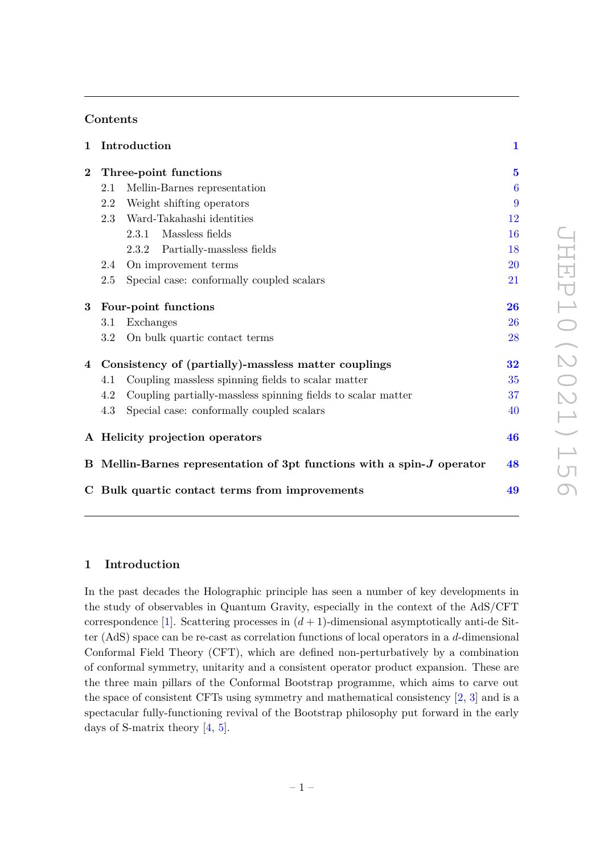# **Contents**

| 1        |                                                                        | Introduction                                                 | $\mathbf{1}$            |
|----------|------------------------------------------------------------------------|--------------------------------------------------------------|-------------------------|
| $\bf{2}$ | Three-point functions                                                  |                                                              | $\overline{\mathbf{5}}$ |
|          | 2.1                                                                    | Mellin-Barnes representation                                 | $\boldsymbol{6}$        |
|          | 2.2                                                                    | Weight shifting operators                                    | 9                       |
|          | 2.3                                                                    | Ward-Takahashi identities                                    | 12                      |
|          |                                                                        | 2.3.1<br>Massless fields                                     | 16                      |
|          |                                                                        | 2.3.2 Partially-massless fields                              | 18                      |
|          | 2.4                                                                    | On improvement terms                                         | 20                      |
|          | 2.5                                                                    | Special case: conformally coupled scalars                    | 21                      |
| $\bf{3}$ | Four-point functions                                                   |                                                              | 26                      |
|          | 3.1                                                                    | Exchanges                                                    | 26                      |
|          | 3.2                                                                    | On bulk quartic contact terms                                | 28                      |
| 4        | Consistency of (partially)-massless matter couplings                   |                                                              | 32                      |
|          | 4.1                                                                    | Coupling massless spinning fields to scalar matter           | 35                      |
|          | 4.2                                                                    | Coupling partially-massless spinning fields to scalar matter | 37                      |
|          | 4.3                                                                    | Special case: conformally coupled scalars                    | 40                      |
|          |                                                                        | A Helicity projection operators                              | 46                      |
|          | B Mellin-Barnes representation of 3pt functions with a spin-J operator |                                                              | 48                      |
|          |                                                                        | C Bulk quartic contact terms from improvements               | 49                      |

# <span id="page-2-0"></span>**1 Introduction**

In the past decades the Holographic principle has seen a number of key developments in the study of observables in Quantum Gravity, especially in the context of the AdS/CFT correspondence [\[1\]](#page-52-0). Scattering processes in  $(d + 1)$ -dimensional asymptotically anti-de Sitter (AdS) space can be re-cast as correlation functions of local operators in a *d*-dimensional Conformal Field Theory (CFT), which are defined non-perturbatively by a combination of conformal symmetry, unitarity and a consistent operator product expansion. These are the three main pillars of the Conformal Bootstrap programme, which aims to carve out the space of consistent CFTs using symmetry and mathematical consistency  $[2, 3]$  $[2, 3]$  $[2, 3]$  and is a spectacular fully-functioning revival of the Bootstrap philosophy put forward in the early days of S-matrix theory [\[4,](#page-53-0) [5\]](#page-53-1).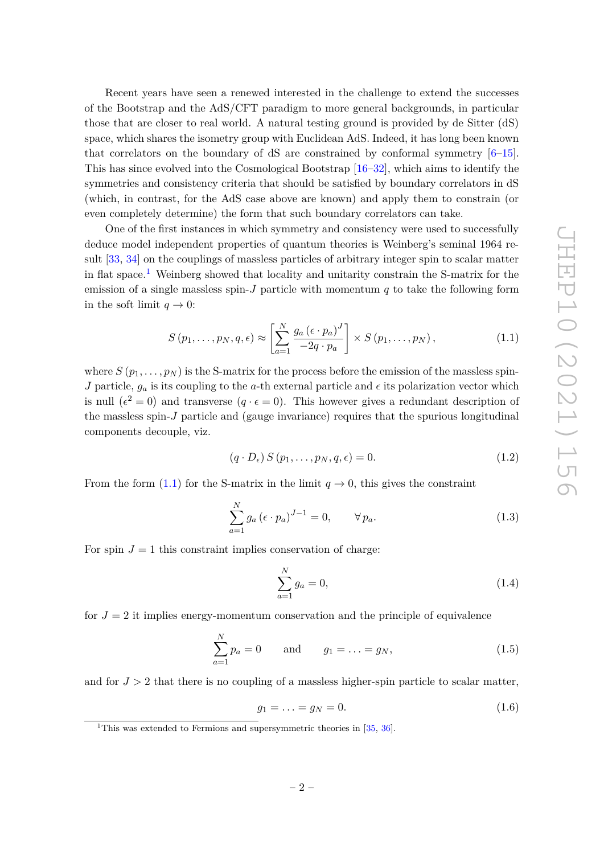Recent years have seen a renewed interested in the challenge to extend the successes of the Bootstrap and the AdS/CFT paradigm to more general backgrounds, in particular those that are closer to real world. A natural testing ground is provided by de Sitter (dS) space, which shares the isometry group with Euclidean AdS. Indeed, it has long been known that correlators on the boundary of  $\text{dS}$  are constrained by conformal symmetry  $[6-15]$  $[6-15]$ . This has since evolved into the Cosmological Bootstrap [\[16–](#page-53-4)[32\]](#page-54-0), which aims to identify the symmetries and consistency criteria that should be satisfied by boundary correlators in dS (which, in contrast, for the AdS case above are known) and apply them to constrain (or even completely determine) the form that such boundary correlators can take.

One of the first instances in which symmetry and consistency were used to successfully deduce model independent properties of quantum theories is Weinberg's seminal 1964 result [\[33,](#page-54-1) [34\]](#page-54-2) on the couplings of massless particles of arbitrary integer spin to scalar matter in flat space.<sup>[1](#page-3-0)</sup> Weinberg showed that locality and unitarity constrain the S-matrix for the emission of a single massless spin-*J* particle with momentum *q* to take the following form in the soft limit  $q \to 0$ :

<span id="page-3-1"></span>
$$
S(p_1, \ldots, p_N, q, \epsilon) \approx \left[ \sum_{a=1}^N \frac{g_a \left( \epsilon \cdot p_a \right)^J}{-2q \cdot p_a} \right] \times S(p_1, \ldots, p_N), \qquad (1.1)
$$

where  $S(p_1, \ldots, p_N)$  is the S-matrix for the process before the emission of the massless spin-*J* particle,  $g_a$  is its coupling to the *a*-th external particle and  $\epsilon$  its polarization vector which is null  $(\epsilon^2 = 0)$  and transverse  $(q \cdot \epsilon = 0)$ . This however gives a redundant description of the massless spin-*J* particle and (gauge invariance) requires that the spurious longitudinal components decouple, viz.

<span id="page-3-2"></span>
$$
(q \cdot D_{\epsilon}) S(p_1, \dots, p_N, q, \epsilon) = 0.
$$
\n
$$
(1.2)
$$

From the form [\(1.1\)](#page-3-1) for the S-matrix in the limit  $q \to 0$ , this gives the constraint

$$
\sum_{a=1}^{N} g_a \left(\epsilon \cdot p_a\right)^{J-1} = 0, \qquad \forall p_a.
$$
\n(1.3)

For spin  $J = 1$  this constraint implies conservation of charge:

<span id="page-3-3"></span>
$$
\sum_{a=1}^{N} g_a = 0,\t\t(1.4)
$$

for  $J = 2$  it implies energy-momentum conservation and the principle of equivalence

<span id="page-3-4"></span>
$$
\sum_{a=1}^{N} p_a = 0 \quad \text{and} \quad g_1 = \dots = g_N,
$$
\n(1.5)

and for  $J > 2$  that there is no coupling of a massless higher-spin particle to scalar matter,

<span id="page-3-5"></span>
$$
g_1 = \ldots = g_N = 0. \tag{1.6}
$$

<span id="page-3-0"></span><sup>&</sup>lt;sup>1</sup>This was extended to Fermions and supersymmetric theories in  $[35, 36]$  $[35, 36]$  $[35, 36]$ .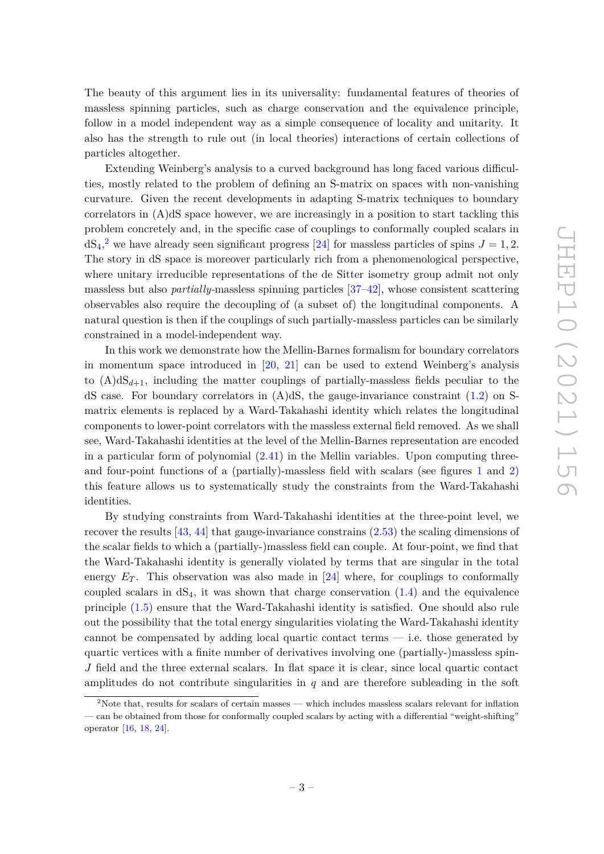The beauty of this argument lies in its universality: fundamental features of theories of massless spinning particles, such as charge conservation and the equivalence principle, follow in a model independent way as a simple consequence of locality and unitarity. It also has the strength to rule out (in local theories) interactions of certain collections of particles altogether.

Extending Weinberg's analysis to a curved background has long faced various difficulties, mostly related to the problem of defining an S-matrix on spaces with non-vanishing curvature. Given the recent developments in adapting S-matrix techniques to boundary correlators in (A)dS space however, we are increasingly in a position to start tackling this problem concretely and, in the specific case of couplings to conformally coupled scalars in  $dS_4$ <sup>[2](#page-4-0)</sup>, we have already seen significant progress [\[24\]](#page-54-5) for massless particles of spins  $J = 1, 2$ . The story in dS space is moreover particularly rich from a phenomenological perspective, where unitary irreducible representations of the de Sitter isometry group admit not only massless but also *partially-*massless spinning particles [\[37](#page-54-6)[–42\]](#page-54-7), whose consistent scattering observables also require the decoupling of (a subset of) the longitudinal components. A natural question is then if the couplings of such partially-massless particles can be similarly constrained in a model-independent way.

In this work we demonstrate how the Mellin-Barnes formalism for boundary correlators in momentum space introduced in [\[20,](#page-53-5) [21\]](#page-53-6) can be used to extend Weinberg's analysis to  $(A)dS_{d+1}$ , including the matter couplings of partially-massless fields peculiar to the dS case. For boundary correlators in  $(A)dS$ , the gauge-invariance constraint  $(1.2)$  on Smatrix elements is replaced by a Ward-Takahashi identity which relates the longitudinal components to lower-point correlators with the massless external field removed. As we shall see, Ward-Takahashi identities at the level of the Mellin-Barnes representation are encoded in a particular form of polynomial [\(2.41\)](#page-16-0) in the Mellin variables. Upon computing threeand four-point functions of a (partially)-massless field with scalars (see figures [1](#page-14-0) and [2\)](#page-33-1) this feature allows us to systematically study the constraints from the Ward-Takahashi identities.

By studying constraints from Ward-Takahashi identities at the three-point level, we recover the results  $[43, 44]$  $[43, 44]$  $[43, 44]$  that gauge-invariance constrains  $(2.53)$  the scaling dimensions of the scalar fields to which a (partially-)massless field can couple. At four-point, we find that the Ward-Takahashi identity is generally violated by terms that are singular in the total energy  $E_T$ . This observation was also made in [\[24\]](#page-54-5) where, for couplings to conformally coupled scalars in  $dS_4$ , it was shown that charge conservation  $(1.4)$  and the equivalence principle [\(1.5\)](#page-3-4) ensure that the Ward-Takahashi identity is satisfied. One should also rule out the possibility that the total energy singularities violating the Ward-Takahashi identity cannot be compensated by adding local quartic contact terms — i.e. those generated by quartic vertices with a finite number of derivatives involving one (partially-)massless spin-*J* field and the three external scalars. In flat space it is clear, since local quartic contact amplitudes do not contribute singularities in *q* and are therefore subleading in the soft

<span id="page-4-0"></span><sup>&</sup>lt;sup>2</sup>Note that, results for scalars of certain masses — which includes massless scalars relevant for inflation — can be obtained from those for conformally coupled scalars by acting with a differential "weight-shifting" operator [\[16,](#page-53-4) [18,](#page-53-7) [24\]](#page-54-5).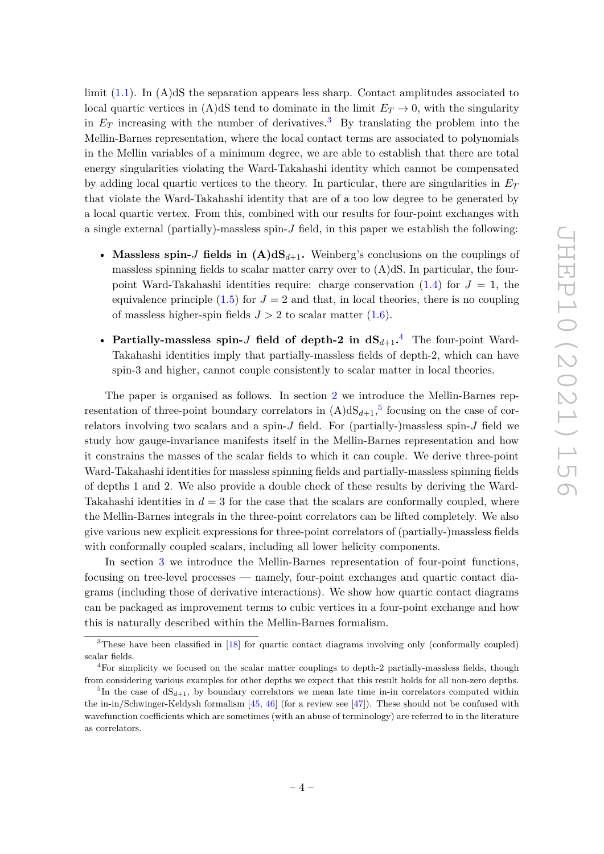limit [\(1.1\)](#page-3-1). In (A)dS the separation appears less sharp. Contact amplitudes associated to local quartic vertices in (A)dS tend to dominate in the limit  $E_T \rightarrow 0$ , with the singularity in  $E_T$  increasing with the number of derivatives.<sup>[3](#page-5-0)</sup> By translating the problem into the Mellin-Barnes representation, where the local contact terms are associated to polynomials in the Mellin variables of a minimum degree, we are able to establish that there are total energy singularities violating the Ward-Takahashi identity which cannot be compensated by adding local quartic vertices to the theory. In particular, there are singularities in  $E_T$ that violate the Ward-Takahashi identity that are of a too low degree to be generated by a local quartic vertex. From this, combined with our results for four-point exchanges with a single external (partially)-massless spin-*J* field, in this paper we establish the following:

- Massless spin-*J* fields in  $(A)dS_{d+1}$ . Weinberg's conclusions on the couplings of massless spinning fields to scalar matter carry over to  $(A)dS$ . In particular, the fourpoint Ward-Takahashi identities require: charge conservation  $(1.4)$  for  $J = 1$ , the equivalence principle  $(1.5)$  for  $J = 2$  and that, in local theories, there is no coupling of massless higher-spin fields  $J > 2$  to scalar matter  $(1.6)$ .
- **Partially-massless spin-***J* **field of depth-2 in dS***d*+1**.** [4](#page-5-1) The four-point Ward-Takahashi identities imply that partially-massless fields of depth-2, which can have spin-3 and higher, cannot couple consistently to scalar matter in local theories.

The paper is organised as follows. In section [2](#page-6-0) we introduce the Mellin-Barnes representation of three-point boundary correlators in  $(A)dS_{d+1}$ , <sup>[5](#page-5-2)</sup> focusing on the case of correlators involving two scalars and a spin-*J* field. For (partially-)massless spin-*J* field we study how gauge-invariance manifests itself in the Mellin-Barnes representation and how it constrains the masses of the scalar fields to which it can couple. We derive three-point Ward-Takahashi identities for massless spinning fields and partially-massless spinning fields of depths 1 and 2. We also provide a double check of these results by deriving the Ward-Takahashi identities in  $d = 3$  for the case that the scalars are conformally coupled, where the Mellin-Barnes integrals in the three-point correlators can be lifted completely. We also give various new explicit expressions for three-point correlators of (partially-)massless fields with conformally coupled scalars, including all lower helicity components.

In section [3](#page-27-0) we introduce the Mellin-Barnes representation of four-point functions, focusing on tree-level processes — namely, four-point exchanges and quartic contact diagrams (including those of derivative interactions). We show how quartic contact diagrams can be packaged as improvement terms to cubic vertices in a four-point exchange and how this is naturally described within the Mellin-Barnes formalism.

<span id="page-5-0"></span> $3$ These have been classified in [\[18\]](#page-53-7) for quartic contact diagrams involving only (conformally coupled) scalar fields.

<span id="page-5-1"></span><sup>4</sup>For simplicity we focused on the scalar matter couplings to depth-2 partially-massless fields, though from considering various examples for other depths we expect that this result holds for all non-zero depths.

<span id="page-5-2"></span><sup>&</sup>lt;sup>5</sup>In the case of  $dS_{d+1}$ , by boundary correlators we mean late time in-in correlators computed within the in-in/Schwinger-Keldysh formalism [\[45,](#page-55-1) [46\]](#page-55-2) (for a review see [\[47\]](#page-55-3)). These should not be confused with wavefunction coefficients which are sometimes (with an abuse of terminology) are referred to in the literature as correlators.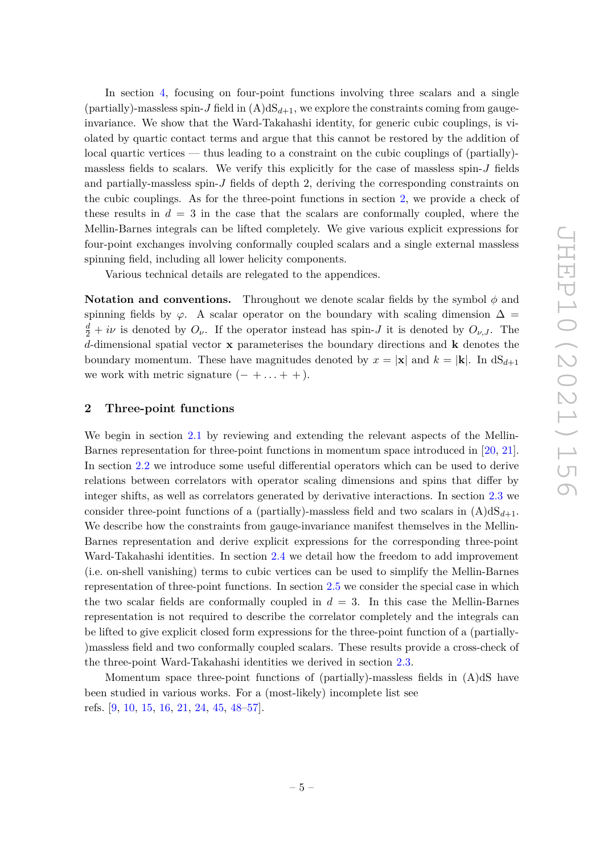In section [4,](#page-33-0) focusing on four-point functions involving three scalars and a single (partially)-massless spin-*J* field in  $(A)dS_{d+1}$ , we explore the constraints coming from gaugeinvariance. We show that the Ward-Takahashi identity, for generic cubic couplings, is violated by quartic contact terms and argue that this cannot be restored by the addition of local quartic vertices — thus leading to a constraint on the cubic couplings of (partially) massless fields to scalars. We verify this explicitly for the case of massless spin-*J* fields and partially-massless spin-*J* fields of depth 2, deriving the corresponding constraints on the cubic couplings. As for the three-point functions in section [2,](#page-6-0) we provide a check of these results in  $d = 3$  in the case that the scalars are conformally coupled, where the Mellin-Barnes integrals can be lifted completely. We give various explicit expressions for four-point exchanges involving conformally coupled scalars and a single external massless spinning field, including all lower helicity components.

Various technical details are relegated to the appendices.

**Notation and conventions.** Throughout we denote scalar fields by the symbol *φ* and spinning fields by  $\varphi$ . A scalar operator on the boundary with scaling dimension  $\Delta =$  $\frac{d}{2} + i\nu$  is denoted by  $O_{\nu}$ . If the operator instead has spin-*J* it is denoted by  $O_{\nu,J}$ . The *d*-dimensional spatial vector **x** parameterises the boundary directions and **k** denotes the boundary momentum. These have magnitudes denoted by  $x = |\mathbf{x}|$  and  $k = |\mathbf{k}|$ . In  $dS_{d+1}$ we work with metric signature  $(- + \ldots + +)$ .

## <span id="page-6-0"></span>**2 Three-point functions**

We begin in section [2.1](#page-7-0) by reviewing and extending the relevant aspects of the Mellin-Barnes representation for three-point functions in momentum space introduced in [\[20,](#page-53-5) [21\]](#page-53-6). In section [2.2](#page-10-0) we introduce some useful differential operators which can be used to derive relations between correlators with operator scaling dimensions and spins that differ by integer shifts, as well as correlators generated by derivative interactions. In section [2.3](#page-13-0) we consider three-point functions of a (partially)-massless field and two scalars in  $(A)dS_{d+1}$ . We describe how the constraints from gauge-invariance manifest themselves in the Mellin-Barnes representation and derive explicit expressions for the corresponding three-point Ward-Takahashi identities. In section [2.4](#page-21-0) we detail how the freedom to add improvement (i.e. on-shell vanishing) terms to cubic vertices can be used to simplify the Mellin-Barnes representation of three-point functions. In section [2.5](#page-22-0) we consider the special case in which the two scalar fields are conformally coupled in  $d = 3$ . In this case the Mellin-Barnes representation is not required to describe the correlator completely and the integrals can be lifted to give explicit closed form expressions for the three-point function of a (partially- )massless field and two conformally coupled scalars. These results provide a cross-check of the three-point Ward-Takahashi identities we derived in section [2.3.](#page-13-0)

Momentum space three-point functions of (partially)-massless fields in (A)dS have been studied in various works. For a (most-likely) incomplete list see refs. [\[9,](#page-53-8) [10,](#page-53-9) [15,](#page-53-3) [16,](#page-53-4) [21,](#page-53-6) [24,](#page-54-5) [45,](#page-55-1) [48–](#page-55-4)[57\]](#page-55-5).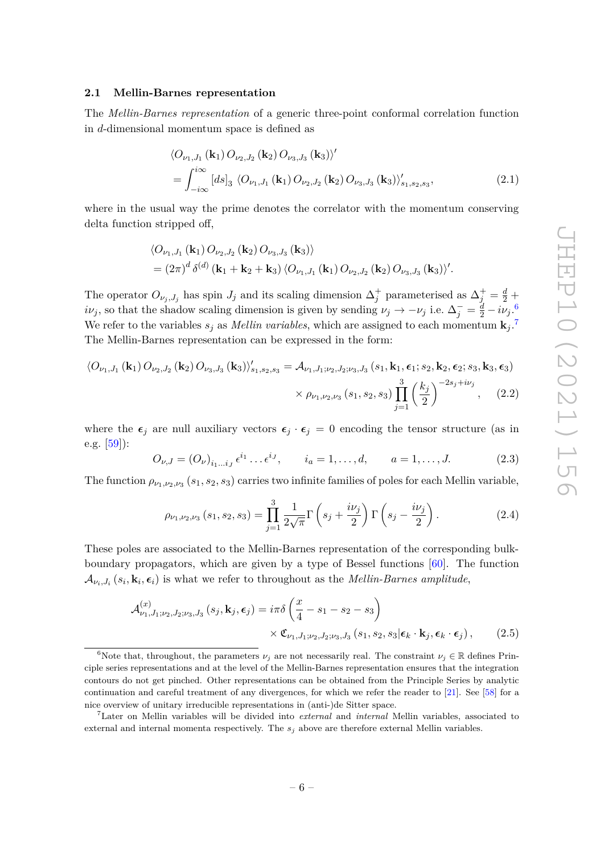## <span id="page-7-0"></span>**2.1 Mellin-Barnes representation**

The *Mellin-Barnes representation* of a generic three-point conformal correlation function in *d*-dimensional momentum space is defined as

<span id="page-7-5"></span>
$$
\langle O_{\nu_1, J_1}(\mathbf{k}_1) O_{\nu_2, J_2}(\mathbf{k}_2) O_{\nu_3, J_3}(\mathbf{k}_3) \rangle'
$$
  
= 
$$
\int_{-i\infty}^{i\infty} [ds]_3 \langle O_{\nu_1, J_1}(\mathbf{k}_1) O_{\nu_2, J_2}(\mathbf{k}_2) O_{\nu_3, J_3}(\mathbf{k}_3) \rangle'_{s_1, s_2, s_3},
$$
(2.1)

where in the usual way the prime denotes the correlator with the momentum conserving delta function stripped off,

$$
\langle O_{\nu_1,J_1}(\mathbf{k}_1) O_{\nu_2,J_2}(\mathbf{k}_2) O_{\nu_3,J_3}(\mathbf{k}_3) \rangle
$$
  
=  $(2\pi)^d \delta^{(d)}(\mathbf{k}_1 + \mathbf{k}_2 + \mathbf{k}_3) \langle O_{\nu_1,J_1}(\mathbf{k}_1) O_{\nu_2,J_2}(\mathbf{k}_2) O_{\nu_3,J_3}(\mathbf{k}_3) \rangle'.$ 

The operator  $O_{\nu_j, J_j}$  has spin  $J_j$  and its scaling dimension  $\Delta_j^+$  parameterised as  $\Delta_j^+ = \frac{d}{2} + \frac{d}{2}$ *iv*<sub>*j*</sub>, so that the shadow scaling dimension is given by sending  $\nu_j \to -\nu_j$  i.e.  $\Delta_j^- = \frac{d}{2} - i\nu_j$ . We refer to the variables  $s_j$  as *Mellin variables*, which are assigned to each momentum  $\mathbf{k}_j$ .<sup>[7](#page-7-2)</sup> The Mellin-Barnes representation can be expressed in the form:

$$
\langle O_{\nu_1, J_1}(\mathbf{k}_1) O_{\nu_2, J_2}(\mathbf{k}_2) O_{\nu_3, J_3}(\mathbf{k}_3) \rangle'_{s_1, s_2, s_3} = \mathcal{A}_{\nu_1, J_1; \nu_2, J_2; \nu_3, J_3}(s_1, \mathbf{k}_1, \epsilon_1; s_2, \mathbf{k}_2, \epsilon_2; s_3, \mathbf{k}_3, \epsilon_3)
$$

$$
\times \rho_{\nu_1, \nu_2, \nu_3}(s_1, s_2, s_3) \prod_{j=1}^3 \left(\frac{k_j}{2}\right)^{-2s_j + i\nu_j}, \quad (2.2)
$$

where the  $\epsilon_j$  are null auxiliary vectors  $\epsilon_j \cdot \epsilon_j = 0$  encoding the tensor structure (as in e.g.  $[59]$ :

$$
O_{\nu,J} = (O_{\nu})_{i_1...i_J} \epsilon^{i_1} ... \epsilon^{i_J}, \qquad i_a = 1,...,d, \qquad a = 1,...,J.
$$
 (2.3)

The function  $\rho_{\nu_1,\nu_2,\nu_3}(s_1,s_2,s_3)$  carries two infinite families of poles for each Mellin variable,

<span id="page-7-4"></span><span id="page-7-3"></span>
$$
\rho_{\nu_1,\nu_2,\nu_3}(s_1,s_2,s_3) = \prod_{j=1}^3 \frac{1}{2\sqrt{\pi}} \Gamma\left(s_j + \frac{i\nu_j}{2}\right) \Gamma\left(s_j - \frac{i\nu_j}{2}\right). \tag{2.4}
$$

These poles are associated to the Mellin-Barnes representation of the corresponding bulkboundary propagators, which are given by a type of Bessel functions [\[60\]](#page-55-7). The function  $\mathcal{A}_{\nu_i,J_i}(s_i,\mathbf{k}_i,\boldsymbol{\epsilon}_i)$  is what we refer to throughout as the *Mellin-Barnes amplitude*,

$$
\mathcal{A}_{\nu_1, J_1; \nu_2, J_2; \nu_3, J_3}^{(x)}(s_j, \mathbf{k}_j, \epsilon_j) = i\pi \delta \left(\frac{x}{4} - s_1 - s_2 - s_3\right)
$$

$$
\times \mathfrak{C}_{\nu_1, J_1; \nu_2, J_2; \nu_3, J_3}(s_1, s_2, s_3 | \epsilon_k \cdot \mathbf{k}_j, \epsilon_k \cdot \epsilon_j), \qquad (2.5)
$$

<span id="page-7-1"></span><sup>&</sup>lt;sup>6</sup>Note that, throughout, the parameters  $\nu_i$  are not necessarily real. The constraint  $\nu_i \in \mathbb{R}$  defines Principle series representations and at the level of the Mellin-Barnes representation ensures that the integration contours do not get pinched. Other representations can be obtained from the Principle Series by analytic continuation and careful treatment of any divergences, for which we refer the reader to [\[21\]](#page-53-6). See [\[58\]](#page-55-8) for a nice overview of unitary irreducible representations in (anti-)de Sitter space.

<span id="page-7-2"></span><sup>7</sup>Later on Mellin variables will be divided into *external* and *internal* Mellin variables, associated to external and internal momenta respectively. The *s<sup>j</sup>* above are therefore external Mellin variables.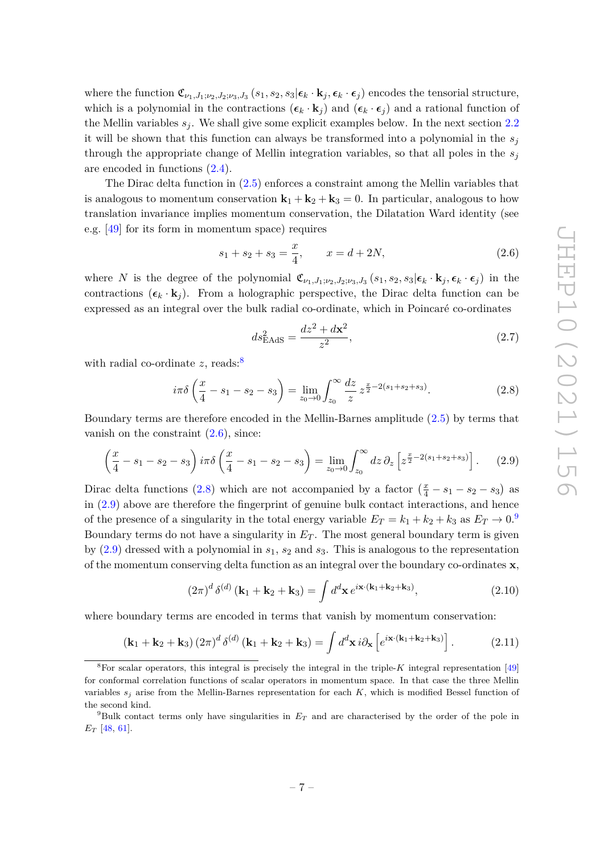where the function  $\mathfrak{C}_{\nu_1,J_1;\nu_2,J_2;\nu_3,J_3}(s_1,s_2,s_3|\boldsymbol{\epsilon}_k \cdot \mathbf{k}_j,\boldsymbol{\epsilon}_k \cdot \boldsymbol{\epsilon}_j)$  encodes the tensorial structure, which is a polynomial in the contractions  $(\epsilon_k \cdot \mathbf{k}_j)$  and  $(\epsilon_k \cdot \epsilon_j)$  and a rational function of the Mellin variables  $s_j$ . We shall give some explicit examples below. In the next section [2.2](#page-10-0) it will be shown that this function can always be transformed into a polynomial in the  $s_j$ through the appropriate change of Mellin integration variables, so that all poles in the *s<sup>j</sup>* are encoded in functions [\(2.4\)](#page-7-3).

The Dirac delta function in [\(2.5\)](#page-7-4) enforces a constraint among the Mellin variables that is analogous to momentum conservation  $\mathbf{k}_1 + \mathbf{k}_2 + \mathbf{k}_3 = 0$ . In particular, analogous to how translation invariance implies momentum conservation, the Dilatation Ward identity (see e.g. [\[49\]](#page-55-9) for its form in momentum space) requires

<span id="page-8-1"></span>
$$
s_1 + s_2 + s_3 = \frac{x}{4}, \qquad x = d + 2N,
$$
 (2.6)

where *N* is the degree of the polynomial  $\mathfrak{C}_{\nu_1,J_1;\nu_2,J_2;\nu_3,J_3}(s_1,s_2,s_3|\boldsymbol{\epsilon}_k\cdot\mathbf{k}_j,\boldsymbol{\epsilon}_k\cdot\boldsymbol{\epsilon}_j)$  in the contractions  $(\epsilon_k \cdot \mathbf{k}_i)$ . From a holographic perspective, the Dirac delta function can be expressed as an integral over the bulk radial co-ordinate, which in Poincaré co-ordinates

$$
ds_{\rm EAdS}^2 = \frac{dz^2 + d\mathbf{x}^2}{z^2},\tag{2.7}
$$

with radial co-ordinate *z*, reads:<sup>[8](#page-8-0)</sup>

<span id="page-8-2"></span>
$$
i\pi\delta\left(\frac{x}{4} - s_1 - s_2 - s_3\right) = \lim_{z_0 \to 0} \int_{z_0}^{\infty} \frac{dz}{z} z^{\frac{x}{2} - 2(s_1 + s_2 + s_3)}.
$$
 (2.8)

Boundary terms are therefore encoded in the Mellin-Barnes amplitude [\(2.5\)](#page-7-4) by terms that vanish on the constraint  $(2.6)$ , since:

<span id="page-8-3"></span>
$$
\left(\frac{x}{4} - s_1 - s_2 - s_3\right) i\pi \delta \left(\frac{x}{4} - s_1 - s_2 - s_3\right) = \lim_{z_0 \to 0} \int_{z_0}^{\infty} dz \, \partial_z \left[z^{\frac{x}{2} - 2(s_1 + s_2 + s_3)}\right].\tag{2.9}
$$

Dirac delta functions [\(2.8\)](#page-8-2) which are not accompanied by a factor  $(\frac{x}{4} - s_1 - s_2 - s_3)$  as in [\(2.9\)](#page-8-3) above are therefore the fingerprint of genuine bulk contact interactions, and hence of the presence of a singularity in the total energy variable  $E_T = k_1 + k_2 + k_3$  as  $E_T \rightarrow 0$ .<sup>[9](#page-8-4)</sup> Boundary terms do not have a singularity in *E<sup>T</sup>* . The most general boundary term is given by [\(2.9\)](#page-8-3) dressed with a polynomial in *s*1, *s*<sup>2</sup> and *s*3. This is analogous to the representation of the momentum conserving delta function as an integral over the boundary co-ordinates **x**,

$$
(2\pi)^{d} \delta^{(d)} (\mathbf{k}_{1} + \mathbf{k}_{2} + \mathbf{k}_{3}) = \int d^{d} \mathbf{x} e^{i\mathbf{x} \cdot (\mathbf{k}_{1} + \mathbf{k}_{2} + \mathbf{k}_{3})}, \qquad (2.10)
$$

where boundary terms are encoded in terms that vanish by momentum conservation:

$$
\left(\mathbf{k}_1 + \mathbf{k}_2 + \mathbf{k}_3\right) \left(2\pi\right)^d \delta^{(d)}\left(\mathbf{k}_1 + \mathbf{k}_2 + \mathbf{k}_3\right) = \int d^d\mathbf{x} \, i \partial_\mathbf{x} \left[e^{i\mathbf{x} \cdot (\mathbf{k}_1 + \mathbf{k}_2 + \mathbf{k}_3)}\right].\tag{2.11}
$$

<span id="page-8-0"></span><sup>&</sup>lt;sup>8</sup>For scalar operators, this integral is precisely the integral in the triple- $K$  integral representation [\[49\]](#page-55-9) for conformal correlation functions of scalar operators in momentum space. In that case the three Mellin variables  $s_j$  arise from the Mellin-Barnes representation for each  $K$ , which is modified Bessel function of the second kind.

<span id="page-8-4"></span><sup>&</sup>lt;sup>9</sup>Bulk contact terms only have singularities in  $E_T$  and are characterised by the order of the pole in *E<sup>T</sup>* [\[48,](#page-55-4) [61\]](#page-55-10).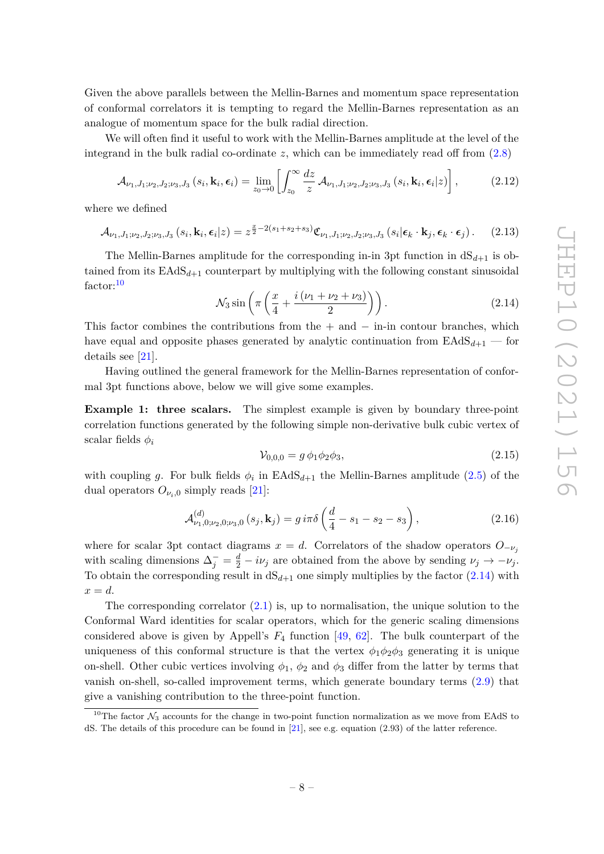Given the above parallels between the Mellin-Barnes and momentum space representation of conformal correlators it is tempting to regard the Mellin-Barnes representation as an analogue of momentum space for the bulk radial direction.

We will often find it useful to work with the Mellin-Barnes amplitude at the level of the integrand in the bulk radial co-ordinate  $z$ , which can be immediately read off from  $(2.8)$ 

$$
\mathcal{A}_{\nu_1, J_1; \nu_2, J_2; \nu_3, J_3}(s_i, \mathbf{k}_i, \epsilon_i) = \lim_{z_0 \to 0} \left[ \int_{z_0}^{\infty} \frac{dz}{z} \, \mathcal{A}_{\nu_1, J_1; \nu_2, J_2; \nu_3, J_3}(s_i, \mathbf{k}_i, \epsilon_i | z) \right],\tag{2.12}
$$

where we defined

$$
\mathcal{A}_{\nu_1, J_1; \nu_2, J_2; \nu_3, J_3}(s_i, \mathbf{k}_i, \epsilon_i | z) = z^{\frac{x}{2} - 2(s_1 + s_2 + s_3)} \mathfrak{C}_{\nu_1, J_1; \nu_2, J_2; \nu_3, J_3}(s_i | \epsilon_k \cdot \mathbf{k}_j, \epsilon_k \cdot \epsilon_j). \tag{2.13}
$$

The Mellin-Barnes amplitude for the corresponding in-in 3pt function in  $dS_{d+1}$  is obtained from its  $EAdS_{d+1}$  counterpart by multiplying with the following constant sinusoidal factor:<sup>[10](#page-9-0)</sup>

<span id="page-9-1"></span>
$$
\mathcal{N}_3 \sin\left(\pi \left(\frac{x}{4} + \frac{i(\nu_1 + \nu_2 + \nu_3)}{2}\right)\right). \tag{2.14}
$$

This factor combines the contributions from the  $+$  and  $-$  in-in contour branches, which have equal and opposite phases generated by analytic continuation from  $EAdS_{d+1}$  — for details see [\[21\]](#page-53-6).

Having outlined the general framework for the Mellin-Barnes representation of conformal 3pt functions above, below we will give some examples.

**Example 1: three scalars.** The simplest example is given by boundary three-point correlation functions generated by the following simple non-derivative bulk cubic vertex of scalar fields *φ<sup>i</sup>*

$$
\mathcal{V}_{0,0,0} = g \, \phi_1 \phi_2 \phi_3,\tag{2.15}
$$

with coupling *g*. For bulk fields  $\phi_i$  in  $EAdS_{d+1}$  the Mellin-Barnes amplitude [\(2.5\)](#page-7-4) of the dual operators  $O_{\nu_i,0}$  simply reads [\[21\]](#page-53-6):

<span id="page-9-2"></span>
$$
\mathcal{A}_{\nu_1,0;\nu_2,0;\nu_3,0}^{(d)}\left(s_j,\mathbf{k}_j\right) = g i \pi \delta \left(\frac{d}{4} - s_1 - s_2 - s_3\right),\tag{2.16}
$$

where for scalar 3pt contact diagrams  $x = d$ . Correlators of the shadow operators  $O_{-\nu_i}$ with scaling dimensions  $\Delta_j^- = \frac{d}{2} - i\nu_j$  are obtained from the above by sending  $\nu_j \to -\nu_j$ . To obtain the corresponding result in  $dS_{d+1}$  one simply multiplies by the factor  $(2.14)$  with  $x = d$ .

The corresponding correlator  $(2.1)$  is, up to normalisation, the unique solution to the Conformal Ward identities for scalar operators, which for the generic scaling dimensions considered above is given by Appell's  $F_4$  function [\[49,](#page-55-9) [62\]](#page-55-11). The bulk counterpart of the uniqueness of this conformal structure is that the vertex  $\phi_1 \phi_2 \phi_3$  generating it is unique on-shell. Other cubic vertices involving  $\phi_1$ ,  $\phi_2$  and  $\phi_3$  differ from the latter by terms that vanish on-shell, so-called improvement terms, which generate boundary terms [\(2.9\)](#page-8-3) that give a vanishing contribution to the three-point function.

<span id="page-9-0"></span><sup>&</sup>lt;sup>10</sup>The factor  $\mathcal{N}_3$  accounts for the change in two-point function normalization as we move from EAdS to dS. The details of this procedure can be found in [\[21\]](#page-53-6), see e.g. equation (2.93) of the latter reference.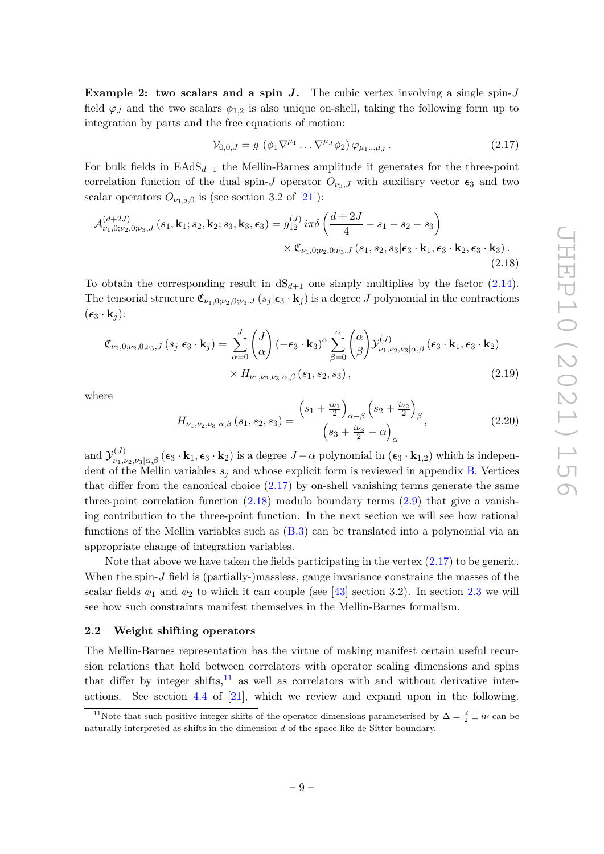**Example 2: two scalars and a spin** *J***.** The cubic vertex involving a single spin-*J* field  $\varphi_J$  and the two scalars  $\phi_{1,2}$  is also unique on-shell, taking the following form up to integration by parts and the free equations of motion:

<span id="page-10-2"></span><span id="page-10-1"></span>
$$
\mathcal{V}_{0,0,J} = g \left( \phi_1 \nabla^{\mu_1} \dots \nabla^{\mu_J} \phi_2 \right) \varphi_{\mu_1 \dots \mu_J} . \tag{2.17}
$$

For bulk fields in  $\text{EAdS}_{d+1}$  the Mellin-Barnes amplitude it generates for the three-point correlation function of the dual spin-*J* operator  $O_{\nu_3,J}$  with auxiliary vector  $\epsilon_3$  and two scalar operators  $O_{\nu_{1,2},0}$  is (see section 3.2 of [\[21\]](#page-53-6)):

$$
\mathcal{A}_{\nu_1,0;\nu_2,0;\nu_3,J}^{(d+2J)}(s_1,\mathbf{k}_1;s_2,\mathbf{k}_2;s_3,\mathbf{k}_3,\epsilon_3) = g_{12}^{(J)} i\pi \delta \left(\frac{d+2J}{4} - s_1 - s_2 - s_3\right) \times \mathfrak{C}_{\nu_1,0;\nu_2,0;\nu_3,J}(s_1,s_2,s_3|\epsilon_3 \cdot \mathbf{k}_1,\epsilon_3 \cdot \mathbf{k}_2,\epsilon_3 \cdot \mathbf{k}_3).
$$
\n(2.18)

To obtain the corresponding result in  $dS_{d+1}$  one simply multiplies by the factor  $(2.14)$ . The tensorial structure  $\mathfrak{C}_{\nu_1,0;\nu_2,0;\nu_3,J}(s_j|\epsilon_3 \cdot \mathbf{k}_j)$  is a degree *J* polynomial in the contractions  $(\epsilon_3 \cdot \mathbf{k}_i)$ :

$$
\mathfrak{C}_{\nu_1,0;\nu_2,0;\nu_3,J}(s_j|\boldsymbol{\epsilon}_3 \cdot \mathbf{k}_j) = \sum_{\alpha=0}^J \begin{pmatrix} J \\ \alpha \end{pmatrix} (-\boldsymbol{\epsilon}_3 \cdot \mathbf{k}_3)^{\alpha} \sum_{\beta=0}^\alpha \begin{pmatrix} \alpha \\ \beta \end{pmatrix} \mathcal{Y}^{(J)}_{\nu_1,\nu_2,\nu_3|\alpha,\beta}(\boldsymbol{\epsilon}_3 \cdot \mathbf{k}_1, \boldsymbol{\epsilon}_3 \cdot \mathbf{k}_2) \times H_{\nu_1,\nu_2,\nu_3|\alpha,\beta}(s_1, s_2, s_3),
$$
\n(2.19)

where

<span id="page-10-4"></span>
$$
H_{\nu_1,\nu_2,\nu_3|\alpha,\beta}(s_1,s_2,s_3) = \frac{\left(s_1 + \frac{i\nu_1}{2}\right)_{\alpha-\beta}\left(s_2 + \frac{i\nu_2}{2}\right)_{\beta}}{\left(s_3 + \frac{i\nu_3}{2} - \alpha\right)_{\alpha}},
$$
\n(2.20)

and  $\mathcal{Y}^{(J)}_{\nu_1,\nu_2,\nu_3|\alpha,\beta}$  ( $\epsilon_3 \cdot \mathbf{k}_1, \epsilon_3 \cdot \mathbf{k}_2$ ) is a degree  $J-\alpha$  polynomial in ( $\epsilon_3 \cdot \mathbf{k}_{1,2}$ ) which is independent of the Mellin variables  $s_j$  and whose explicit form is reviewed in appendix [B.](#page-49-0) Vertices that differ from the canonical choice  $(2.17)$  by on-shell vanishing terms generate the same three-point correlation function  $(2.18)$  modulo boundary terms  $(2.9)$  that give a vanishing contribution to the three-point function. In the next section we will see how rational functions of the Mellin variables such as [\(B.3\)](#page-50-1) can be translated into a polynomial via an appropriate change of integration variables.

Note that above we have taken the fields participating in the vertex  $(2.17)$  to be generic. When the spin-*J* field is (partially-)massless, gauge invariance constrains the masses of the scalar fields  $\phi_1$  and  $\phi_2$  to which it can couple (see [\[43\]](#page-54-8) section 3.2). In section [2.3](#page-13-0) we will see how such constraints manifest themselves in the Mellin-Barnes formalism.

#### <span id="page-10-0"></span>**2.2 Weight shifting operators**

The Mellin-Barnes representation has the virtue of making manifest certain useful recursion relations that hold between correlators with operator scaling dimensions and spins that differ by integer shifts, $^{11}$  $^{11}$  $^{11}$  as well as correlators with and without derivative interactions. See section 4.4 of [\[21\]](#page-53-6), which we review and expand upon in the following.

<span id="page-10-3"></span><sup>&</sup>lt;sup>11</sup>Note that such positive integer shifts of the operator dimensions parameterised by  $\Delta = \frac{d}{2} \pm i\nu$  can be naturally interpreted as shifts in the dimension *d* of the space-like de Sitter boundary.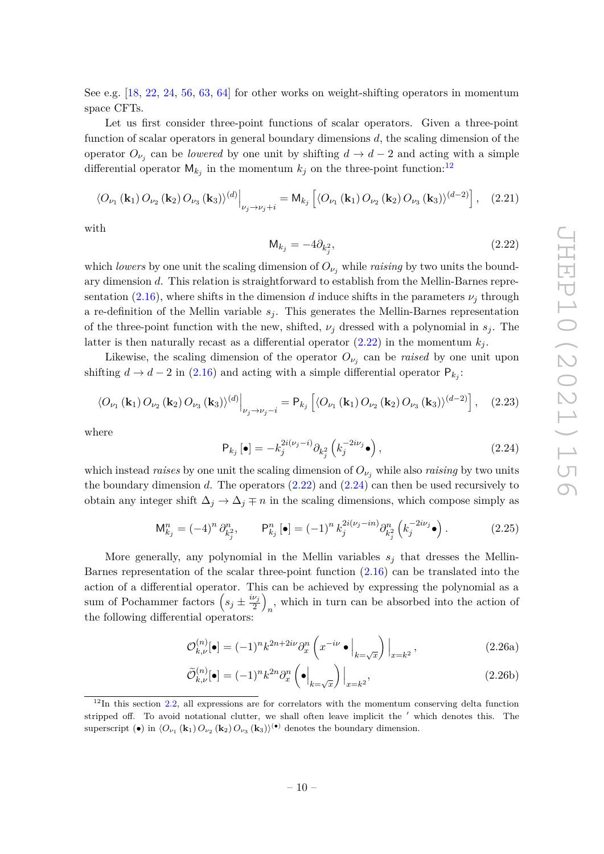See e.g. [\[18,](#page-53-7) [22,](#page-53-10) [24,](#page-54-5) [56,](#page-55-12) [63,](#page-56-0) [64\]](#page-56-1) for other works on weight-shifting operators in momentum space CFTs.

Let us first consider three-point functions of scalar operators. Given a three-point function of scalar operators in general boundary dimensions *d*, the scaling dimension of the operator  $O_{\nu_j}$  can be *lowered* by one unit by shifting  $d \to d - 2$  and acting with a simple differential operator  $M_{k_j}$  in the momentum  $k_j$  on the three-point function:<sup>[12](#page-11-0)</sup>

<span id="page-11-4"></span>
$$
\langle O_{\nu_1}(\mathbf{k}_1) O_{\nu_2}(\mathbf{k}_2) O_{\nu_3}(\mathbf{k}_3) \rangle^{(d)} \Big|_{\nu_j \to \nu_j + i} = M_{k_j} \left[ \langle O_{\nu_1}(\mathbf{k}_1) O_{\nu_2}(\mathbf{k}_2) O_{\nu_3}(\mathbf{k}_3) \rangle^{(d-2)} \right], \quad (2.21)
$$

with

<span id="page-11-1"></span>
$$
\mathsf{M}_{k_j} = -4\partial_{k_j^2},\tag{2.22}
$$

which *lowers* by one unit the scaling dimension of  $O_{\nu_i}$  while *raising* by two units the boundary dimension *d*. This relation is straightforward to establish from the Mellin-Barnes representation  $(2.16)$ , where shifts in the dimension *d* induce shifts in the parameters  $\nu_i$  through a re-definition of the Mellin variable  $s_j$ . This generates the Mellin-Barnes representation of the three-point function with the new, shifted,  $\nu_j$  dressed with a polynomial in  $s_j$ . The latter is then naturally recast as a differential operator  $(2.22)$  in the momentum  $k_j$ .

Likewise, the scaling dimension of the operator  $O_{\nu_j}$  can be *raised* by one unit upon shifting  $d \to d - 2$  in [\(2.16\)](#page-9-2) and acting with a simple differential operator  $P_{k_j}$ :

<span id="page-11-5"></span>
$$
\langle O_{\nu_1}(\mathbf{k}_1) O_{\nu_2}(\mathbf{k}_2) O_{\nu_3}(\mathbf{k}_3) \rangle^{(d)} \Big|_{\nu_j \to \nu_j - i} = \mathsf{P}_{k_j} \left[ \langle O_{\nu_1}(\mathbf{k}_1) O_{\nu_2}(\mathbf{k}_2) O_{\nu_3}(\mathbf{k}_3) \rangle^{(d-2)} \right], \quad (2.23)
$$

where

<span id="page-11-2"></span>
$$
\mathsf{P}_{k_j}\left[\bullet\right] = -k_j^{2i(\nu_j - i)} \partial_{k_j^2}\left(k_j^{-2i\nu_j}\bullet\right),\tag{2.24}
$$

which instead *raises* by one unit the scaling dimension of  $O_{\nu_i}$  while also *raising* by two units the boundary dimension  $d$ . The operators  $(2.22)$  and  $(2.24)$  can then be used recursively to obtain any integer shift  $\Delta_j \to \Delta_j \mp n$  in the scaling dimensions, which compose simply as

$$
\mathsf{M}_{k_j}^n = (-4)^n \, \partial_{k_j^2}^n, \qquad \mathsf{P}_{k_j}^n \left[ \bullet \right] = (-1)^n \, k_j^{2i(\nu_j - in)} \partial_{k_j^2}^n \left( k_j^{-2i\nu_j} \bullet \right). \tag{2.25}
$$

More generally, any polynomial in the Mellin variables  $s_j$  that dresses the Mellin-Barnes representation of the scalar three-point function [\(2.16\)](#page-9-2) can be translated into the action of a differential operator. This can be achieved by expressing the polynomial as a sum of Pochammer factors  $\left(s_j \pm \frac{i\nu_j}{2}\right)$  $\frac{\nu_j}{2}\Big)$  $n$ , which in turn can be absorbed into the action of the following differential operators:

<span id="page-11-3"></span>
$$
\mathcal{O}_{k,\nu}^{(n)}[\bullet] = (-1)^n k^{2n+2i\nu} \partial_x^n \left( x^{-i\nu} \bullet \Big|_{k=\sqrt{x}} \right) \Big|_{x=k^2},\tag{2.26a}
$$

$$
\widetilde{\mathcal{O}}_{k,\nu}^{(n)}[\bullet] = (-1)^n k^{2n} \partial_x^n \left( \bullet \Big|_{k=\sqrt{x}} \right) \Big|_{x=k^2},\tag{2.26b}
$$

<span id="page-11-0"></span> $12$ In this section [2.2,](#page-10-0) all expressions are for correlators with the momentum conserving delta function stripped off. To avoid notational clutter, we shall often leave implicit the ' which denotes this. The superscript (•) in  $\langle O_{\nu_1}(\mathbf{k}_1) O_{\nu_2}(\mathbf{k}_2) O_{\nu_3}(\mathbf{k}_3) \rangle$ <sup>(•)</sup> denotes the boundary dimension.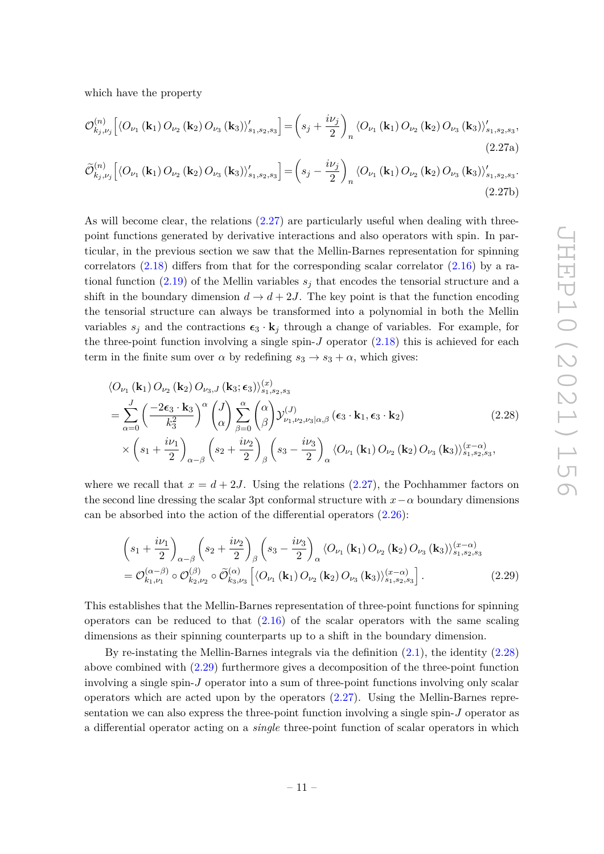<span id="page-12-0"></span>which have the property

$$
\mathcal{O}_{k_j,\nu_j}^{(n)}\left[\left\langle O_{\nu_1}\left(\mathbf{k}_1\right)O_{\nu_2}\left(\mathbf{k}_2\right)O_{\nu_3}\left(\mathbf{k}_3\right)\right\rangle'_{s_1,s_2,s_3}\right] = \left(s_j + \frac{i\nu_j}{2}\right)_n \left\langle O_{\nu_1}\left(\mathbf{k}_1\right)O_{\nu_2}\left(\mathbf{k}_2\right)O_{\nu_3}\left(\mathbf{k}_3\right)\right\rangle'_{s_1,s_2,s_3},\tag{2.27a}
$$

$$
\widetilde{\mathcal{O}}_{k_{j},\nu_{j}}^{(n)}\left[\left\langle O_{\nu_{1}}\left(\mathbf{k}_{1}\right)O_{\nu_{2}}\left(\mathbf{k}_{2}\right)O_{\nu_{3}}\left(\mathbf{k}_{3}\right)\right\rangle _{s_{1},s_{2},s_{3}}' \right] = \left(s_{j} - \frac{i\nu_{j}}{2}\right)_{n} \left\langle O_{\nu_{1}}\left(\mathbf{k}_{1}\right)O_{\nu_{2}}\left(\mathbf{k}_{2}\right)O_{\nu_{3}}\left(\mathbf{k}_{3}\right)\right\rangle_{s_{1},s_{2},s_{3}}'.
$$
\n(2.27b)

As will become clear, the relations [\(2.27\)](#page-12-0) are particularly useful when dealing with threepoint functions generated by derivative interactions and also operators with spin. In particular, in the previous section we saw that the Mellin-Barnes representation for spinning correlators  $(2.18)$  differs from that for the corresponding scalar correlator  $(2.16)$  by a rational function  $(2.19)$  of the Mellin variables  $s_j$  that encodes the tensorial structure and a shift in the boundary dimension  $d \to d + 2J$ . The key point is that the function encoding the tensorial structure can always be transformed into a polynomial in both the Mellin variables  $s_j$  and the contractions  $\epsilon_3 \cdot \mathbf{k}_j$  through a change of variables. For example, for the three-point function involving a single spin- $J$  operator  $(2.18)$  this is achieved for each term in the finite sum over  $\alpha$  by redefining  $s_3 \rightarrow s_3 + \alpha$ , which gives:

<span id="page-12-1"></span>
$$
\langle O_{\nu_1}(\mathbf{k}_1) O_{\nu_2}(\mathbf{k}_2) O_{\nu_3, J}(\mathbf{k}_3; \epsilon_3) \rangle_{s_1, s_2, s_3}^{(x)}
$$
\n
$$
= \sum_{\alpha=0}^J \left( \frac{-2\epsilon_3 \cdot \mathbf{k}_3}{k_3^2} \right)^{\alpha} \binom{J}{\alpha} \sum_{\beta=0}^{\alpha} \binom{\alpha}{\beta} \mathcal{Y}_{\nu_1, \nu_2, \nu_3 | \alpha, \beta}^{(J)}(\epsilon_3 \cdot \mathbf{k}_1, \epsilon_3 \cdot \mathbf{k}_2)
$$
\n
$$
\times \left( s_1 + \frac{i\nu_1}{2} \right)_{\alpha-\beta} \left( s_2 + \frac{i\nu_2}{2} \right)_{\beta} \left( s_3 - \frac{i\nu_3}{2} \right)_{\alpha} \langle O_{\nu_1}(\mathbf{k}_1) O_{\nu_2}(\mathbf{k}_2) O_{\nu_3}(\mathbf{k}_3) \rangle_{s_1, s_2, s_3}^{(x-\alpha)},
$$
\n(2.28)

where we recall that  $x = d + 2J$ . Using the relations [\(2.27\)](#page-12-0), the Pochhammer factors on the second line dressing the scalar 3pt conformal structure with  $x-\alpha$  boundary dimensions can be absorbed into the action of the differential operators [\(2.26\)](#page-11-3):

<span id="page-12-2"></span>
$$
\begin{split}\n&\left(s_{1} + \frac{i\nu_{1}}{2}\right)_{\alpha-\beta} \left(s_{2} + \frac{i\nu_{2}}{2}\right)_{\beta} \left(s_{3} - \frac{i\nu_{3}}{2}\right)_{\alpha} \langle O_{\nu_{1}}\left(\mathbf{k}_{1}\right) O_{\nu_{2}}\left(\mathbf{k}_{2}\right) O_{\nu_{3}}\left(\mathbf{k}_{3}\right) \rangle_{s_{1}, s_{2}, s_{3}}^{(x-\alpha)} \\
&= \mathcal{O}_{k_{1}, \nu_{1}}^{(\alpha-\beta)} \circ \mathcal{O}_{k_{2}, \nu_{2}}^{(\beta)} \circ \widetilde{\mathcal{O}}_{k_{3}, \nu_{3}}^{(\alpha)} \left[\langle O_{\nu_{1}}\left(\mathbf{k}_{1}\right) O_{\nu_{2}}\left(\mathbf{k}_{2}\right) O_{\nu_{3}}\left(\mathbf{k}_{3}\right) \rangle_{s_{1}, s_{2}, s_{3}}^{(x-\alpha)}\right].\n\end{split} \tag{2.29}
$$

This establishes that the Mellin-Barnes representation of three-point functions for spinning operators can be reduced to that  $(2.16)$  of the scalar operators with the same scaling dimensions as their spinning counterparts up to a shift in the boundary dimension.

By re-instating the Mellin-Barnes integrals via the definition [\(2.1\)](#page-7-5), the identity [\(2.28\)](#page-12-1) above combined with [\(2.29\)](#page-12-2) furthermore gives a decomposition of the three-point function involving a single spin-*J* operator into a sum of three-point functions involving only scalar operators which are acted upon by the operators [\(2.27\)](#page-12-0). Using the Mellin-Barnes representation we can also express the three-point function involving a single spin-*J* operator as a differential operator acting on a *single* three-point function of scalar operators in which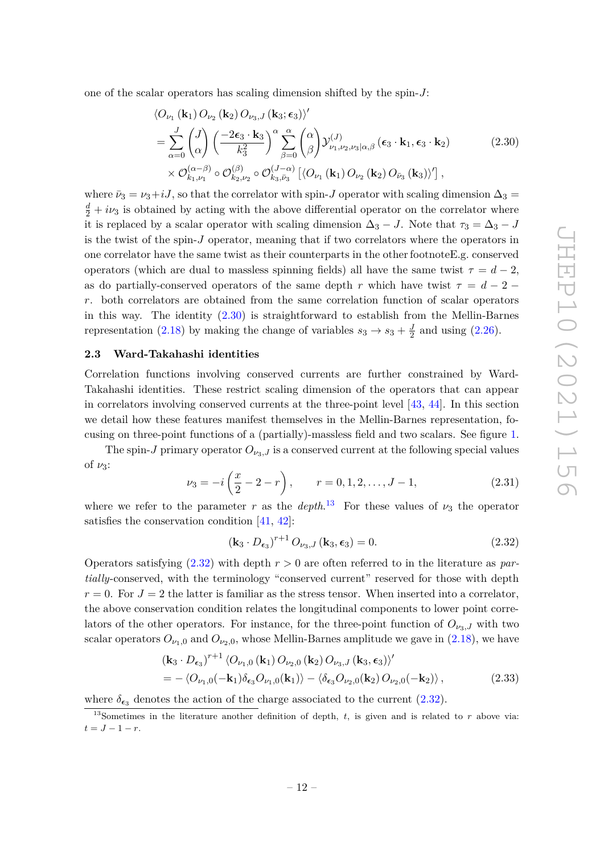one of the scalar operators has scaling dimension shifted by the spin-*J*:

<span id="page-13-1"></span>
$$
\langle O_{\nu_{1}}(\mathbf{k}_{1}) O_{\nu_{2}}(\mathbf{k}_{2}) O_{\nu_{3},J}(\mathbf{k}_{3};\epsilon_{3}) \rangle' \n= \sum_{\alpha=0}^{J} \binom{J}{\alpha} \left( \frac{-2\epsilon_{3} \cdot \mathbf{k}_{3}}{k_{3}^{2}} \right)^{\alpha} \sum_{\beta=0}^{\alpha} \binom{\alpha}{\beta} \mathcal{Y}_{\nu_{1},\nu_{2},\nu_{3}|\alpha,\beta}^{(J)}(\epsilon_{3} \cdot \mathbf{k}_{1},\epsilon_{3} \cdot \mathbf{k}_{2}) \n\times \mathcal{O}_{k_{1},\nu_{1}}^{(\alpha-\beta)} \circ \mathcal{O}_{k_{2},\nu_{2}}^{(\beta)} \circ \mathcal{O}_{k_{3},\bar{\nu}_{3}}^{(J-\alpha)} \left[ \langle O_{\nu_{1}}(\mathbf{k}_{1}) O_{\nu_{2}}(\mathbf{k}_{2}) O_{\bar{\nu}_{3}}(\mathbf{k}_{3}) \rangle' \right],
$$
\n(2.30)

where  $\bar{\nu}_3 = \nu_3 + iJ$ , so that the correlator with spin-*J* operator with scaling dimension  $\Delta_3 =$  $\frac{d}{2} + i\nu_3$  is obtained by acting with the above differential operator on the correlator where it is replaced by a scalar operator with scaling dimension  $\Delta_3 - J$ . Note that  $\tau_3 = \Delta_3 - J$ is the twist of the spin-*J* operator, meaning that if two correlators where the operators in one correlator have the same twist as their counterparts in the other footnoteE.g. conserved operators (which are dual to massless spinning fields) all have the same twist  $\tau = d - 2$ , as do partially-conserved operators of the same depth *r* which have twist  $\tau = d - 2$ *r*. both correlators are obtained from the same correlation function of scalar operators in this way. The identity  $(2.30)$  is straightforward to establish from the Mellin-Barnes representation [\(2.18\)](#page-10-2) by making the change of variables  $s_3 \rightarrow s_3 + \frac{J}{2}$  $\frac{J}{2}$  and using  $(2.26)$ .

#### <span id="page-13-0"></span>**2.3 Ward-Takahashi identities**

Correlation functions involving conserved currents are further constrained by Ward-Takahashi identities. These restrict scaling dimension of the operators that can appear in correlators involving conserved currents at the three-point level [\[43,](#page-54-8) [44\]](#page-55-0). In this section we detail how these features manifest themselves in the Mellin-Barnes representation, focusing on three-point functions of a (partially)-massless field and two scalars. See figure [1.](#page-14-0)

The spin-*J* primary operator  $O_{\nu_3,J}$  is a conserved current at the following special values of *ν*3:

<span id="page-13-5"></span>
$$
\nu_3 = -i\left(\frac{x}{2} - 2 - r\right), \qquad r = 0, 1, 2, \dots, J - 1,\tag{2.31}
$$

where we refer to the parameter *r* as the *depth*.<sup>[13](#page-13-2)</sup> For these values of  $\nu_3$  the operator satisfies the conservation condition [\[41,](#page-54-9) [42\]](#page-54-7):

<span id="page-13-4"></span><span id="page-13-3"></span>
$$
\left(\mathbf{k}_3 \cdot D_{\epsilon_3}\right)^{r+1} O_{\nu_3, J} \left(\mathbf{k}_3, \epsilon_3\right) = 0. \tag{2.32}
$$

Operators satisfying [\(2.32\)](#page-13-3) with depth *r >* 0 are often referred to in the literature as *partially*-conserved, with the terminology "conserved current" reserved for those with depth  $r = 0$ . For  $J = 2$  the latter is familiar as the stress tensor. When inserted into a correlator, the above conservation condition relates the longitudinal components to lower point correlators of the other operators. For instance, for the three-point function of  $O_{\nu_3,J}$  with two scalar operators  $O_{\nu_1,0}$  and  $O_{\nu_2,0}$ , whose Mellin-Barnes amplitude we gave in [\(2.18\)](#page-10-2), we have

$$
(\mathbf{k}_{3} \cdot D_{\epsilon_{3}})^{r+1} \langle O_{\nu_{1},0}(\mathbf{k}_{1}) O_{\nu_{2},0}(\mathbf{k}_{2}) O_{\nu_{3},J}(\mathbf{k}_{3}, \epsilon_{3}) \rangle'
$$
  
= -\langle O\_{\nu\_{1},0}(-\mathbf{k}\_{1}) \delta\_{\epsilon\_{3}} O\_{\nu\_{1},0}(\mathbf{k}\_{1}) \rangle - \langle \delta\_{\epsilon\_{3}} O\_{\nu\_{2},0}(\mathbf{k}\_{2}) O\_{\nu\_{2},0}(-\mathbf{k}\_{2}) \rangle, (2.33)

where  $\delta_{\epsilon_3}$  denotes the action of the charge associated to the current [\(2.32\)](#page-13-3).

<span id="page-13-2"></span><sup>&</sup>lt;sup>13</sup>Sometimes in the literature another definition of depth,  $t$ , is given and is related to  $r$  above via:  $t = J - 1 - r$ .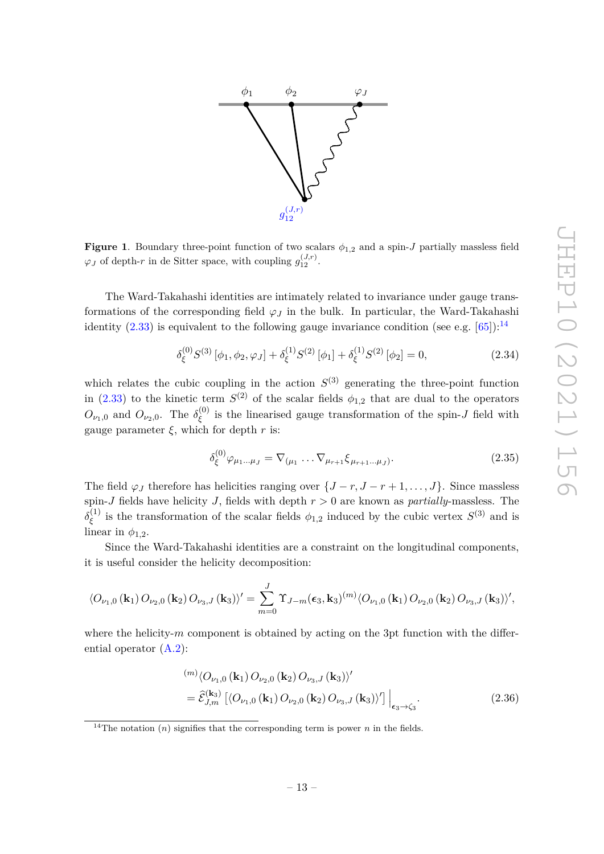

<span id="page-14-0"></span>**Figure 1**. Boundary three-point function of two scalars  $\phi_{1,2}$  and a spin-*J* partially massless field  $\varphi_J$  of depth-*r* in de Sitter space, with coupling  $g_{12}^{(J,r)}$ .

The Ward-Takahashi identities are intimately related to invariance under gauge transformations of the corresponding field  $\varphi_j$  in the bulk. In particular, the Ward-Takahashi identity  $(2.33)$  is equivalent to the following gauge invariance condition (see e.g. [\[65\]](#page-56-2)):<sup>[14](#page-14-1)</sup>

<span id="page-14-2"></span>
$$
\delta_{\xi}^{(0)} S^{(3)} [\phi_1, \phi_2, \varphi_J] + \delta_{\xi}^{(1)} S^{(2)} [\phi_1] + \delta_{\xi}^{(1)} S^{(2)} [\phi_2] = 0, \qquad (2.34)
$$

which relates the cubic coupling in the action  $S^{(3)}$  generating the three-point function in [\(2.33\)](#page-13-4) to the kinetic term  $S^{(2)}$  of the scalar fields  $\phi_{1,2}$  that are dual to the operators  $O_{\nu_1,0}$  and  $O_{\nu_2,0}$ . The  $\delta_{\xi}^{(0)}$ *ξ* is the linearised gauge transformation of the spin-*J* field with gauge parameter  $\xi$ , which for depth  $r$  is:

$$
\delta_{\xi}^{(0)}\varphi_{\mu_1...\mu_J} = \nabla_{(\mu_1} \dots \nabla_{\mu_{r+1}} \xi_{\mu_{r+1}...\mu_J)}.
$$
\n(2.35)

The field  $\varphi_J$  therefore has helicities ranging over  $\{J - r, J - r + 1, \ldots, J\}$ . Since massless spin-*J* fields have helicity *J*, fields with depth *r >* 0 are known as *partially*-massless. The  $\delta^{(1)}_\varepsilon$ <sup>(1)</sup> is the transformation of the scalar fields  $\phi_{1,2}$  induced by the cubic vertex  $S^{(3)}$  and is linear in  $\phi_{1,2}$ .

Since the Ward-Takahashi identities are a constraint on the longitudinal components, it is useful consider the helicity decomposition:

$$
\langle O_{\nu_1,0}(\mathbf{k}_1) O_{\nu_2,0}(\mathbf{k}_2) O_{\nu_3,J}(\mathbf{k}_3) \rangle' = \sum_{m=0}^J \Upsilon_{J-m}(\epsilon_3, \mathbf{k}_3)^{(m)} \langle O_{\nu_1,0}(\mathbf{k}_1) O_{\nu_2,0}(\mathbf{k}_2) O_{\nu_3,J}(\mathbf{k}_3) \rangle',
$$

where the helicity-*m* component is obtained by acting on the 3pt function with the differential operator [\(A.2\)](#page-48-0):

$$
\begin{split} &\xrightarrow{(m)} \langle O_{\nu_1,0} \left( \mathbf{k}_1 \right) O_{\nu_2,0} \left( \mathbf{k}_2 \right) O_{\nu_3,J} \left( \mathbf{k}_3 \right) \rangle' \\ &= \hat{\mathcal{E}}_{J,m}^{(\mathbf{k}_3)} \left[ \langle O_{\nu_1,0} \left( \mathbf{k}_1 \right) O_{\nu_2,0} \left( \mathbf{k}_2 \right) O_{\nu_3,J} \left( \mathbf{k}_3 \right) \rangle' \right] \Big|_{\epsilon_3 \to \zeta_3}. \end{split} \tag{2.36}
$$

<span id="page-14-1"></span><sup>&</sup>lt;sup>14</sup>The notation  $(n)$  signifies that the corresponding term is power *n* in the fields.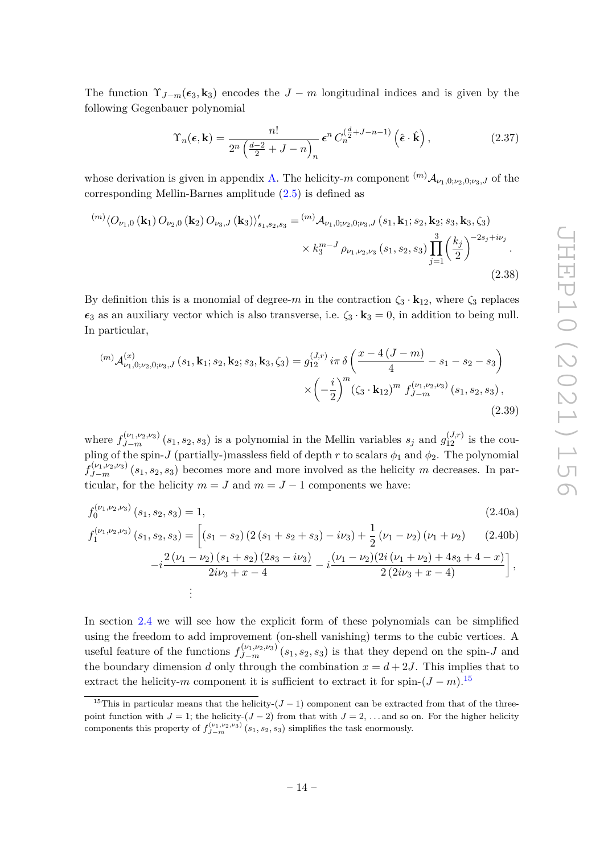The function  $\Upsilon_{J-m}(\epsilon_3, \mathbf{k}_3)$  encodes the  $J-m$  longitudinal indices and is given by the following Gegenbauer polynomial

<span id="page-15-1"></span>
$$
\Upsilon_n(\boldsymbol{\epsilon}, \mathbf{k}) = \frac{n!}{2^n \left(\frac{d-2}{2} + J - n\right)_n} \boldsymbol{\epsilon}^n C_n^{\left(\frac{d}{2} + J - n - 1\right)} \left(\hat{\boldsymbol{\epsilon}} \cdot \hat{\mathbf{k}}\right),\tag{2.37}
$$

whose derivation is given in appendix [A.](#page-47-0) The helicity-*m* component  $^{(m)}\mathcal{A}_{\nu_1,0;\nu_2,0;\nu_3,J}$  of the corresponding Mellin-Barnes amplitude [\(2.5\)](#page-7-4) is defined as

$$
\langle O_{\nu_1,0}(\mathbf{k}_1) O_{\nu_2,0}(\mathbf{k}_2) O_{\nu_3,J}(\mathbf{k}_3) \rangle'_{s_1,s_2,s_3} = {}^{(m)}\mathcal{A}_{\nu_1,0;\nu_2,0;\nu_3,J}(s_1,\mathbf{k}_1;s_2,\mathbf{k}_2;s_3,\mathbf{k}_3,\zeta_3) \times k_3^{m-J} \rho_{\nu_1,\nu_2,\nu_3}(s_1,s_2,s_3) \prod_{j=1}^3 \left(\frac{k_j}{2}\right)^{-2s_j+i\nu_j}.
$$
\n(2.38)

By definition this is a monomial of degree-*m* in the contraction  $\zeta_3 \cdot \mathbf{k}_{12}$ , where  $\zeta_3$  replaces  $\epsilon_3$  as an auxiliary vector which is also transverse, i.e.  $\zeta_3 \cdot \mathbf{k}_3 = 0$ , in addition to being null. In particular,

<span id="page-15-2"></span>
$$
^{(m)}\mathcal{A}_{\nu_{1},0;\nu_{2},0;\nu_{3},J}^{(x)}\left(s_{1},\mathbf{k}_{1};s_{2},\mathbf{k}_{2};s_{3},\mathbf{k}_{3},\zeta_{3}\right)=g_{12}^{(J,r)}i\pi\,\delta\left(\frac{x-4\left(J-m\right)}{4}-s_{1}-s_{2}-s_{3}\right)
$$

$$
\times\left(-\frac{i}{2}\right)^{m}\left(\zeta_{3}\cdot\mathbf{k}_{12}\right)^{m}f_{J-m}^{(\nu_{1},\nu_{2},\nu_{3})}\left(s_{1},s_{2},s_{3}\right),\tag{2.39}
$$

where  $f_{J-m}^{(\nu_1,\nu_2,\nu_3)}(s_1,s_2,s_3)$  is a polynomial in the Mellin variables  $s_j$  and  $g_{12}^{(J,r)}$  is the coupling of the spin-*J* (partially-)massless field of depth *r* to scalars  $\phi_1$  and  $\phi_2$ . The polynomial  $f_{J-m}^{(\nu_1,\nu_2,\nu_3)}(s_1,s_2,s_3)$  becomes more and more involved as the helicity *m* decreases. In particular, for the helicity  $m = J$  and  $m = J - 1$  components we have:

$$
f_0^{(\nu_1, \nu_2, \nu_3)}(s_1, s_2, s_3) = 1,\tag{2.40a}
$$

$$
f_1^{(\nu_1, \nu_2, \nu_3)}(s_1, s_2, s_3) = \left[ (s_1 - s_2) \left( 2 \left( s_1 + s_2 + s_3 \right) - i \nu_3 \right) + \frac{1}{2} \left( \nu_1 - \nu_2 \right) \left( \nu_1 + \nu_2 \right) \right] \tag{2.40b}
$$

<span id="page-15-3"></span>
$$
-i\frac{2(\nu_1-\nu_2)(s_1+s_2)(2s_3-i\nu_3)}{2i\nu_3+x-4} -i\frac{(\nu_1-\nu_2)(2i(\nu_1+\nu_2)+4s_3+4-x)}{2(2i\nu_3+x-4)}\bigg],
$$
  
:

In section [2.4](#page-21-0) we will see how the explicit form of these polynomials can be simplified using the freedom to add improvement (on-shell vanishing) terms to the cubic vertices. A useful feature of the functions  $f_{J-m}^{(\nu_1,\nu_2,\nu_3)}(s_1,s_2,s_3)$  is that they depend on the spin-*J* and the boundary dimension *d* only through the combination  $x = d + 2J$ . This implies that to extract the helicity-*m* component it is sufficient to extract it for spin- $(J - m)^{15}$  $(J - m)^{15}$  $(J - m)^{15}$ 

<span id="page-15-0"></span><sup>&</sup>lt;sup>15</sup>This in particular means that the helicity- $(J-1)$  component can be extracted from that of the threepoint function with  $J = 1$ ; the helicity-( $J - 2$ ) from that with  $J = 2, \ldots$  and so on. For the higher helicity components this property of  $f_{J-m}^{(\nu_1,\nu_2,\nu_3)}(s_1,s_2,s_3)$  simplifies the task enormously.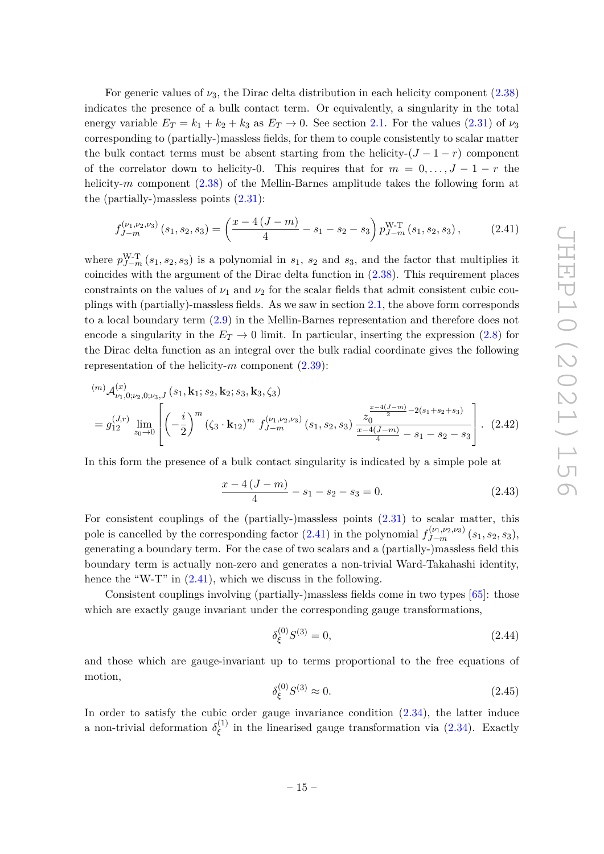For generic values of  $\nu_3$ , the Dirac delta distribution in each helicity component  $(2.38)$ indicates the presence of a bulk contact term. Or equivalently, a singularity in the total energy variable  $E_T = k_1 + k_2 + k_3$  as  $E_T \rightarrow 0$ . See section [2.1.](#page-7-0) For the values [\(2.31\)](#page-13-5) of  $\nu_3$ corresponding to (partially-)massless fields, for them to couple consistently to scalar matter the bulk contact terms must be absent starting from the helicity- $(J - 1 - r)$  component of the correlator down to helicity-0. This requires that for  $m = 0, \ldots, J - 1 - r$  the helicity-*m* component [\(2.38\)](#page-15-1) of the Mellin-Barnes amplitude takes the following form at the (partially-)massless points  $(2.31)$ :

<span id="page-16-0"></span>
$$
f_{J-m}^{(\nu_1,\nu_2,\nu_3)}(s_1,s_2,s_3) = \left(\frac{x-4\,(J-m)}{4} - s_1 - s_2 - s_3\right) p_{J-m}^{\text{W-T}}(s_1,s_2,s_3) ,\tag{2.41}
$$

where  $p_{J-m}^{W-T}(s_1, s_2, s_3)$  is a polynomial in  $s_1$ ,  $s_2$  and  $s_3$ , and the factor that multiplies it coincides with the argument of the Dirac delta function in  $(2.38)$ . This requirement places constraints on the values of  $\nu_1$  and  $\nu_2$  for the scalar fields that admit consistent cubic couplings with (partially)-massless fields. As we saw in section [2.1,](#page-7-0) the above form corresponds to a local boundary term [\(2.9\)](#page-8-3) in the Mellin-Barnes representation and therefore does not encode a singularity in the  $E_T \rightarrow 0$  limit. In particular, inserting the expression [\(2.8\)](#page-8-2) for the Dirac delta function as an integral over the bulk radial coordinate gives the following representation of the helicity-*m* component [\(2.39\)](#page-15-2):

$$
\begin{aligned}\n&\text{(m)} \mathcal{A}^{(x)}_{\nu_1,0;\nu_2,0;\nu_3,J} \left( s_1, \mathbf{k}_1; s_2, \mathbf{k}_2; s_3, \mathbf{k}_3, \zeta_3 \right) \\
&= g_{12}^{(J,r)} \lim_{z_0 \to 0} \left[ \left( -\frac{i}{2} \right)^m \left( \zeta_3 \cdot \mathbf{k}_{12} \right)^m f_{J-m}^{(\nu_1,\nu_2,\nu_3)} \left( s_1, s_2, s_3 \right) \frac{z_0^{\frac{x-4(J-m)}{2} - 2(s_1 + s_2 + s_3)}}{z - 4(J-m)} - s_1 - s_2 - s_3 \right].\n\end{aligned} \tag{2.42}
$$

In this form the presence of a bulk contact singularity is indicated by a simple pole at

<span id="page-16-3"></span><span id="page-16-2"></span>
$$
\frac{x-4\left(J-m\right)}{4} - s_1 - s_2 - s_3 = 0.\tag{2.43}
$$

For consistent couplings of the (partially-)massless points [\(2.31\)](#page-13-5) to scalar matter, this pole is cancelled by the corresponding factor  $(2.41)$  in the polynomial  $f_{J-m}^{(\nu_1,\nu_2,\nu_3)}(s_1,s_2,s_3)$ , generating a boundary term. For the case of two scalars and a (partially-)massless field this boundary term is actually non-zero and generates a non-trivial Ward-Takahashi identity, hence the "W-T" in  $(2.41)$ , which we discuss in the following.

Consistent couplings involving (partially-)massless fields come in two types [\[65\]](#page-56-2): those which are exactly gauge invariant under the corresponding gauge transformations,

<span id="page-16-1"></span>
$$
\delta_{\xi}^{(0)} S^{(3)} = 0,\t\t(2.44)
$$

and those which are gauge-invariant up to terms proportional to the free equations of motion,

<span id="page-16-4"></span>
$$
\delta_{\xi}^{(0)} S^{(3)} \approx 0. \tag{2.45}
$$

In order to satisfy the cubic order gauge invariance condition  $(2.34)$ , the latter induce a non-trivial deformation  $\delta_{\epsilon}^{(1)}$ *ξ* in the linearised gauge transformation via [\(2.34\)](#page-14-2). Exactly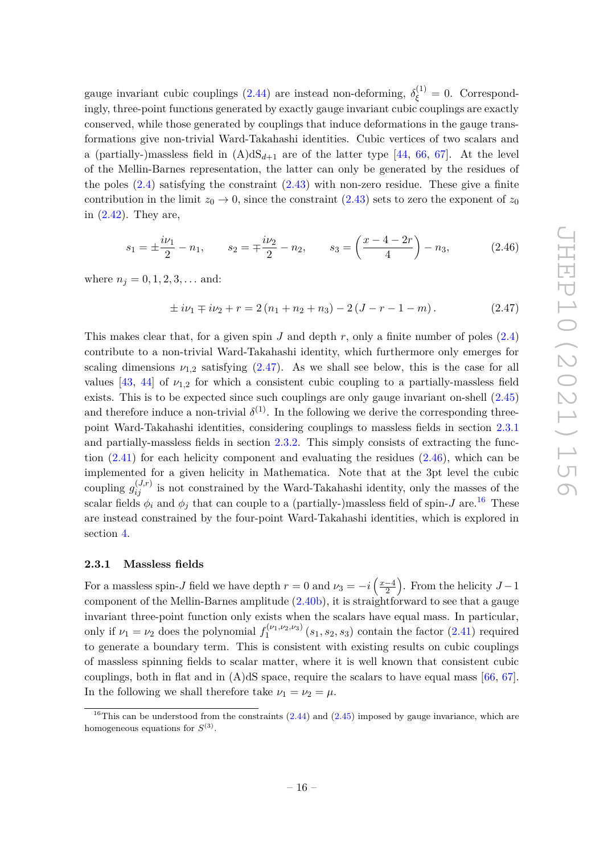gauge invariant cubic couplings [\(2.44\)](#page-16-1) are instead non-deforming,  $\delta_{\xi}^{(1)} = 0$ . Correspondingly, three-point functions generated by exactly gauge invariant cubic couplings are exactly conserved, while those generated by couplings that induce deformations in the gauge transformations give non-trivial Ward-Takahashi identities. Cubic vertices of two scalars and a (partially-)massless field in  $(A)dS_{d+1}$  are of the latter type [\[44,](#page-55-0) [66,](#page-56-3) [67\]](#page-56-4). At the level of the Mellin-Barnes representation, the latter can only be generated by the residues of the poles  $(2.4)$  satisfying the constraint  $(2.43)$  with non-zero residue. These give a finite contribution in the limit  $z_0 \to 0$ , since the constraint [\(2.43\)](#page-16-2) sets to zero the exponent of  $z_0$ in [\(2.42\)](#page-16-3). They are,

<span id="page-17-2"></span>
$$
s_1 = \pm \frac{i\nu_1}{2} - n_1
$$
,  $s_2 = \mp \frac{i\nu_2}{2} - n_2$ ,  $s_3 = \left(\frac{x-4-2r}{4}\right) - n_3$ , (2.46)

where  $n_j = 0, 1, 2, 3, \ldots$  and:

<span id="page-17-1"></span>
$$
\pm i\nu_1 \mp i\nu_2 + r = 2(n_1 + n_2 + n_3) - 2(J - r - 1 - m). \tag{2.47}
$$

This makes clear that, for a given spin *J* and depth *r*, only a finite number of poles [\(2.4\)](#page-7-3) contribute to a non-trivial Ward-Takahashi identity, which furthermore only emerges for scaling dimensions  $\nu_{1,2}$  satisfying  $(2.47)$ . As we shall see below, this is the case for all values  $[43, 44]$  $[43, 44]$  $[43, 44]$  of  $\nu_{1,2}$  for which a consistent cubic coupling to a partially-massless field exists. This is to be expected since such couplings are only gauge invariant on-shell [\(2.45\)](#page-16-4) and therefore induce a non-trivial  $\delta^{(1)}$ . In the following we derive the corresponding threepoint Ward-Takahashi identities, considering couplings to massless fields in section [2.3.1](#page-17-0) and partially-massless fields in section [2.3.2.](#page-19-0) This simply consists of extracting the function  $(2.41)$  for each helicity component and evaluating the residues  $(2.46)$ , which can be implemented for a given helicity in Mathematica. Note that at the 3pt level the cubic coupling  $g_{ij}^{(J,r)}$  is not constrained by the Ward-Takahashi identity, only the masses of the scalar fields  $\phi_i$  and  $\phi_j$  that can couple to a (partially-)massless field of spin-*J* are.<sup>[16](#page-17-3)</sup> These are instead constrained by the four-point Ward-Takahashi identities, which is explored in section [4.](#page-33-0)

#### <span id="page-17-0"></span>**2.3.1 Massless fields**

For a massless spin-*J* field we have depth  $r = 0$  and  $\nu_3 = -i\left(\frac{x-4}{2}\right)$  $\left(\frac{-4}{2}\right)$ . From the helicity  $J-1$ component of the Mellin-Barnes amplitude [\(2.40b\)](#page-15-3), it is straightforward to see that a gauge invariant three-point function only exists when the scalars have equal mass. In particular, only if  $\nu_1 = \nu_2$  does the polynomial  $f_1^{(\nu_1,\nu_2,\nu_3)}$  $\int_1^{(v_1, v_2, v_3)} (s_1, s_2, s_3)$  contain the factor  $(2.41)$  required to generate a boundary term. This is consistent with existing results on cubic couplings of massless spinning fields to scalar matter, where it is well known that consistent cubic couplings, both in flat and in  $(A)dS$  space, require the scalars to have equal mass [\[66,](#page-56-3) [67\]](#page-56-4). In the following we shall therefore take  $\nu_1 = \nu_2 = \mu$ .

<span id="page-17-3"></span><sup>&</sup>lt;sup>16</sup>This can be understood from the constraints  $(2.44)$  and  $(2.45)$  imposed by gauge invariance, which are homogeneous equations for  $S^{(3)}$ .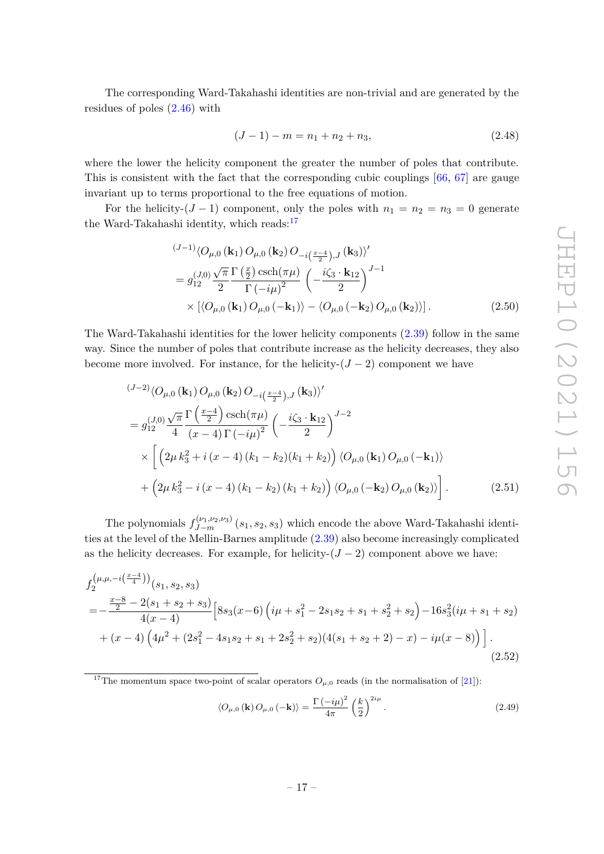The corresponding Ward-Takahashi identities are non-trivial and are generated by the residues of poles [\(2.46\)](#page-17-2) with

<span id="page-18-1"></span>
$$
(J-1) - m = n_1 + n_2 + n_3, \tag{2.48}
$$

where the lower the helicity component the greater the number of poles that contribute. This is consistent with the fact that the corresponding cubic couplings [\[66,](#page-56-3) [67\]](#page-56-4) are gauge invariant up to terms proportional to the free equations of motion.

For the helicity- $(J - 1)$  component, only the poles with  $n_1 = n_2 = n_3 = 0$  generate the Ward-Takahashi identity, which reads: $17$ 

$$
\begin{split} &\frac{(J-1)}{\sqrt{O_{\mu,0}(\mathbf{k}_1) O_{\mu,0}(\mathbf{k}_2) O_{-i}(\frac{x-4}{2}), J}(\mathbf{k}_3))'}\\ &= g_{12}^{(J,0)} \frac{\sqrt{\pi}}{2} \frac{\Gamma(\frac{x}{2}) \operatorname{csch}(\pi\mu)}{\Gamma(-i\mu)^2} \left(-\frac{i\zeta_3 \cdot \mathbf{k}_{12}}{2}\right)^{J-1} \\ &\times \left[\langle O_{\mu,0}(\mathbf{k}_1) O_{\mu,0}(-\mathbf{k}_1) \rangle - \langle O_{\mu,0}(-\mathbf{k}_2) O_{\mu,0}(\mathbf{k}_2) \rangle\right]. \end{split} \tag{2.50}
$$

The Ward-Takahashi identities for the lower helicity components [\(2.39\)](#page-15-2) follow in the same way. Since the number of poles that contribute increase as the helicity decreases, they also become more involved. For instance, for the helicity- $(J - 2)$  component we have

$$
\begin{split}\n\left(\frac{J-2}{Q_{\mu,0}}\left(\mathbf{k}_{1}\right)O_{\mu,0}\left(\mathbf{k}_{2}\right)O_{-i\left(\frac{x-4}{2}\right),J}\left(\mathbf{k}_{3}\right)\right)'\n\end{split}
$$
\n
$$
= g_{12}^{(J,0)} \frac{\sqrt{\pi}}{4} \frac{\Gamma\left(\frac{x-4}{2}\right) \operatorname{csch}(\pi\mu)}{\left(x-4\right) \Gamma\left(-i\mu\right)^{2}} \left(-\frac{i\zeta_{3} \cdot \mathbf{k}_{12}}{2}\right)^{J-2}\n\times \left[\left(2\mu k_{3}^{2} + i\left(x-4\right)\left(k_{1}-k_{2}\right)\left(k_{1}+k_{2}\right)\right) \langle O_{\mu,0}\left(\mathbf{k}_{1}\right)O_{\mu,0}\left(-\mathbf{k}_{1}\right)\rangle\right.\n\left.+\left(2\mu k_{3}^{2} - i\left(x-4\right)\left(k_{1}-k_{2}\right)\left(k_{1}+k_{2}\right)\right) \langle O_{\mu,0}\left(-\mathbf{k}_{2}\right)O_{\mu,0}\left(\mathbf{k}_{2}\right)\rangle\right].\n\tag{2.51}
$$

The polynomials  $f_{J-m}^{(\nu_1,\nu_2,\nu_3)}(s_1,s_2,s_3)$  which encode the above Ward-Takahashi identities at the level of the Mellin-Barnes amplitude [\(2.39\)](#page-15-2) also become increasingly complicated as the helicity decreases. For example, for helicity- $(J-2)$  component above we have:

$$
f_{2}^{(\mu,\mu,-i(\frac{x-4}{4}))}(s_{1},s_{2},s_{3})
$$
\n
$$
=-\frac{\frac{x-8}{2}-2(s_{1}+s_{2}+s_{3})}{4(x-4)}\left[8s_{3}(x-6)\left(i\mu+s_{1}^{2}-2s_{1}s_{2}+s_{1}+s_{2}^{2}+s_{2}\right)-16s_{3}^{2}(i\mu+s_{1}+s_{2})+ (x-4)\left(4\mu^{2}+(2s_{1}^{2}-4s_{1}s_{2}+s_{1}+2s_{2}^{2}+s_{2})(4(s_{1}+s_{2}+2)-x)-i\mu(x-8)\right)\right].
$$
\n(2.52)

<span id="page-18-0"></span><sup>17</sup>The momentum space two-point of scalar operators  $O_{\mu,0}$  reads (in the normalisation of [\[21\]](#page-53-6)):

<span id="page-18-3"></span><span id="page-18-2"></span>
$$
\langle O_{\mu,0}(\mathbf{k}) O_{\mu,0}(-\mathbf{k}) \rangle = \frac{\Gamma(-i\mu)^2}{4\pi} \left(\frac{k}{2}\right)^{2i\mu}.
$$
 (2.49)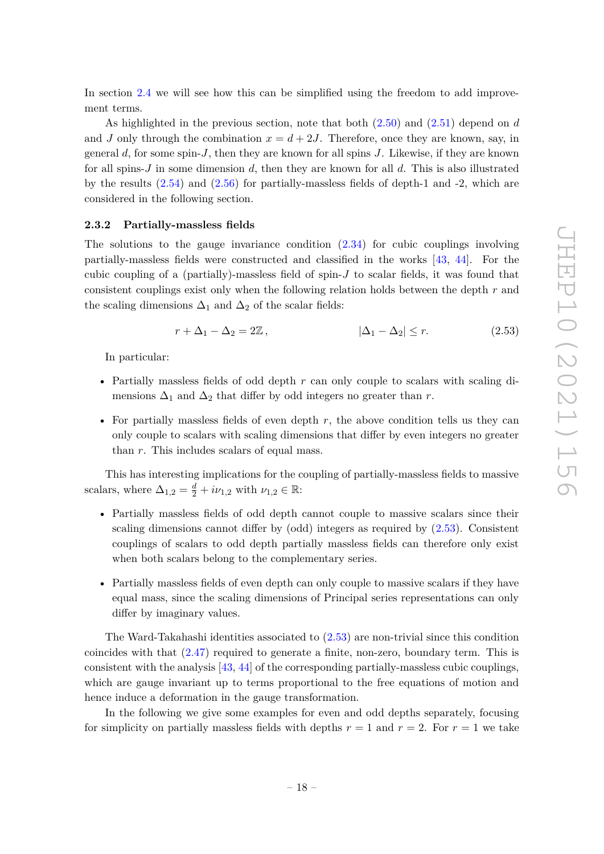In section [2.4](#page-21-0) we will see how this can be simplified using the freedom to add improvement terms.

As highlighted in the previous section, note that both [\(2.50\)](#page-18-1) and [\(2.51\)](#page-18-2) depend on *d* and *J* only through the combination  $x = d + 2J$ . Therefore, once they are known, say, in general *d*, for some spin-*J*, then they are known for all spins *J*. Likewise, if they are known for all spins-*J* in some dimension *d*, then they are known for all *d*. This is also illustrated by the results  $(2.54)$  and  $(2.56)$  for partially-massless fields of depth-1 and -2, which are considered in the following section.

#### <span id="page-19-0"></span>**2.3.2 Partially-massless fields**

The solutions to the gauge invariance condition [\(2.34\)](#page-14-2) for cubic couplings involving partially-massless fields were constructed and classified in the works [\[43,](#page-54-8) [44\]](#page-55-0). For the cubic coupling of a (partially)-massless field of spin-*J* to scalar fields, it was found that consistent couplings exist only when the following relation holds between the depth *r* and the scaling dimensions  $\Delta_1$  and  $\Delta_2$  of the scalar fields:

<span id="page-19-1"></span>
$$
r + \Delta_1 - \Delta_2 = 2\mathbb{Z}, \qquad |\Delta_1 - \Delta_2| \le r. \tag{2.53}
$$

In particular:

- Partially massless fields of odd depth *r* can only couple to scalars with scaling dimensions  $\Delta_1$  and  $\Delta_2$  that differ by odd integers no greater than *r*.
- For partially massless fields of even depth *r*, the above condition tells us they can only couple to scalars with scaling dimensions that differ by even integers no greater than *r*. This includes scalars of equal mass.

This has interesting implications for the coupling of partially-massless fields to massive scalars, where  $\Delta_{1,2} = \frac{d}{2} + i\nu_{1,2}$  with  $\nu_{1,2} \in \mathbb{R}$ :

- Partially massless fields of odd depth cannot couple to massive scalars since their scaling dimensions cannot differ by (odd) integers as required by [\(2.53\)](#page-19-1). Consistent couplings of scalars to odd depth partially massless fields can therefore only exist when both scalars belong to the complementary series.
- Partially massless fields of even depth can only couple to massive scalars if they have equal mass, since the scaling dimensions of Principal series representations can only differ by imaginary values.

The Ward-Takahashi identities associated to [\(2.53\)](#page-19-1) are non-trivial since this condition coincides with that [\(2.47\)](#page-17-1) required to generate a finite, non-zero, boundary term. This is consistent with the analysis [\[43,](#page-54-8) [44\]](#page-55-0) of the corresponding partially-massless cubic couplings, which are gauge invariant up to terms proportional to the free equations of motion and hence induce a deformation in the gauge transformation.

In the following we give some examples for even and odd depths separately, focusing for simplicity on partially massless fields with depths  $r = 1$  and  $r = 2$ . For  $r = 1$  we take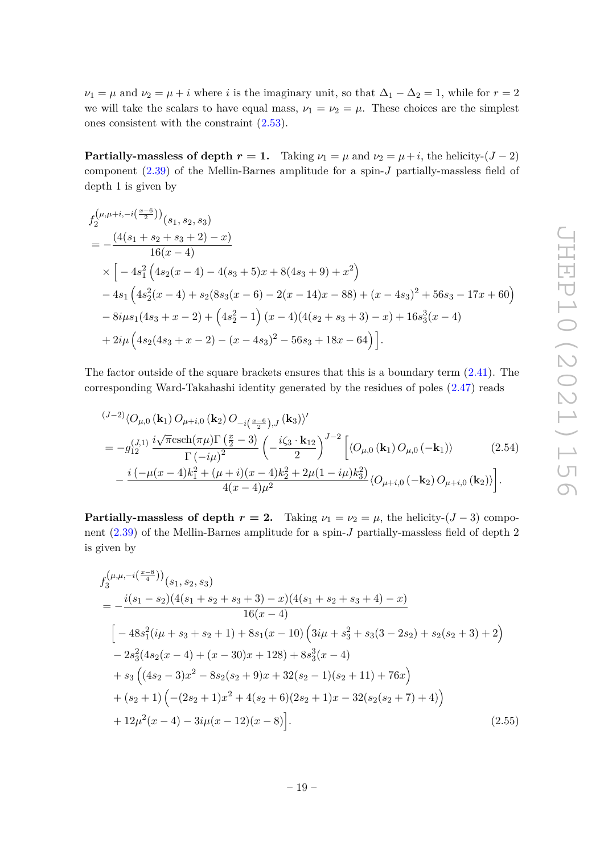$\nu_1 = \mu$  and  $\nu_2 = \mu + i$  where *i* is the imaginary unit, so that  $\Delta_1 - \Delta_2 = 1$ , while for  $r = 2$ we will take the scalars to have equal mass,  $\nu_1 = \nu_2 = \mu$ . These choices are the simplest ones consistent with the constraint [\(2.53\)](#page-19-1).

**Partially-massless of depth**  $r = 1$ **.** Taking  $\nu_1 = \mu$  and  $\nu_2 = \mu + i$ , the helicity-(*J* − 2) component [\(2.39\)](#page-15-2) of the Mellin-Barnes amplitude for a spin-*J* partially-massless field of depth 1 is given by

$$
f_{2}^{(\mu,\mu+i,-i(\frac{x-6}{2}))}(s_{1},s_{2},s_{3})
$$
\n
$$
=\frac{(4(s_{1}+s_{2}+s_{3}+2)-x)}{16(x-4)}
$$
\n
$$
\times \left[-4s_{1}^{2}\left(4s_{2}(x-4)-4(s_{3}+5)x+8(4s_{3}+9)+x^{2}\right)\right]
$$
\n
$$
-4s_{1}\left(4s_{2}^{2}(x-4)+s_{2}(8s_{3}(x-6)-2(x-14)x-88)+(x-4s_{3})^{2}+56s_{3}-17x+60\right)
$$
\n
$$
-8i\mu s_{1}(4s_{3}+x-2)+\left(4s_{2}^{2}-1\right)(x-4)(4(s_{2}+s_{3}+3)-x)+16s_{3}^{3}(x-4)
$$
\n
$$
+2i\mu\left(4s_{2}(4s_{3}+x-2)-(x-4s_{3})^{2}-56s_{3}+18x-64\right)\right].
$$

The factor outside of the square brackets ensures that this is a boundary term [\(2.41\)](#page-16-0). The corresponding Ward-Takahashi identity generated by the residues of poles [\(2.47\)](#page-17-1) reads

<span id="page-20-0"></span>
$$
\begin{split} &\frac{(J-2)}{\sqrt{O_{\mu,0}(\mathbf{k}_1) O_{\mu+i,0}(\mathbf{k}_2) O_{-i\left(\frac{x-6}{2}\right),J}(\mathbf{k}_3)\rangle'}}{} \\ &=-g_{12}^{(J,1)}\frac{i\sqrt{\pi}\mathrm{csch}(\pi\mu)\Gamma\left(\frac{x}{2}-3\right)}{\Gamma\left(-i\mu\right)^2}\left(-\frac{i\zeta_3\cdot\mathbf{k}_{12}}{2}\right)^{J-2}\left[\langle O_{\mu,0}(\mathbf{k}_1) O_{\mu,0}(-\mathbf{k}_1)\rangle \right] \\ &-\frac{i\left(-\mu(x-4)k_1^2+(\mu+i)(x-4)k_2^2+2\mu(1-i\mu)k_3^2\right)}{4(x-4)\mu^2}\langle O_{\mu+i,0}(-\mathbf{k}_2) O_{\mu+i,0}(\mathbf{k}_2)\rangle\right]. \end{split} \tag{2.54}
$$

**Partially-massless of depth**  $r = 2$ **.** Taking  $\nu_1 = \nu_2 = \mu$ , the helicity-(*J* − 3) component [\(2.39\)](#page-15-2) of the Mellin-Barnes amplitude for a spin-*J* partially-massless field of depth 2 is given by

<span id="page-20-1"></span>
$$
f_3^{(\mu,\mu,-i(\frac{x-8}{4}))}(s_1, s_2, s_3)
$$
  
=  $-\frac{i(s_1 - s_2)(4(s_1 + s_2 + s_3 + 3) - x)(4(s_1 + s_2 + s_3 + 4) - x)}{16(x - 4)}$   

$$
\left[ -48s_1^2(i\mu + s_3 + s_2 + 1) + 8s_1(x - 10) (3i\mu + s_3^2 + s_3(3 - 2s_2) + s_2(s_2 + 3) + 2) - 2s_3^2(4s_2(x - 4) + (x - 30)x + 128) + 8s_3^3(x - 4) + s_3 ((4s_2 - 3)x^2 - 8s_2(s_2 + 9)x + 32(s_2 - 1)(s_2 + 11) + 76x) + (s_2 + 1)(-(2s_2 + 1)x^2 + 4(s_2 + 6)(2s_2 + 1)x - 32(s_2(s_2 + 7) + 4)) + 12\mu^2(x - 4) - 3i\mu(x - 12)(x - 8)].
$$
\n(2.55)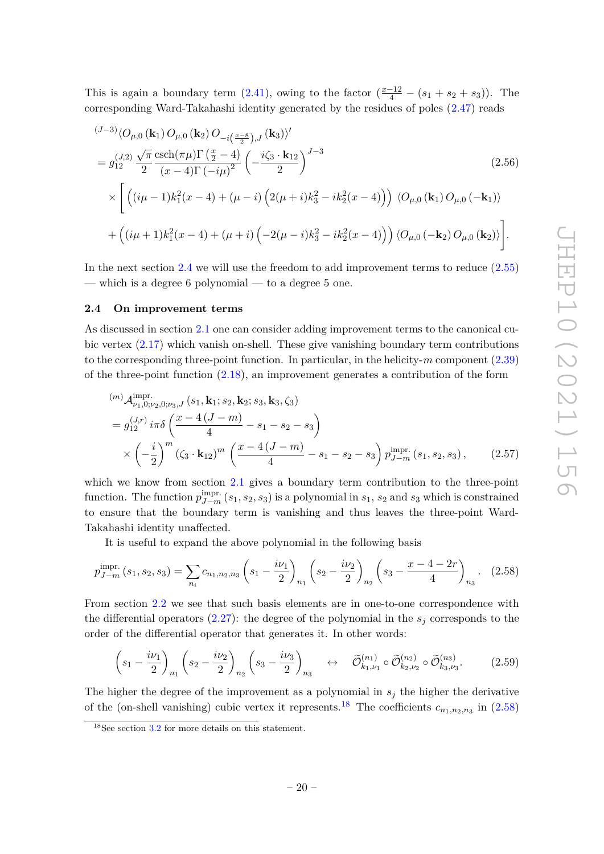This is again a boundary term  $(2.41)$ , owing to the factor  $(\frac{x-12}{4} - (s_1 + s_2 + s_3))$ . The corresponding Ward-Takahashi identity generated by the residues of poles [\(2.47\)](#page-17-1) reads

<span id="page-21-1"></span>
$$
(J-3)\langle O_{\mu,0}(\mathbf{k}_1) O_{\mu,0}(\mathbf{k}_2) O_{-i\left(\frac{x-8}{2}\right),J}(\mathbf{k}_3)\rangle'
$$
  
=  $g_{12}^{(J,2)} \frac{\sqrt{\pi}}{2} \frac{\operatorname{csch}(\pi\mu) \Gamma\left(\frac{x}{2}-4\right)}{(x-4)\Gamma(-i\mu)^2} \left(-\frac{i\zeta_3 \cdot \mathbf{k}_{12}}{2}\right)^{J-3}$  (2.56)  

$$
\times \left[ \left( (i\mu - 1)k_1^2(x-4) + (\mu - i) \left( 2(\mu + i)k_3^2 - ik_2^2(x-4) \right) \right) \langle O_{\mu,0}(\mathbf{k}_1) O_{\mu,0}(-\mathbf{k}_1) \rangle \right. \\ \left. + \left( (i\mu + 1)k_1^2(x-4) + (\mu + i) \left( -2(\mu - i)k_3^2 - ik_2^2(x-4) \right) \right) \langle O_{\mu,0}(-\mathbf{k}_2) O_{\mu,0}(\mathbf{k}_2) \rangle \right].
$$

In the next section [2.4](#page-21-0) we will use the freedom to add improvement terms to reduce [\(2.55\)](#page-20-1) — which is a degree 6 polynomial — to a degree 5 one.

#### <span id="page-21-0"></span>**2.4 On improvement terms**

As discussed in section [2.1](#page-7-0) one can consider adding improvement terms to the canonical cubic vertex [\(2.17\)](#page-10-1) which vanish on-shell. These give vanishing boundary term contributions to the corresponding three-point function. In particular, in the helicity-*m* component [\(2.39\)](#page-15-2) of the three-point function [\(2.18\)](#page-10-2), an improvement generates a contribution of the form

$$
(m) \mathcal{A}_{\nu_1,0;\nu_2,0;\nu_3,J}^{\text{impr.}}(s_1, \mathbf{k}_1; s_2, \mathbf{k}_2; s_3, \mathbf{k}_3, \zeta_3)
$$
  
=  $g_{12}^{(J,r)} i\pi \delta \left(\frac{x-4(J-m)}{4} - s_1 - s_2 - s_3\right)$   

$$
\times \left(-\frac{i}{2}\right)^m \left(\zeta_3 \cdot \mathbf{k}_{12}\right)^m \left(\frac{x-4(J-m)}{4} - s_1 - s_2 - s_3\right) p_{J-m}^{\text{impr.}}(s_1, s_2, s_3), \qquad (2.57)
$$

which we know from section [2.1](#page-7-0) gives a boundary term contribution to the three-point function. The function  $p_{J-m}^{\text{impr.}}(s_1, s_2, s_3)$  is a polynomial in  $s_1, s_2$  and  $s_3$  which is constrained to ensure that the boundary term is vanishing and thus leaves the three-point Ward-Takahashi identity unaffected.

It is useful to expand the above polynomial in the following basis

<span id="page-21-3"></span>
$$
p_{J-m}^{\text{impr.}}(s_1, s_2, s_3) = \sum_{n_i} c_{n_1, n_2, n_3} \left( s_1 - \frac{i\nu_1}{2} \right)_{n_1} \left( s_2 - \frac{i\nu_2}{2} \right)_{n_2} \left( s_3 - \frac{x - 4 - 2r}{4} \right)_{n_3} . \tag{2.58}
$$

From section [2.2](#page-10-0) we see that such basis elements are in one-to-one correspondence with the differential operators  $(2.27)$ : the degree of the polynomial in the  $s_i$  corresponds to the order of the differential operator that generates it. In other words:

<span id="page-21-4"></span>
$$
\left(s_1 - \frac{i\nu_1}{2}\right)_{n_1} \left(s_2 - \frac{i\nu_2}{2}\right)_{n_2} \left(s_3 - \frac{i\nu_3}{2}\right)_{n_3} \quad \leftrightarrow \quad \tilde{\mathcal{O}}_{k_1,\nu_1}^{(n_1)} \circ \tilde{\mathcal{O}}_{k_2,\nu_2}^{(n_2)} \circ \tilde{\mathcal{O}}_{k_3,\nu_3}^{(n_3)}.\tag{2.59}
$$

The higher the degree of the improvement as a polynomial in  $s_j$  the higher the derivative of the (on-shell vanishing) cubic vertex it represents.<sup>[18](#page-21-2)</sup> The coefficients  $c_{n_1,n_2,n_3}$  in [\(2.58\)](#page-21-3)

<span id="page-21-2"></span> $18$ See section [3.2](#page-29-0) for more details on this statement.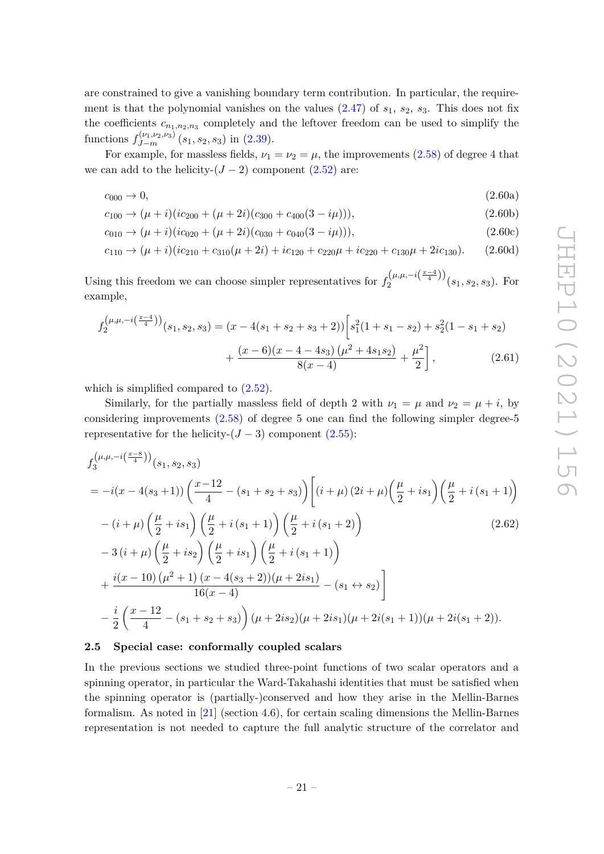are constrained to give a vanishing boundary term contribution. In particular, the requirement is that the polynomial vanishes on the values  $(2.47)$  of  $s_1$ ,  $s_2$ ,  $s_3$ . This does not fix the coefficients  $c_{n_1,n_2,n_3}$  completely and the leftover freedom can be used to simplify the functions  $f_{J-m}^{(\nu_1,\nu_2,\nu_3)}(s_1,s_2,s_3)$  in [\(2.39\)](#page-15-2).

For example, for massless fields,  $\nu_1 = \nu_2 = \mu$ , the improvements [\(2.58\)](#page-21-3) of degree 4 that we can add to the helicity- $(J-2)$  component  $(2.52)$  are:

$$
c_{000} \to 0, \tag{2.60a}
$$

$$
c_{100} \rightarrow (\mu + i)(ic_{200} + (\mu + 2i)(c_{300} + c_{400}(3 - i\mu))), \tag{2.60b}
$$

$$
c_{010} \rightarrow (\mu + i)(ic_{020} + (\mu + 2i)(c_{030} + c_{040}(3 - i\mu))), \tag{2.60c}
$$

$$
c_{110} \rightarrow (\mu + i)(ic_{210} + c_{310}(\mu + 2i) + ic_{120} + c_{220}\mu + ic_{220} + c_{130}\mu + 2ic_{130}).
$$
 (2.60d)

Using this freedom we can choose simpler representatives for  $f_2^{(\mu,\mu,-i(\frac{x-4}{4}))}$  $\frac{2}{2}$ <sup>( $\mu, \mu, -i(\frac{4}{4})$ )</sup>( $s_1, s_2, s_3$ ). For example,

$$
f_2^{(\mu,\mu,-i(\frac{x-4}{4}))}(s_1,s_2,s_3) = (x - 4(s_1 + s_2 + s_3 + 2)) \left[s_1^2(1 + s_1 - s_2) + s_2^2(1 - s_1 + s_2) + \frac{(x - 6)(x - 4 - 4s_3)\left(\mu^2 + 4s_1s_2\right)}{8(x - 4)} + \frac{\mu^2}{2}\right],
$$
\n(2.61)

which is simplified compared to [\(2.52\)](#page-18-3).

Similarly, for the partially massless field of depth 2 with  $\nu_1 = \mu$  and  $\nu_2 = \mu + i$ , by considering improvements [\(2.58\)](#page-21-3) of degree 5 one can find the following simpler degree-5 representative for the helicity- $(J-3)$  component  $(2.55)$ :

<span id="page-22-1"></span>
$$
f_{3}^{(\mu,\mu,-i(\frac{x-8}{4}))}(s_{1},s_{2},s_{3})
$$
\n
$$
= -i(x-4(s_{3}+1))\left(\frac{x-12}{4} - (s_{1}+s_{2}+s_{3})\right)\left[(i+\mu)(2i+\mu)\left(\frac{\mu}{2}+is_{1}\right)\left(\frac{\mu}{2}+i(s_{1}+1)\right)\right]
$$
\n
$$
-(i+\mu)\left(\frac{\mu}{2}+is_{1}\right)\left(\frac{\mu}{2}+i(s_{1}+1)\right)\left(\frac{\mu}{2}+i(s_{1}+2)\right)
$$
\n
$$
-3(i+\mu)\left(\frac{\mu}{2}+is_{2}\right)\left(\frac{\mu}{2}+is_{1}\right)\left(\frac{\mu}{2}+i(s_{1}+1)\right)
$$
\n
$$
+\frac{i(x-10)(\mu^{2}+1)(x-4(s_{3}+2))(\mu+2is_{1})}{16(x-4)} - (s_{1} \leftrightarrow s_{2})\right]
$$
\n
$$
-\frac{i}{2}\left(\frac{x-12}{4} - (s_{1}+s_{2}+s_{3})\right)(\mu+2is_{2})(\mu+2is_{1})(\mu+2i(s_{1}+1))(\mu+2i(s_{1}+2)).
$$
\n(2.62)

#### <span id="page-22-0"></span>**2.5 Special case: conformally coupled scalars**

In the previous sections we studied three-point functions of two scalar operators and a spinning operator, in particular the Ward-Takahashi identities that must be satisfied when the spinning operator is (partially-)conserved and how they arise in the Mellin-Barnes formalism. As noted in [\[21\]](#page-53-6) (section 4.6), for certain scaling dimensions the Mellin-Barnes representation is not needed to capture the full analytic structure of the correlator and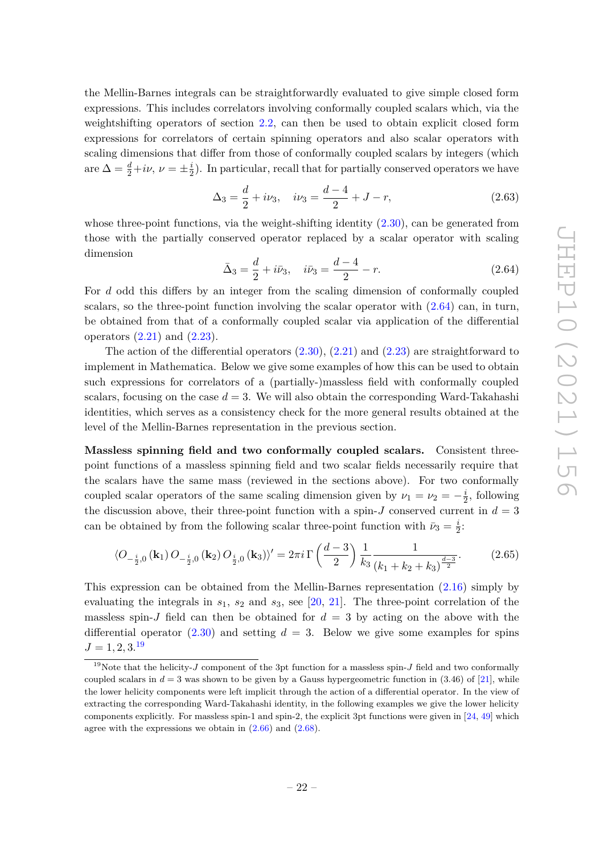$\sigma$ 

the Mellin-Barnes integrals can be straightforwardly evaluated to give simple closed form expressions. This includes correlators involving conformally coupled scalars which, via the weightshifting operators of section [2.2,](#page-10-0) can then be used to obtain explicit closed form expressions for correlators of certain spinning operators and also scalar operators with scaling dimensions that differ from those of conformally coupled scalars by integers (which are  $\Delta = \frac{d}{2} + i\nu$ ,  $\nu = \pm \frac{i}{2}$  $\frac{i}{2}$ ). In particular, recall that for partially conserved operators we have

$$
\Delta_3 = \frac{d}{2} + i\nu_3, \quad i\nu_3 = \frac{d-4}{2} + J - r,\tag{2.63}
$$

whose three-point functions, via the weight-shifting identity  $(2.30)$ , can be generated from those with the partially conserved operator replaced by a scalar operator with scaling dimension

<span id="page-23-0"></span>
$$
\bar{\Delta}_3 = \frac{d}{2} + i\bar{\nu}_3, \quad i\bar{\nu}_3 = \frac{d-4}{2} - r.
$$
\n(2.64)

For *d* odd this differs by an integer from the scaling dimension of conformally coupled scalars, so the three-point function involving the scalar operator with  $(2.64)$  can, in turn, be obtained from that of a conformally coupled scalar via application of the differential operators  $(2.21)$  and  $(2.23)$ .

The action of the differential operators  $(2.30), (2.21)$  $(2.30), (2.21)$  $(2.30), (2.21)$  and  $(2.23)$  are straightforward to implement in Mathematica. Below we give some examples of how this can be used to obtain such expressions for correlators of a (partially-)massless field with conformally coupled scalars, focusing on the case  $d = 3$ . We will also obtain the corresponding Ward-Takahashi identities, which serves as a consistency check for the more general results obtained at the level of the Mellin-Barnes representation in the previous section.

**Massless spinning field and two conformally coupled scalars.** Consistent threepoint functions of a massless spinning field and two scalar fields necessarily require that the scalars have the same mass (reviewed in the sections above). For two conformally coupled scalar operators of the same scaling dimension given by  $\nu_1 = \nu_2 = -\frac{i}{2}$  $\frac{i}{2}$ , following the discussion above, their three-point function with a spin-*J* conserved current in  $d = 3$ can be obtained by from the following scalar three-point function with  $\bar{\nu}_3 = \frac{i}{2}$  $\frac{i}{2}$ :

<span id="page-23-2"></span>
$$
\langle O_{-\frac{i}{2},0}(\mathbf{k}_1) O_{-\frac{i}{2},0}(\mathbf{k}_2) O_{\frac{i}{2},0}(\mathbf{k}_3) \rangle' = 2\pi i \Gamma \left( \frac{d-3}{2} \right) \frac{1}{k_3} \frac{1}{(k_1 + k_2 + k_3)^{\frac{d-3}{2}}}.
$$
 (2.65)

This expression can be obtained from the Mellin-Barnes representation [\(2.16\)](#page-9-2) simply by evaluating the integrals in *s*1, *s*<sup>2</sup> and *s*3, see [\[20,](#page-53-5) [21\]](#page-53-6). The three-point correlation of the massless spin-*J* field can then be obtained for  $d = 3$  by acting on the above with the differential operator  $(2.30)$  and setting  $d = 3$ . Below we give some examples for spins  $J = 1, 2, 3.19$  $J = 1, 2, 3.19$ 

<span id="page-23-1"></span><sup>&</sup>lt;sup>19</sup>Note that the helicity- $J$  component of the 3pt function for a massless spin- $J$  field and two conformally coupled scalars in  $d = 3$  was shown to be given by a Gauss hypergeometric function in (3.46) of [\[21\]](#page-53-6), while the lower helicity components were left implicit through the action of a differential operator. In the view of extracting the corresponding Ward-Takahashi identity, in the following examples we give the lower helicity components explicitly. For massless spin-1 and spin-2, the explicit 3pt functions were given in [\[24,](#page-54-5) [49\]](#page-55-9) which agree with the expressions we obtain in [\(2.66\)](#page-24-0) and [\(2.68\)](#page-24-1).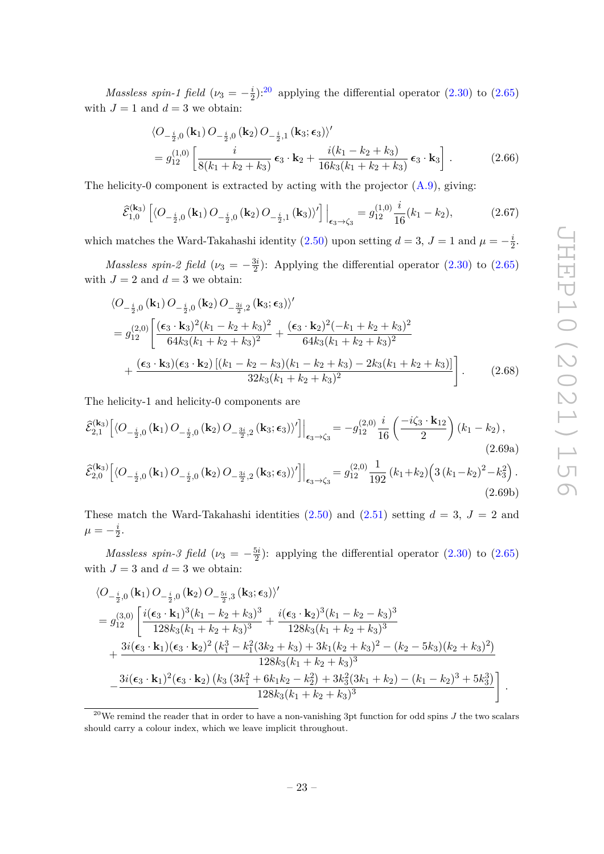*Massless spin-1 field* ( $\nu_3 = -\frac{i}{2}$  $\frac{i}{2}$ ):<sup>[20](#page-24-2)</sup> applying the differential operator [\(2.30\)](#page-13-1) to [\(2.65\)](#page-23-2) with  $J = 1$  and  $d = 3$  we obtain:

<span id="page-24-0"></span>
$$
\langle O_{-\frac{i}{2},0}(\mathbf{k}_1) O_{-\frac{i}{2},0}(\mathbf{k}_2) O_{-\frac{i}{2},1}(\mathbf{k}_3; \epsilon_3) \rangle'
$$
  
=  $g_{12}^{(1,0)} \left[ \frac{i}{8(k_1 + k_2 + k_3)} \epsilon_3 \cdot \mathbf{k}_2 + \frac{i(k_1 - k_2 + k_3)}{16k_3(k_1 + k_2 + k_3)} \epsilon_3 \cdot \mathbf{k}_3 \right].$  (2.66)

The helicity-0 component is extracted by acting with the projector  $(A.9)$ , giving:

$$
\hat{\mathcal{E}}_{1,0}^{(\mathbf{k}_3)} \left[ \langle O_{-\frac{i}{2},0} \left( \mathbf{k}_1 \right) O_{-\frac{i}{2},0} \left( \mathbf{k}_2 \right) O_{-\frac{i}{2},1} \left( \mathbf{k}_3 \right) \rangle' \right] \Big|_{\epsilon_3 \to \zeta_3} = g_{12}^{(1,0)} \frac{i}{16} (k_1 - k_2),\tag{2.67}
$$

which matches the Ward-Takahashi identity [\(2.50\)](#page-18-1) upon setting  $d = 3$ ,  $J = 1$  and  $\mu = -\frac{i}{5}$  $\frac{i}{2}$ .

*Massless spin-2 field* ( $\nu_3 = -\frac{3i}{2}$  $\frac{3i}{2}$ : Applying the differential operator [\(2.30\)](#page-13-1) to [\(2.65\)](#page-23-2) with  $J = 2$  and  $d = 3$  we obtain:

<span id="page-24-1"></span>
$$
\langle O_{-\frac{i}{2},0}(\mathbf{k}_1) O_{-\frac{i}{2},0}(\mathbf{k}_2) O_{-\frac{3i}{2},2}(\mathbf{k}_3; \epsilon_3) \rangle'
$$
  
=  $g_{12}^{(2,0)} \left[ \frac{(\epsilon_3 \cdot \mathbf{k}_3)^2 (k_1 - k_2 + k_3)^2}{64k_3 (k_1 + k_2 + k_3)^2} + \frac{(\epsilon_3 \cdot \mathbf{k}_2)^2 (-k_1 + k_2 + k_3)^2}{64k_3 (k_1 + k_2 + k_3)^2} + \frac{(\epsilon_3 \cdot \mathbf{k}_3)(\epsilon_3 \cdot \mathbf{k}_2) \left[ (k_1 - k_2 - k_3)(k_1 - k_2 + k_3) - 2k_3 (k_1 + k_2 + k_3) \right]}{32k_3 (k_1 + k_2 + k_3)^2} \right].$  (2.68)

The helicity-1 and helicity-0 components are

$$
\hat{\mathcal{E}}_{2,1}^{(\mathbf{k}_3)} \left[ \langle O_{-\frac{i}{2},0}(\mathbf{k}_1) O_{-\frac{i}{2},0}(\mathbf{k}_2) O_{-\frac{3i}{2},2}(\mathbf{k}_3; \epsilon_3) \rangle' \right] \Big|_{\epsilon_3 \to \zeta_3} = -g_{12}^{(2,0)} \frac{i}{16} \left( \frac{-i\zeta_3 \cdot \mathbf{k}_{12}}{2} \right) (k_1 - k_2),
$$
\n
$$
\hat{\mathcal{E}}_{2,0}^{(\mathbf{k}_3)} \left[ \langle O_{-\frac{i}{2},0}(\mathbf{k}_1) O_{-\frac{i}{2},0}(\mathbf{k}_2) O_{-\frac{3i}{2},2}(\mathbf{k}_3; \epsilon_3) \rangle' \right] \Big|_{\epsilon_3 \to \zeta_3} = g_{12}^{(2,0)} \frac{1}{192} (k_1 + k_2) \left( 3 (k_1 - k_2)^2 - k_3^2 \right).
$$
\n(2.69a)

These match the Ward-Takahashi identities  $(2.50)$  and  $(2.51)$  setting  $d = 3$ ,  $J = 2$  and  $\mu = -\frac{i}{2}$  $\frac{\imath}{2}$ .

*Massless spin-3 field* ( $\nu_3 = -\frac{5i}{2}$ )  $\frac{5i}{2}$ : applying the differential operator  $(2.30)$  to  $(2.65)$ with  $J = 3$  and  $d = 3$  we obtain:

$$
\langle O_{-\frac{i}{2},0}(\mathbf{k}_1) O_{-\frac{i}{2},0}(\mathbf{k}_2) O_{-\frac{5i}{2},3}(\mathbf{k}_3; \epsilon_3) \rangle' \n= g_{12}^{(3,0)} \left[ \frac{i(\epsilon_3 \cdot \mathbf{k}_1)^3 (k_1 - k_2 + k_3)^3}{128k_3(k_1 + k_2 + k_3)^3} + \frac{i(\epsilon_3 \cdot \mathbf{k}_2)^3 (k_1 - k_2 - k_3)^3}{128k_3(k_1 + k_2 + k_3)^3} + \frac{3i(\epsilon_3 \cdot \mathbf{k}_1)(\epsilon_3 \cdot \mathbf{k}_2)^2 (k_1^3 - k_1^2 (3k_2 + k_3) + 3k_1(k_2 + k_3)^2 - (k_2 - 5k_3)(k_2 + k_3)^2)}{128k_3(k_1 + k_2 + k_3)^3} - \frac{3i(\epsilon_3 \cdot \mathbf{k}_1)^2 (\epsilon_3 \cdot \mathbf{k}_2) (k_3 (3k_1^2 + 6k_1k_2 - k_2^2) + 3k_3^2 (3k_1 + k_2) - (k_1 - k_2)^3 + 5k_3^3)}{128k_3(k_1 + k_2 + k_3)^3} \right].
$$

<span id="page-24-2"></span><sup>&</sup>lt;sup>20</sup>We remind the reader that in order to have a non-vanishing 3pt function for odd spins  $J$  the two scalars should carry a colour index, which we leave implicit throughout.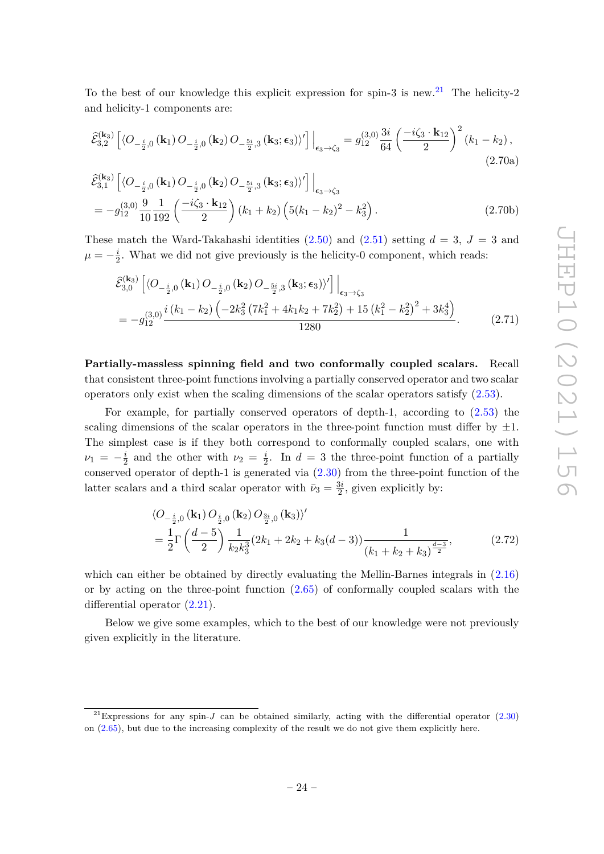To the best of our knowledge this explicit expression for spin-3 is new.<sup>[21](#page-25-0)</sup> The helicity-2 and helicity-1 components are:

$$
\hat{\mathcal{E}}_{3,2}^{(\mathbf{k}_{3})} \left[ \langle O_{-\frac{i}{2},0} \left( \mathbf{k}_{1} \right) O_{-\frac{i}{2},0} \left( \mathbf{k}_{2} \right) O_{-\frac{5i}{2},3} \left( \mathbf{k}_{3}; \epsilon_{3} \right) \rangle' \right] \Big|_{\epsilon_{3} \to \zeta_{3}} = g_{12}^{(3,0)} \frac{3i}{64} \left( \frac{-i\zeta_{3} \cdot \mathbf{k}_{12}}{2} \right)^{2} \left( k_{1} - k_{2} \right), \tag{2.70a}
$$

$$
\hat{\mathcal{E}}_{3,1}^{(\mathbf{k}_3)} \left[ \langle O_{-\frac{i}{2},0} \left( \mathbf{k}_1 \right) O_{-\frac{i}{2},0} \left( \mathbf{k}_2 \right) O_{-\frac{5i}{2},3} \left( \mathbf{k}_3; \epsilon_3 \right) \rangle' \right] \Big|_{\epsilon_3 \to \zeta_3} \n= -g_{12}^{(3,0)} \frac{9}{10} \frac{1}{192} \left( \frac{-i\zeta_3 \cdot \mathbf{k}_{12}}{2} \right) \left( k_1 + k_2 \right) \left( 5(k_1 - k_2)^2 - k_3^2 \right).
$$
\n(2.70b)

These match the Ward-Takahashi identities  $(2.50)$  and  $(2.51)$  setting  $d = 3$ ,  $J = 3$  and  $\mu=-\frac{i}{2}$  $\frac{i}{2}$ . What we did not give previously is the helicity-0 component, which reads:

$$
\hat{\mathcal{E}}_{3,0}^{(\mathbf{k}_{3})} \left[ \langle O_{-\frac{i}{2},0} \left( \mathbf{k}_{1} \right) O_{-\frac{i}{2},0} \left( \mathbf{k}_{2} \right) O_{-\frac{5i}{2},3} \left( \mathbf{k}_{3}; \epsilon_{3} \right) \rangle' \right] \Big|_{\epsilon_{3} \to \zeta_{3}} \n= -g_{12}^{(3,0)} \frac{i \left( k_{1} - k_{2} \right) \left( -2 k_{3}^{2} \left( 7 k_{1}^{2} + 4 k_{1} k_{2} + 7 k_{2}^{2} \right) + 15 \left( k_{1}^{2} - k_{2}^{2} \right)^{2} + 3 k_{3}^{4} \right)}{1280}.
$$
\n(2.71)

**Partially-massless spinning field and two conformally coupled scalars.** Recall that consistent three-point functions involving a partially conserved operator and two scalar operators only exist when the scaling dimensions of the scalar operators satisfy [\(2.53\)](#page-19-1).

For example, for partially conserved operators of depth-1, according to [\(2.53\)](#page-19-1) the scaling dimensions of the scalar operators in the three-point function must differ by  $\pm 1$ . The simplest case is if they both correspond to conformally coupled scalars, one with  $\nu_1 = -\frac{i}{2}$  $\frac{i}{2}$  and the other with  $\nu_2 = \frac{i}{2}$  $\frac{i}{2}$ . In  $d = 3$  the three-point function of a partially conserved operator of depth-1 is generated via [\(2.30\)](#page-13-1) from the three-point function of the latter scalars and a third scalar operator with  $\bar{\nu}_3 = \frac{3i}{2}$  $\frac{3i}{2}$ , given explicitly by:

<span id="page-25-1"></span>
$$
\langle O_{-\frac{i}{2},0}(\mathbf{k}_1) O_{\frac{i}{2},0}(\mathbf{k}_2) O_{\frac{3i}{2},0}(\mathbf{k}_3) \rangle' \n= \frac{1}{2} \Gamma \left( \frac{d-5}{2} \right) \frac{1}{k_2 k_3^3} (2k_1 + 2k_2 + k_3(d-3)) \frac{1}{(k_1 + k_2 + k_3)^{\frac{d-3}{2}}},
$$
\n(2.72)

which can either be obtained by directly evaluating the Mellin-Barnes integrals in [\(2.16\)](#page-9-2) or by acting on the three-point function  $(2.65)$  of conformally coupled scalars with the differential operator  $(2.21)$ .

Below we give some examples, which to the best of our knowledge were not previously given explicitly in the literature.

<span id="page-25-0"></span><sup>&</sup>lt;sup>21</sup>Expressions for any spin-*J* can be obtained similarly, acting with the differential operator  $(2.30)$ on [\(2.65\)](#page-23-2), but due to the increasing complexity of the result we do not give them explicitly here.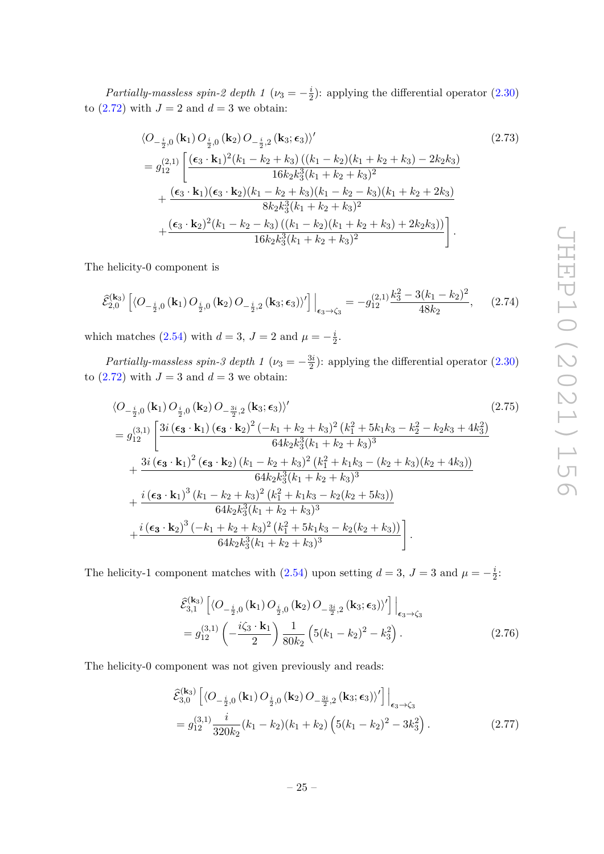*Partially-massless spin-2 depth 1* ( $\nu_3 = -\frac{i}{2}$  $\frac{i}{2}$ : applying the differential operator  $(2.30)$ to  $(2.72)$  with  $J = 2$  and  $d = 3$  we obtain:

$$
\langle O_{-\frac{i}{2},0}(\mathbf{k}_1) O_{\frac{i}{2},0}(\mathbf{k}_2) O_{-\frac{i}{2},2}(\mathbf{k}_3; \epsilon_3) \rangle' \qquad (2.73)
$$
\n
$$
= g_{12}^{(2,1)} \left[ \frac{(\epsilon_3 \cdot \mathbf{k}_1)^2 (k_1 - k_2 + k_3) ((k_1 - k_2)(k_1 + k_2 + k_3) - 2k_2 k_3)}{16k_2 k_3^3 (k_1 + k_2 + k_3)^2} + \frac{(\epsilon_3 \cdot \mathbf{k}_1)(\epsilon_3 \cdot \mathbf{k}_2)(k_1 - k_2 + k_3)(k_1 - k_2 - k_3)(k_1 + k_2 + 2k_3)}{8k_2 k_3^3 (k_1 + k_2 + k_3)^2} + \frac{(\epsilon_3 \cdot \mathbf{k}_2)^2 (k_1 - k_2 - k_3) ((k_1 - k_2)(k_1 + k_2 + k_3) + 2k_2 k_3))}{16k_2 k_3^3 (k_1 + k_2 + k_3)^2} \right].
$$
\n(2.73)

The helicity-0 component is

$$
\widehat{\mathcal{E}}_{2,0}^{(\mathbf{k}_3)} \left[ \langle O_{-\frac{i}{2},0} \left( \mathbf{k}_1 \right) O_{\frac{i}{2},0} \left( \mathbf{k}_2 \right) O_{-\frac{i}{2},2} \left( \mathbf{k}_3; \epsilon_3 \right) \rangle' \right] \Big|_{\epsilon_3 \to \zeta_3} = -g_{12}^{(2,1)} \frac{k_3^2 - 3(k_1 - k_2)^2}{48k_2}, \qquad (2.74)
$$

which matches [\(2.54\)](#page-20-0) with  $d = 3$ ,  $J = 2$  and  $\mu = -\frac{i}{5}$  $\frac{i}{2}$ .

*Partially-massless spin-3 depth 1* ( $\nu_3 = -\frac{3i}{2}$ )  $\frac{3i}{2}$ : applying the differential operator  $(2.30)$ to  $(2.72)$  with  $J = 3$  and  $d = 3$  we obtain:

$$
\langle O_{-\frac{i}{2},0}(\mathbf{k}_1) O_{\frac{i}{2},0}(\mathbf{k}_2) O_{-\frac{3i}{2},2}(\mathbf{k}_3; \epsilon_3) \rangle' \tag{2.75}
$$
\n
$$
= g_{12}^{(3,1)} \left[ \frac{3i(\epsilon_3 \cdot \mathbf{k}_1)(\epsilon_3 \cdot \mathbf{k}_2)^2 (-k_1 + k_2 + k_3)^2 (k_1^2 + 5k_1k_3 - k_2^2 - k_2k_3 + 4k_3^2)}{64k_2k_3^3(k_1 + k_2 + k_3)^3} + \frac{3i(\epsilon_3 \cdot \mathbf{k}_1)^2 (\epsilon_3 \cdot \mathbf{k}_2) (k_1 - k_2 + k_3)^2 (k_1^2 + k_1k_3 - (k_2 + k_3)(k_2 + 4k_3))}{64k_2k_3^3(k_1 + k_2 + k_3)^3} + \frac{i(\epsilon_3 \cdot \mathbf{k}_1)^3 (k_1 - k_2 + k_3)^2 (k_1^2 + k_1k_3 - k_2(k_2 + 5k_3))}{64k_2k_3^3(k_1 + k_2 + k_3)^3} + \frac{i(\epsilon_3 \cdot \mathbf{k}_2)^3 (-k_1 + k_2 + k_3)^2 (k_1^2 + 5k_1k_3 - k_2(k_2 + k_3))}{64k_2k_3^3(k_1 + k_2 + k_3)^3} \right].
$$
\n(2.75)

The helicity-1 component matches with  $(2.54)$  upon setting  $d = 3$ ,  $J = 3$  and  $\mu = -\frac{i}{2}$  $\frac{i}{2}$ :

$$
\hat{\mathcal{E}}_{3,1}^{(\mathbf{k}_{3})} \left[ \langle O_{-\frac{i}{2},0} \left( \mathbf{k}_{1} \right) O_{\frac{i}{2},0} \left( \mathbf{k}_{2} \right) O_{-\frac{3i}{2},2} \left( \mathbf{k}_{3}; \epsilon_{3} \right) \rangle' \right] \Big|_{\epsilon_{3} \to \zeta_{3}} \n= g_{12}^{(3,1)} \left( -\frac{i\zeta_{3} \cdot \mathbf{k}_{1}}{2} \right) \frac{1}{80k_{2}} \left( 5(k_{1} - k_{2})^{2} - k_{3}^{2} \right).
$$
\n(2.76)

The helicity-0 component was not given previously and reads:

$$
\hat{\mathcal{E}}_{3,0}^{(\mathbf{k}_3)} \left[ \langle O_{-\frac{i}{2},0} \left( \mathbf{k}_1 \right) O_{\frac{i}{2},0} \left( \mathbf{k}_2 \right) O_{-\frac{3i}{2},2} \left( \mathbf{k}_3 ; \epsilon_3 \right) \rangle' \right] \Big|_{\epsilon_3 \to \zeta_3} \n= g_{12}^{(3,1)} \frac{i}{320k_2} (k_1 - k_2)(k_1 + k_2) \left( 5(k_1 - k_2)^2 - 3k_3^2 \right).
$$
\n(2.77)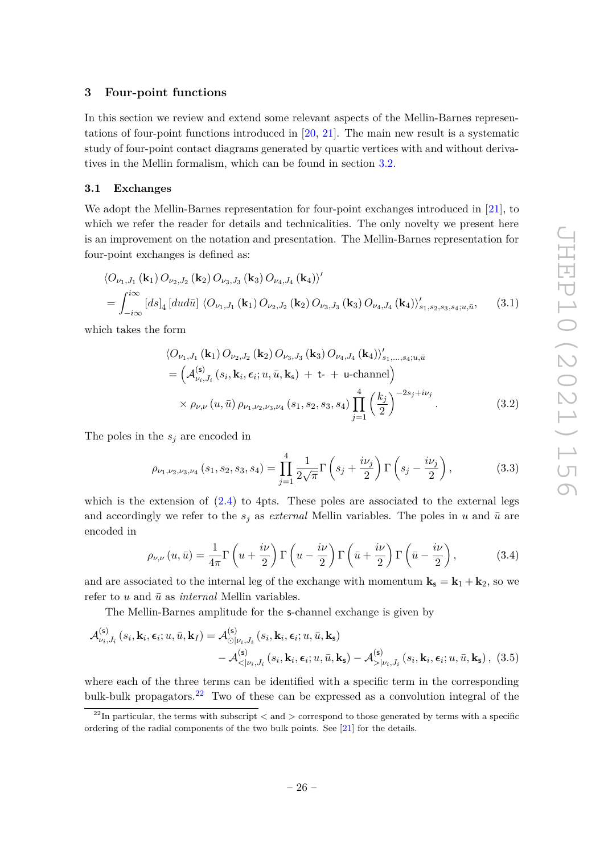## <span id="page-27-0"></span>**3 Four-point functions**

In this section we review and extend some relevant aspects of the Mellin-Barnes representations of four-point functions introduced in [\[20,](#page-53-5) [21\]](#page-53-6). The main new result is a systematic study of four-point contact diagrams generated by quartic vertices with and without derivatives in the Mellin formalism, which can be found in section [3.2.](#page-29-0)

#### <span id="page-27-1"></span>**3.1 Exchanges**

We adopt the Mellin-Barnes representation for four-point exchanges introduced in [\[21\]](#page-53-6), to which we refer the reader for details and technicalities. The only novelty we present here is an improvement on the notation and presentation. The Mellin-Barnes representation for four-point exchanges is defined as:

$$
\langle O_{\nu_1,J_1}(\mathbf{k}_1) O_{\nu_2,J_2}(\mathbf{k}_2) O_{\nu_3,J_3}(\mathbf{k}_3) O_{\nu_4,J_4}(\mathbf{k}_4) \rangle'
$$
  
= 
$$
\int_{-i\infty}^{i\infty} [ds]_4 [dud\bar{u}] \langle O_{\nu_1,J_1}(\mathbf{k}_1) O_{\nu_2,J_2}(\mathbf{k}_2) O_{\nu_3,J_3}(\mathbf{k}_3) O_{\nu_4,J_4}(\mathbf{k}_4) \rangle'_{s_1,s_2,s_3,s_4;u,\bar{u}},
$$
(3.1)

which takes the form

$$
\langle O_{\nu_1, J_1}(\mathbf{k}_1) O_{\nu_2, J_2}(\mathbf{k}_2) O_{\nu_3, J_3}(\mathbf{k}_3) O_{\nu_4, J_4}(\mathbf{k}_4) \rangle'_{s_1, ..., s_4; u, \bar{u}} = \left( A_{\nu_i, J_i}^{(\mathbf{s})} (s_i, \mathbf{k}_i, \epsilon_i; u, \bar{u}, \mathbf{k}_s) + \mathbf{t} + \mathbf{u} \text{-channel} \right) \times \rho_{\nu, \nu} (u, \bar{u}) \rho_{\nu_1, \nu_2, \nu_3, \nu_4} (s_1, s_2, s_3, s_4) \prod_{j=1}^4 \left( \frac{k_j}{2} \right)^{-2s_j + i\nu_j}.
$$
 (3.2)

The poles in the *s<sup>j</sup>* are encoded in

$$
\rho_{\nu_1,\nu_2,\nu_3,\nu_4}(s_1,s_2,s_3,s_4) = \prod_{j=1}^4 \frac{1}{2\sqrt{\pi}} \Gamma\left(s_j + \frac{i\nu_j}{2}\right) \Gamma\left(s_j - \frac{i\nu_j}{2}\right),\tag{3.3}
$$

which is the extension of  $(2.4)$  to 4pts. These poles are associated to the external legs and accordingly we refer to the  $s_i$  as *external* Mellin variables. The poles in *u* and  $\bar{u}$  are encoded in

<span id="page-27-3"></span>
$$
\rho_{\nu,\nu}(u,\bar{u}) = \frac{1}{4\pi} \Gamma\left(u + \frac{i\nu}{2}\right) \Gamma\left(u - \frac{i\nu}{2}\right) \Gamma\left(\bar{u} + \frac{i\nu}{2}\right) \Gamma\left(\bar{u} - \frac{i\nu}{2}\right),\tag{3.4}
$$

and are associated to the internal leg of the exchange with momentum  $\mathbf{k}_s = \mathbf{k}_1 + \mathbf{k}_2$ , so we refer to  $u$  and  $\bar{u}$  as *internal* Mellin variables.

The Mellin-Barnes amplitude for the s-channel exchange is given by

$$
\mathcal{A}_{\nu_i,J_i}^{(\mathsf{s})}(s_i,\mathbf{k}_i,\boldsymbol{\epsilon}_i;u,\bar{u},\mathbf{k}_I) = \mathcal{A}_{\odot|\nu_i,J_i}^{(\mathsf{s})}(s_i,\mathbf{k}_i,\boldsymbol{\epsilon}_i;u,\bar{u},\mathbf{k}_\mathsf{s}) \n- \mathcal{A}_{\lt||\nu_i,J_i}^{(\mathsf{s})}(s_i,\mathbf{k}_i,\boldsymbol{\epsilon}_i;u,\bar{u},\mathbf{k}_\mathsf{s}) - \mathcal{A}_{\gt|\nu_i,J_i}^{(\mathsf{s})}(s_i,\mathbf{k}_i,\boldsymbol{\epsilon}_i;u,\bar{u},\mathbf{k}_\mathsf{s}),
$$
(3.5)

where each of the three terms can be identified with a specific term in the corresponding bulk-bulk propagators.<sup>[22](#page-27-2)</sup> Two of these can be expressed as a convolution integral of the

<span id="page-27-2"></span> $2^{2}$ In particular, the terms with subscript  $\lt$  and  $\gt$  correspond to those generated by terms with a specific ordering of the radial components of the two bulk points. See [\[21\]](#page-53-6) for the details.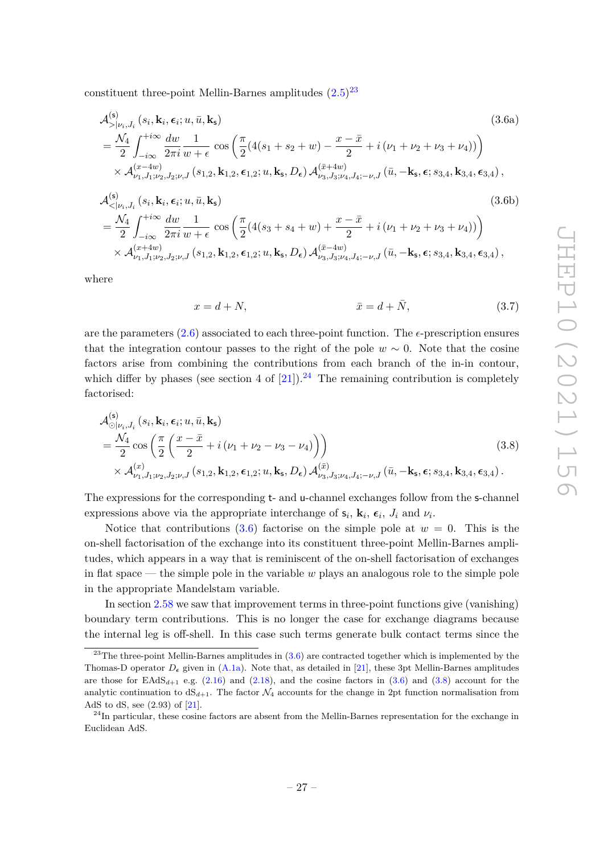constituent three-point Mellin-Barnes amplitudes  $(2.5)^{23}$  $(2.5)^{23}$  $(2.5)^{23}$  $(2.5)^{23}$ 

<span id="page-28-2"></span>
$$
\mathcal{A}_{>\mid\nu_{i},J_{i}}^{(s)}\left(s_{i},\mathbf{k}_{i},\epsilon_{i};u,\bar{u},\mathbf{k}_{s}\right)
$$
\n
$$
=\frac{\mathcal{N}_{4}}{2}\int_{-i\infty}^{+i\infty}\frac{dw}{2\pi i}\frac{1}{w+\epsilon}\cos\left(\frac{\pi}{2}(4(s_{1}+s_{2}+w)-\frac{x-\bar{x}}{2}+i(\nu_{1}+\nu_{2}+\nu_{3}+\nu_{4}))\right)\\ \times\mathcal{A}_{\nu_{1},J_{1};\nu_{2},J_{2};\nu,J}\left(s_{1,2},\mathbf{k}_{1,2},\epsilon_{1,2};u,\mathbf{k}_{s},D_{\epsilon}\right)\mathcal{A}_{\nu_{3},J_{3};\nu_{4},J_{4};-\nu,J}\left(\bar{u},-\mathbf{k}_{s},\epsilon;s_{3,4},\mathbf{k}_{3,4},\epsilon_{3,4}\right),\tag{3.6a}
$$

$$
\mathcal{A}_{\langle |\nu_{i},J_{i}|}^{(s)}(s_{i},\mathbf{k}_{i},\epsilon_{i};u,\bar{u},\mathbf{k}_{s})
$$
\n
$$
= \frac{\mathcal{N}_{4}}{2} \int_{-i\infty}^{+i\infty} \frac{dw}{2\pi i} \frac{1}{w+\epsilon} \cos\left(\frac{\pi}{2}(4(s_{3}+s_{4}+w)+\frac{x-\bar{x}}{2}+i(\nu_{1}+\nu_{2}+\nu_{3}+\nu_{4}))\right) \times \mathcal{A}_{\nu_{1},J_{1};\nu_{2},J_{2};\nu,J}^{(x+4w)}(s_{1,2},\mathbf{k}_{1,2},\epsilon_{1,2};u,\mathbf{k}_{s},D_{\epsilon}) \mathcal{A}_{\nu_{3},J_{3};\nu_{4},J_{4};-\nu,J}^{(\bar{x}-4w)}(\bar{u},-\mathbf{k}_{s},\epsilon;s_{3,4},\mathbf{k}_{3,4},\epsilon_{3,4}),
$$
\n(3.6b)

where

<span id="page-28-3"></span>
$$
x = d + N, \qquad \qquad \bar{x} = d + \bar{N}, \qquad (3.7)
$$

are the parameters  $(2.6)$  associated to each three-point function. The  $\epsilon$ -prescription ensures that the integration contour passes to the right of the pole  $w \sim 0$ . Note that the cosine factors arise from combining the contributions from each branch of the in-in contour, which differ by phases (see section 4 of  $[21]$ ).<sup>[24](#page-28-1)</sup> The remaining contribution is completely factorised:

$$
\mathcal{A}^{(s)}_{\odot|\nu_i, J_i}(s_i, \mathbf{k}_i, \boldsymbol{\epsilon}_i; u, \bar{u}, \mathbf{k}_s)
$$
\n
$$
= \frac{\mathcal{N}_4}{2} \cos\left(\frac{\pi}{2} \left(\frac{x - \bar{x}}{2} + i(\nu_1 + \nu_2 - \nu_3 - \nu_4)\right)\right)
$$
\n
$$
\times \mathcal{A}^{(x)}_{\nu_1, J_1; \nu_2, J_2; \nu, J}(s_{1,2}, \mathbf{k}_{1,2}, \boldsymbol{\epsilon}_{1,2}; u, \mathbf{k}_s, D_\epsilon) \mathcal{A}^{(\bar{x})}_{\nu_3, J_3; \nu_4, J_4; -\nu, J}(\bar{u}, -\mathbf{k}_s, \boldsymbol{\epsilon}; s_{3,4}, \mathbf{k}_{3,4}, \boldsymbol{\epsilon}_{3,4}).
$$
\n(3.8)

The expressions for the corresponding t- and u-channel exchanges follow from the s-channel expressions above via the appropriate interchange of  $\mathbf{s}_i$ ,  $\mathbf{k}_i$ ,  $\boldsymbol{\epsilon}_i$ ,  $J_i$  and  $\nu_i$ .

Notice that contributions  $(3.6)$  factorise on the simple pole at  $w = 0$ . This is the on-shell factorisation of the exchange into its constituent three-point Mellin-Barnes amplitudes, which appears in a way that is reminiscent of the on-shell factorisation of exchanges in flat space — the simple pole in the variable *w* plays an analogous role to the simple pole in the appropriate Mandelstam variable.

In section [2.58](#page-21-3) we saw that improvement terms in three-point functions give (vanishing) boundary term contributions. This is no longer the case for exchange diagrams because the internal leg is off-shell. In this case such terms generate bulk contact terms since the

<span id="page-28-0"></span> $^{23}$ The three-point Mellin-Barnes amplitudes in  $(3.6)$  are contracted together which is implemented by the Thomas-D operator  $D_{\epsilon}$  given in [\(A.1a\)](#page-47-1). Note that, as detailed in [\[21\]](#page-53-6), these 3pt Mellin-Barnes amplitudes are those for  $\text{EAdS}_{d+1}$  e.g.  $(2.16)$  and  $(2.18)$ , and the cosine factors in  $(3.6)$  and  $(3.8)$  account for the analytic continuation to  $dS_{d+1}$ . The factor  $\mathcal{N}_4$  accounts for the change in 2pt function normalisation from AdS to dS, see (2.93) of [\[21\]](#page-53-6).

<span id="page-28-1"></span> $^{24}$ In particular, these cosine factors are absent from the Mellin-Barnes representation for the exchange in Euclidean AdS.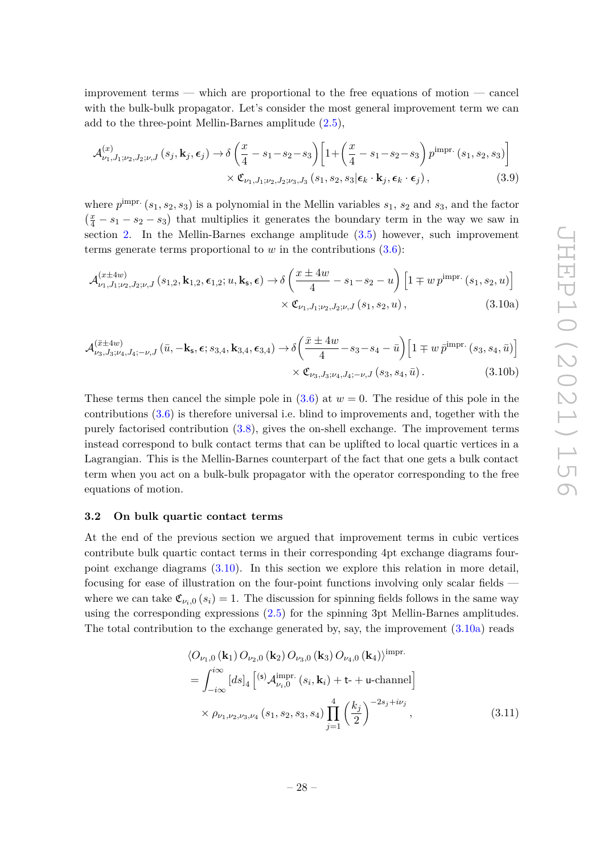improvement terms — which are proportional to the free equations of motion — cancel with the bulk-bulk propagator. Let's consider the most general improvement term we can add to the three-point Mellin-Barnes amplitude [\(2.5\)](#page-7-4),

$$
\mathcal{A}_{\nu_1, J_1; \nu_2, J_2; \nu, J}^{(x)}\left(s_j, \mathbf{k}_j, \boldsymbol{\epsilon}_j\right) \to \delta \left(\frac{x}{4} - s_1 - s_2 - s_3\right) \left[1 + \left(\frac{x}{4} - s_1 - s_2 - s_3\right) p^{\text{impr.}}\left(s_1, s_2, s_3\right)\right] \times \mathfrak{C}_{\nu_1, J_1; \nu_2, J_2; \nu_3, J_3}\left(s_1, s_2, s_3 | \boldsymbol{\epsilon}_k \cdot \mathbf{k}_j, \boldsymbol{\epsilon}_k \cdot \boldsymbol{\epsilon}_j\right),\tag{3.9}
$$

where  $p^{\text{impr.}}(s_1, s_2, s_3)$  is a polynomial in the Mellin variables  $s_1$ ,  $s_2$  and  $s_3$ , and the factor  $\left(\frac{x}{4} - s_1 - s_2 - s_3\right)$  that multiplies it generates the boundary term in the way we saw in section [2.](#page-6-0) In the Mellin-Barnes exchange amplitude [\(3.5\)](#page-27-3) however, such improvement terms generate terms proportional to  $w$  in the contributions  $(3.6)$ :

<span id="page-29-2"></span><span id="page-29-1"></span>
$$
\mathcal{A}_{\nu_{1},J_{1};\nu_{2},J_{2};\nu,J}^{(x \pm 4w)}(s_{1,2},\mathbf{k}_{1,2},\epsilon_{1,2};u,\mathbf{k}_{s},\epsilon) \rightarrow \delta \left(\frac{x \pm 4w}{4} - s_{1} - s_{2} - u\right) \left[1 \mp w p^{\text{impr.}}(s_{1},s_{2},u)\right] \times \mathfrak{C}_{\nu_{1},J_{1};\nu_{2},J_{2};\nu,J}(s_{1},s_{2},u), \qquad (3.10a)
$$

<span id="page-29-3"></span>
$$
\mathcal{A}_{\nu_{3},J_{3};\nu_{4},J_{4};-\nu,J}^{(\bar{x}\pm 4w)}\left(\bar{u},-\mathbf{k}_{\mathsf{s}},\epsilon;s_{3,4},\mathbf{k}_{3,4},\epsilon_{3,4}\right) \rightarrow \delta\left(\frac{\bar{x}\pm 4w}{4}-s_{3}-s_{4}-\bar{u}\right)\left[1\mp w\,\bar{p}^{\text{impr.}}\left(s_{3},s_{4},\bar{u}\right)\right] \times \mathfrak{C}_{\nu_{3},J_{3};\nu_{4},J_{4};-\nu,J}\left(s_{3},s_{4},\bar{u}\right). \tag{3.10b}
$$

These terms then cancel the simple pole in  $(3.6)$  at  $w = 0$ . The residue of this pole in the contributions [\(3.6\)](#page-28-2) is therefore universal i.e. blind to improvements and, together with the purely factorised contribution [\(3.8\)](#page-28-3), gives the on-shell exchange. The improvement terms instead correspond to bulk contact terms that can be uplifted to local quartic vertices in a Lagrangian. This is the Mellin-Barnes counterpart of the fact that one gets a bulk contact term when you act on a bulk-bulk propagator with the operator corresponding to the free equations of motion.

#### <span id="page-29-0"></span>**3.2 On bulk quartic contact terms**

At the end of the previous section we argued that improvement terms in cubic vertices contribute bulk quartic contact terms in their corresponding 4pt exchange diagrams fourpoint exchange diagrams [\(3.10\)](#page-29-1). In this section we explore this relation in more detail, focusing for ease of illustration on the four-point functions involving only scalar fields where we can take  $\mathfrak{C}_{\nu_i,0}(s_i) = 1$ . The discussion for spinning fields follows in the same way using the corresponding expressions [\(2.5\)](#page-7-4) for the spinning 3pt Mellin-Barnes amplitudes. The total contribution to the exchange generated by, say, the improvement [\(3.10a\)](#page-29-2) reads

<span id="page-29-4"></span>
$$
\langle O_{\nu_1,0}(\mathbf{k}_1) O_{\nu_2,0}(\mathbf{k}_2) O_{\nu_3,0}(\mathbf{k}_3) O_{\nu_4,0}(\mathbf{k}_4) \rangle^{\text{impr.}}
$$
  
=  $\int_{-i\infty}^{i\infty} [ds]_4 \left[ {}^{(\mathbf{s})} \mathcal{A}_{\nu_i,0}^{\text{impr.}}(s_i, \mathbf{k}_i) + \mathbf{t} + \mathbf{u}\text{-channel} \right]$   
 $\times \rho_{\nu_1,\nu_2,\nu_3,\nu_4}(s_1, s_2, s_3, s_4) \prod_{j=1}^4 \left( \frac{k_j}{2} \right)^{-2s_j + i\nu_j},$  (3.11)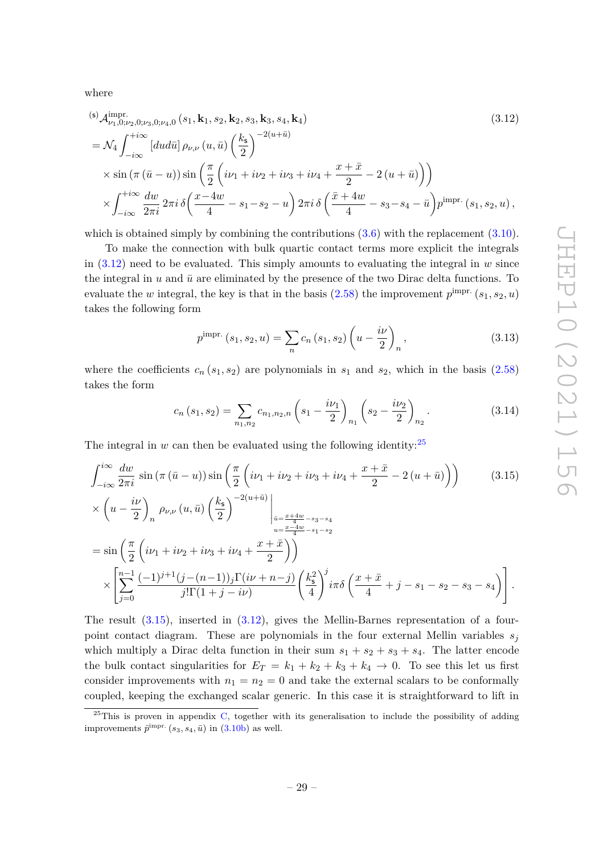where

(s) 
$$
A_{\nu_1,0;\nu_2,0;\nu_3,0;\nu_4,0}^{\text{impr}}(s_1, \mathbf{k}_1, s_2, \mathbf{k}_2, s_3, \mathbf{k}_3, s_4, \mathbf{k}_4)
$$
  
\n
$$
= \mathcal{N}_4 \int_{-i\infty}^{+i\infty} [du d\bar{u}] \rho_{\nu,\nu} (u, \bar{u}) \left(\frac{k_5}{2}\right)^{-2(u+\bar{u})}
$$
\n
$$
\times \sin(\pi(\bar{u}-u)) \sin\left(\frac{\pi}{2} \left(i\nu_1 + i\nu_2 + i\nu_3 + i\nu_4 + \frac{x+\bar{x}}{2} - 2(u+\bar{u})\right)\right)
$$
\n
$$
\times \int_{-i\infty}^{+i\infty} \frac{dw}{2\pi i} 2\pi i \delta\left(\frac{x-4w}{4} - s_1 - s_2 - u\right) 2\pi i \delta\left(\frac{\bar{x}+4w}{4} - s_3 - s_4 - \bar{u}\right) p^{\text{impr.}}(s_1, s_2, u),
$$
\n(3.12)

which is obtained simply by combining the contributions  $(3.6)$  with the replacement  $(3.10)$ .

To make the connection with bulk quartic contact terms more explicit the integrals in  $(3.12)$  need to be evaluated. This simply amounts to evaluating the integral in *w* since the integral in *u* and  $\bar{u}$  are eliminated by the presence of the two Dirac delta functions. To evaluate the *w* integral, the key is that in the basis  $(2.58)$  the improvement  $p^{\text{impr.}}(s_1, s_2, u)$ takes the following form

<span id="page-30-3"></span><span id="page-30-0"></span>
$$
p^{\text{impr.}}(s_1, s_2, u) = \sum_{n} c_n (s_1, s_2) \left( u - \frac{i\nu}{2} \right)_n, \tag{3.13}
$$

where the coefficients  $c_n(s_1, s_2)$  are polynomials in  $s_1$  and  $s_2$ , which in the basis  $(2.58)$ takes the form

<span id="page-30-2"></span>
$$
c_n(s_1, s_2) = \sum_{n_1, n_2} c_{n_1, n_2, n} \left( s_1 - \frac{i\nu_1}{2} \right)_{n_1} \left( s_2 - \frac{i\nu_2}{2} \right)_{n_2}.
$$
 (3.14)

The integral in  $w$  can then be evaluated using the following identity:<sup>[25](#page-30-1)</sup>

$$
\int_{-i\infty}^{i\infty} \frac{dw}{2\pi i} \sin(\pi (\bar{u} - u)) \sin\left(\frac{\pi}{2} \left(i\nu_1 + i\nu_2 + i\nu_3 + i\nu_4 + \frac{x + \bar{x}}{2} - 2(u + \bar{u})\right)\right) \tag{3.15}
$$
  

$$
\times \left(u - \frac{i\nu}{2}\right)_n \rho_{\nu,\nu} (u, \bar{u}) \left(\frac{k_s}{2}\right)^{-2(u + \bar{u})} \Big|_{\substack{\bar{u} = \frac{x + 4w}{4} - s_3 - s_4 \\ u = \frac{x - 4w}{4} - s_1 - s_2}} = \sin\left(\frac{\pi}{2} \left(i\nu_1 + i\nu_2 + i\nu_3 + i\nu_4 + \frac{x + \bar{x}}{2}\right)\right) \times \left[\sum_{j=0}^{n-1} \frac{(-1)^{j+1}(j - (n-1))_j \Gamma(i\nu + n - j)}{j!\Gamma(1 + j - i\nu)} \left(\frac{k_s^2}{4}\right)^j i\pi \delta\left(\frac{x + \bar{x}}{4} + j - s_1 - s_2 - s_3 - s_4\right)\right].
$$

The result  $(3.15)$ , inserted in  $(3.12)$ , gives the Mellin-Barnes representation of a fourpoint contact diagram. These are polynomials in the four external Mellin variables  $s<sub>j</sub>$ which multiply a Dirac delta function in their sum  $s_1 + s_2 + s_3 + s_4$ . The latter encode the bulk contact singularities for  $E_T = k_1 + k_2 + k_3 + k_4 \rightarrow 0$ . To see this let us first consider improvements with  $n_1 = n_2 = 0$  and take the external scalars to be conformally coupled, keeping the exchanged scalar generic. In this case it is straightforward to lift in

<span id="page-30-1"></span> $25$ This is proven in appendix [C,](#page-50-0) together with its generalisation to include the possibility of adding improvements  $\bar{p}^{\text{impr.}}$   $(s_3, s_4, \bar{u})$  in  $(3.10b)$  as well.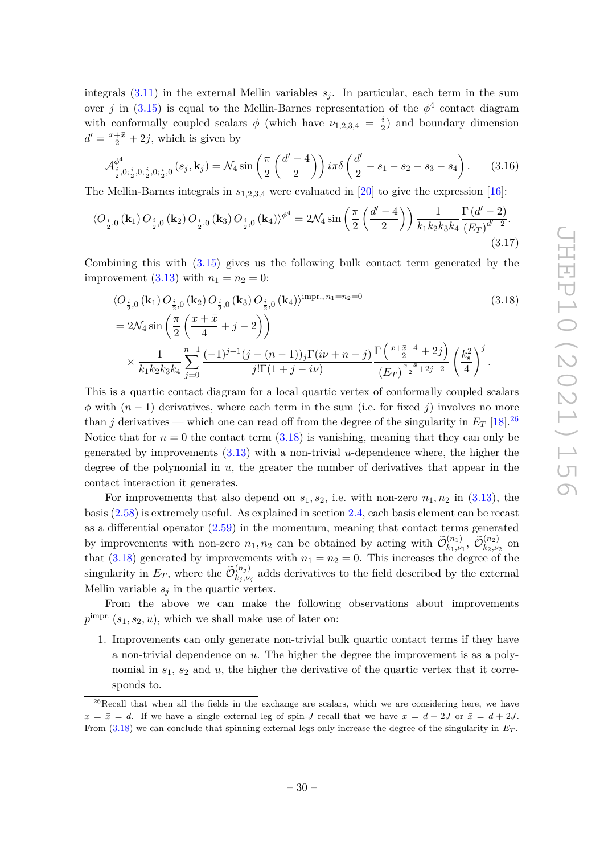integrals  $(3.11)$  in the external Mellin variables  $s<sub>i</sub>$ . In particular, each term in the sum over *j* in [\(3.15\)](#page-30-2) is equal to the Mellin-Barnes representation of the  $\phi^4$  contact diagram with conformally coupled scalars  $\phi$  (which have  $\nu_{1,2,3,4} = \frac{i}{2}$  $\frac{i}{2}$ ) and boundary dimension  $d' = \frac{x + \bar{x}}{2} + 2j$ , which is given by

$$
\mathcal{A}_{\frac{i}{2},0;\frac{i}{2},0;\frac{i}{2},0;\frac{i}{2},0}^{\phi^4}(s_j,\mathbf{k}_j) = \mathcal{N}_4 \sin\left(\frac{\pi}{2}\left(\frac{d'-4}{2}\right)\right) i\pi \delta\left(\frac{d'}{2} - s_1 - s_2 - s_3 - s_4\right). \tag{3.16}
$$

The Mellin-Barnes integrals in *s*1*,*2*,*3*,*<sup>4</sup> were evaluated in [\[20\]](#page-53-5) to give the expression [\[16\]](#page-53-4):

$$
\langle O_{\frac{i}{2},0}(\mathbf{k}_1) O_{\frac{i}{2},0}(\mathbf{k}_2) O_{\frac{i}{2},0}(\mathbf{k}_3) O_{\frac{i}{2},0}(\mathbf{k}_4) \rangle^{\phi^4} = 2\mathcal{N}_4 \sin\left(\frac{\pi}{2} \left(\frac{d'-4}{2}\right)\right) \frac{1}{k_1 k_2 k_3 k_4} \frac{\Gamma(d'-2)}{(E_T)^{d'-2}}.
$$
\n(3.17)

Combining this with [\(3.15\)](#page-30-2) gives us the following bulk contact term generated by the improvement  $(3.13)$  with  $n_1 = n_2 = 0$ :

<span id="page-31-2"></span><span id="page-31-1"></span>
$$
\langle O_{\frac{i}{2},0}(\mathbf{k}_1) O_{\frac{i}{2},0}(\mathbf{k}_2) O_{\frac{i}{2},0}(\mathbf{k}_3) O_{\frac{i}{2},0}(\mathbf{k}_4) \rangle^{\text{impr., } n_1 = n_2 = 0}
$$
\n
$$
= 2\mathcal{N}_4 \sin\left(\frac{\pi}{2} \left(\frac{x+\bar{x}}{4} + j - 2\right)\right)
$$
\n
$$
\times \frac{1}{k_1 k_2 k_3 k_4} \sum_{j=0}^{n-1} \frac{(-1)^{j+1} (j - (n-1))_j \Gamma(i\nu + n - j)}{j! \Gamma(1+j - i\nu)} \frac{\Gamma\left(\frac{x+\bar{x}-4}{2} + 2j\right)}{(E_T)^{\frac{x+\bar{x}}{2} + 2j - 2}} \left(\frac{k_5^2}{4}\right)^j.
$$
\n
$$
(3.18)
$$

This is a quartic contact diagram for a local quartic vertex of conformally coupled scalars  $\phi$  with  $(n-1)$  derivatives, where each term in the sum (i.e. for fixed *j*) involves no more than *j* derivatives — which one can read off from the degree of the singularity in  $E_T$  [\[18\]](#page-53-7).<sup>[26](#page-31-0)</sup> Notice that for  $n = 0$  the contact term  $(3.18)$  is vanishing, meaning that they can only be generated by improvements [\(3.13\)](#page-30-3) with a non-trivial *u*-dependence where, the higher the degree of the polynomial in *u*, the greater the number of derivatives that appear in the contact interaction it generates.

For improvements that also depend on  $s_1, s_2$ , i.e. with non-zero  $n_1, n_2$  in [\(3.13\)](#page-30-3), the basis [\(2.58\)](#page-21-3) is extremely useful. As explained in section [2.4,](#page-21-0) each basis element can be recast as a differential operator [\(2.59\)](#page-21-4) in the momentum, meaning that contact terms generated by improvements with non-zero  $n_1, n_2$  can be obtained by acting with  $\widetilde{\mathcal{O}}_{k_1,\nu_1}^{(n_1)}$ ,  $\widetilde{\mathcal{O}}_{k_2,\nu_2}^{(n_2)}$  on that  $(3.18)$  generated by improvements with  $n_1 = n_2 = 0$ . This increases the degree of the singularity in  $E_T$ , where the  $\widetilde{\mathcal{O}}_{k_j, \nu}^{(n_j)}$  $\binom{n_j}{k_j,\nu_j}$  adds derivatives to the field described by the external Mellin variable  $s_j$  in the quartic vertex.

From the above we can make the following observations about improvements  $p^{\text{impr.}}(s_1, s_2, u)$ , which we shall make use of later on:

1. Improvements can only generate non-trivial bulk quartic contact terms if they have a non-trivial dependence on *u*. The higher the degree the improvement is as a polynomial in  $s_1$ ,  $s_2$  and  $u$ , the higher the derivative of the quartic vertex that it corresponds to.

<span id="page-31-0"></span> $^{26}$ Recall that when all the fields in the exchange are scalars, which we are considering here, we have  $x = \bar{x} = d$ . If we have a single external leg of spin-*J* recall that we have  $x = d + 2J$  or  $\bar{x} = d + 2J$ . From [\(3.18\)](#page-31-1) we can conclude that spinning external legs only increase the degree of the singularity in *E<sup>T</sup>* .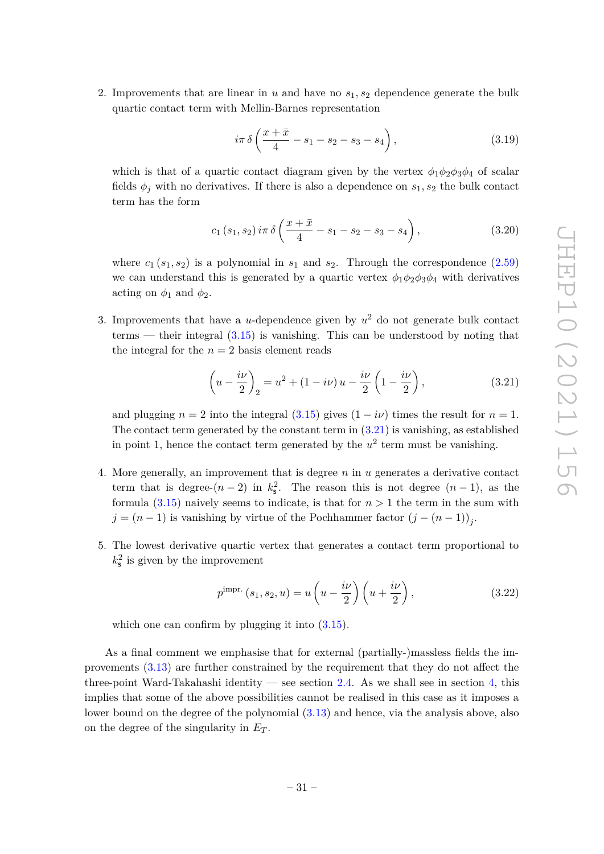2. Improvements that are linear in *u* and have no *s*1*, s*<sup>2</sup> dependence generate the bulk quartic contact term with Mellin-Barnes representation

$$
i\pi \delta \left(\frac{x+\bar{x}}{4} - s_1 - s_2 - s_3 - s_4\right), \tag{3.19}
$$

which is that of a quartic contact diagram given by the vertex  $\phi_1 \phi_2 \phi_3 \phi_4$  of scalar fields  $\phi_j$  with no derivatives. If there is also a dependence on  $s_1, s_2$  the bulk contact term has the form

$$
c_{1}(s_{1}, s_{2}) i\pi \delta \left(\frac{x+\bar{x}}{4} - s_{1} - s_{2} - s_{3} - s_{4}\right), \qquad (3.20)
$$

where  $c_1$  ( $s_1$ ,  $s_2$ ) is a polynomial in  $s_1$  and  $s_2$ . Through the correspondence [\(2.59\)](#page-21-4) we can understand this is generated by a quartic vertex  $\phi_1 \phi_2 \phi_3 \phi_4$  with derivatives acting on  $\phi_1$  and  $\phi_2$ .

3. Improvements that have a *u*-dependence given by  $u^2$  do not generate bulk contact terms — their integral  $(3.15)$  is vanishing. This can be understood by noting that the integral for the  $n = 2$  basis element reads

<span id="page-32-0"></span>
$$
\left(u - \frac{i\nu}{2}\right)_2 = u^2 + (1 - i\nu)u - \frac{i\nu}{2}\left(1 - \frac{i\nu}{2}\right),\tag{3.21}
$$

and plugging  $n = 2$  into the integral [\(3.15\)](#page-30-2) gives  $(1 - i\nu)$  times the result for  $n = 1$ . The contact term generated by the constant term in  $(3.21)$  is vanishing, as established in point 1, hence the contact term generated by the  $u^2$  term must be vanishing.

- 4. More generally, an improvement that is degree *n* in *u* generates a derivative contact term that is degree- $(n-2)$  in  $k_s^2$ . The reason this is not degree  $(n-1)$ , as the formula  $(3.15)$  naively seems to indicate, is that for  $n > 1$  the term in the sum with  $j = (n-1)$  is vanishing by virtue of the Pochhammer factor  $(j - (n-1))_j$ .
- 5. The lowest derivative quartic vertex that generates a contact term proportional to  $k_{\rm s}^2$  is given by the improvement

$$
p^{\text{impr.}}(s_1, s_2, u) = u\left(u - \frac{i\nu}{2}\right)\left(u + \frac{i\nu}{2}\right),\tag{3.22}
$$

which one can confirm by plugging it into  $(3.15)$ .

As a final comment we emphasise that for external (partially-)massless fields the improvements [\(3.13\)](#page-30-3) are further constrained by the requirement that they do not affect the three-point Ward-Takahashi identity — see section [2.4.](#page-21-0) As we shall see in section [4,](#page-33-0) this implies that some of the above possibilities cannot be realised in this case as it imposes a lower bound on the degree of the polynomial [\(3.13\)](#page-30-3) and hence, via the analysis above, also on the degree of the singularity in *E<sup>T</sup>* .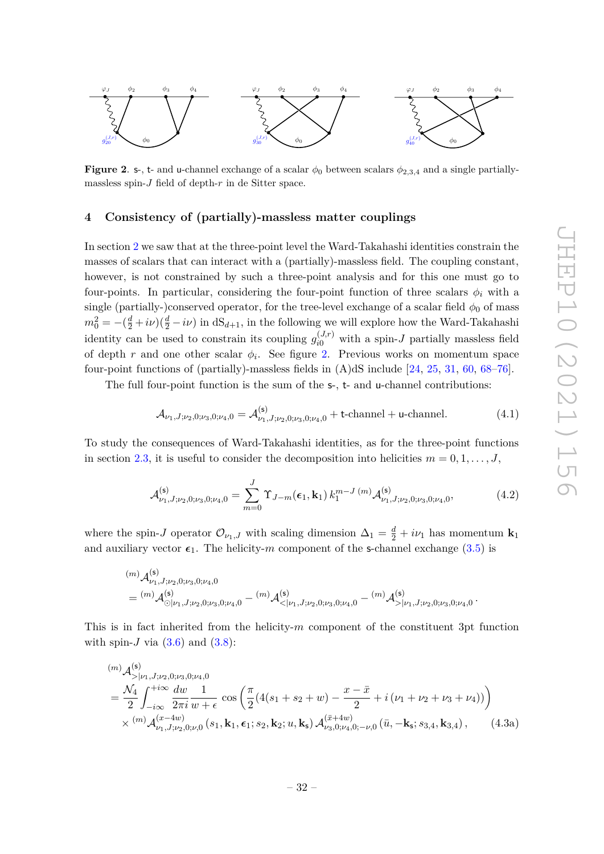

<span id="page-33-1"></span>**Figure 2. s-, t-** and u-channel exchange of a scalar  $\phi_0$  between scalars  $\phi_{2,3,4}$  and a single partiallymassless spin-*J* field of depth-*r* in de Sitter space.

# <span id="page-33-0"></span>**4 Consistency of (partially)-massless matter couplings**

In section [2](#page-6-0) we saw that at the three-point level the Ward-Takahashi identities constrain the masses of scalars that can interact with a (partially)-massless field. The coupling constant, however, is not constrained by such a three-point analysis and for this one must go to four-points. In particular, considering the four-point function of three scalars  $\phi_i$  with a single (partially-)conserved operator, for the tree-level exchange of a scalar field  $\phi_0$  of mass  $m_0^2 = -(\frac{d}{2} + i\nu)(\frac{d}{2} - i\nu)$  in  $dS_{d+1}$ , in the following we will explore how the Ward-Takahashi identity can be used to constrain its coupling  $g_{i0}^{(J,r)}$  with a spin-*J* partially massless field of depth  $r$  and one other scalar  $\phi_i$ . See figure [2.](#page-33-1) Previous works on momentum space four-point functions of (partially)-massless fields in (A)dS include [\[24,](#page-54-5) [25,](#page-54-10) [31,](#page-54-11) [60,](#page-55-7) [68–](#page-56-5)[76\]](#page-56-6).

The full four-point function is the sum of the s-, t- and u-channel contributions:

<span id="page-33-2"></span>
$$
\mathcal{A}_{\nu_1, J; \nu_2, 0; \nu_3, 0; \nu_4, 0} = \mathcal{A}_{\nu_1, J; \nu_2, 0; \nu_3, 0; \nu_4, 0}^{(\mathsf{s})} + \text{t-channel} + \text{u-channel}. \tag{4.1}
$$

To study the consequences of Ward-Takahashi identities, as for the three-point functions in section [2.3,](#page-13-0) it is useful to consider the decomposition into helicities  $m = 0, 1, \ldots, J$ ,

$$
\mathcal{A}_{\nu_1, J; \nu_2, 0; \nu_3, 0; \nu_4, 0}^{(\mathsf{s})} = \sum_{m=0}^{J} \Upsilon_{J-m}(\epsilon_1, \mathbf{k}_1) k_1^{m-J(m)} \mathcal{A}_{\nu_1, J; \nu_2, 0; \nu_3, 0; \nu_4, 0}^{(\mathsf{s})}, \tag{4.2}
$$

where the spin-*J* operator  $\mathcal{O}_{\nu_1,J}$  with scaling dimension  $\Delta_1 = \frac{d}{2} + i\nu_1$  has momentum  $\mathbf{k}_1$ and auxiliary vector  $\epsilon_1$ . The helicity-*m* component of the s-channel exchange [\(3.5\)](#page-27-3) is

$$
\begin{aligned} & {}^{(m)}\mathcal{A}^{(\mathsf{s})}_{\nu_1,J;\nu_2,0;\nu_3,0;\nu_4,0}\\ &= {}^{(m)}\mathcal{A}^{(\mathsf{s})}_{\odot|\nu_1,J;\nu_2,0;\nu_3,0;\nu_4,0}- {}^{(m)}\mathcal{A}^{(\mathsf{s})}_{<|\nu_1,J;\nu_2,0;\nu_3,0;\nu_4,0}- {}^{(m)}\mathcal{A}^{(\mathsf{s})}_{>|\nu_1,J;\nu_2,0;\nu_3,0;\nu_4,0}\,. \end{aligned}
$$

This is in fact inherited from the helicity-*m* component of the constituent 3pt function with spin- $J$  via  $(3.6)$  and  $(3.8)$ :

<span id="page-33-3"></span>
$$
(m) \mathcal{A}_{>\mid\nu_{1},j,\nu_{2},0;\nu_{3},0;\nu_{4},0}^{(s)}=\frac{\mathcal{N}_{4}}{2} \int_{-i\infty}^{+i\infty} \frac{dw}{2\pi i} \frac{1}{w+\epsilon} \cos\left(\frac{\pi}{2}(4(s_{1}+s_{2}+w)-\frac{x-\bar{x}}{2}+i(\nu_{1}+\nu_{2}+\nu_{3}+\nu_{4}))\right)\times \binom{m}{\nu_{1},j,\nu_{2},0;\nu_{0}}(s_{1},\mathbf{k}_{1},\epsilon_{1};s_{2},\mathbf{k}_{2};u,\mathbf{k}_{s}) \mathcal{A}_{\nu_{3},0;\nu_{4},0;-\nu,0}^{(\bar{x}+4w)}(\bar{u},-\mathbf{k}_{s};s_{3,4},\mathbf{k}_{3,4}), \qquad (4.3a)
$$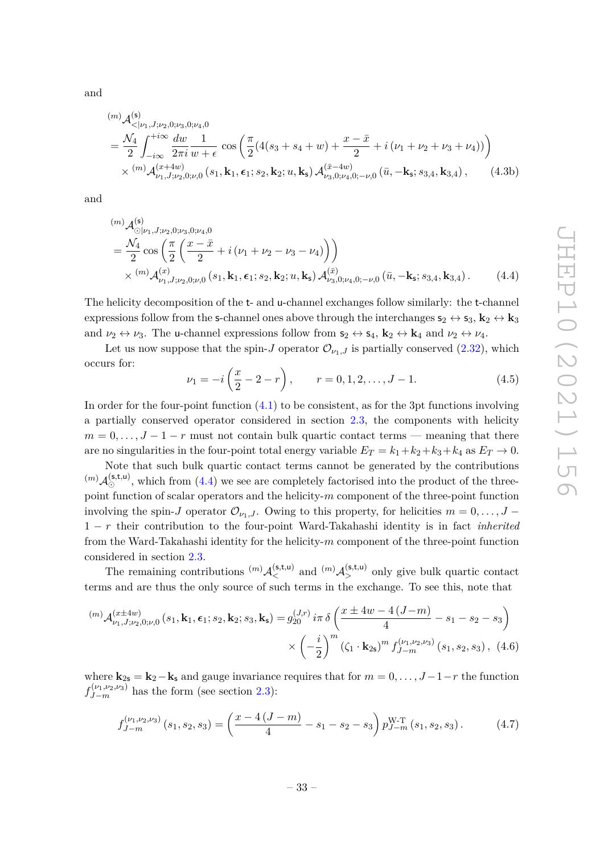and

$$
\begin{split} &{}^{(m)}\mathcal{A}_{\langle |\nu_1, J; \nu_2, 0; \nu_3, 0; \nu_4, 0}^{(s)} \\ &= \frac{\mathcal{N}_4}{2} \int_{-i\infty}^{+i\infty} \frac{dw}{2\pi i} \frac{1}{w+\epsilon} \cos\left(\frac{\pi}{2}(4(s_3+s_4+w)+\frac{x-\bar{x}}{2}+i(\nu_1+\nu_2+\nu_3+\nu_4))\right) \\ &\times {}^{(m)}\mathcal{A}_{\nu_1, J; \nu_2, 0; \nu, 0}^{(x+4w)}\left(s_1, \mathbf{k}_1, \boldsymbol{\epsilon}_1; s_2, \mathbf{k}_2; u, \mathbf{k}_\mathbf{s}\right) \mathcal{A}_{\nu_3, 0; \nu_4, 0; -\nu, 0}^{(\bar{x}-4w)}\left(\bar{u}, -\mathbf{k}_\mathbf{s}; s_3, 4, \mathbf{k}_3, 4\right), \end{split} \tag{4.3b}
$$

and

$$
(m) \mathcal{A}_{\odot|\nu_1, J; \nu_2, 0; \nu_3, 0; \nu_4, 0}^{(s)}=\frac{\mathcal{N}_4}{2} \cos\left(\frac{\pi}{2} \left(\frac{x-\bar{x}}{2} + i\left(\nu_1 + \nu_2 - \nu_3 - \nu_4\right)\right)\right) \times \binom{(m)}{\nu_1, J; \nu_2, 0; \nu, 0} (s_1, \mathbf{k}_1, \epsilon_1; s_2, \mathbf{k}_2; u, \mathbf{k}_s) \mathcal{A}_{\nu_3, 0; \nu_4, 0; -\nu, 0}^{(\bar{x})} (\bar{u}, -\mathbf{k}_s; s_{3,4}, \mathbf{k}_{3,4}).
$$
 (4.4)

The helicity decomposition of the t- and u-channel exchanges follow similarly: the t-channel expressions follow from the s-channel ones above through the interchanges  $s_2 \leftrightarrow s_3$ ,  $k_2 \leftrightarrow k_3$ and  $\nu_2 \leftrightarrow \nu_3$ . The u-channel expressions follow from  $\mathbf{s}_2 \leftrightarrow \mathbf{s}_4$ ,  $\mathbf{k}_2 \leftrightarrow \mathbf{k}_4$  and  $\nu_2 \leftrightarrow \nu_4$ .

Let us now suppose that the spin-*J* operator  $\mathcal{O}_{\nu_1,J}$  is partially conserved [\(2.32\)](#page-13-3), which occurs for:

<span id="page-34-3"></span><span id="page-34-0"></span>
$$
\nu_1 = -i\left(\frac{x}{2} - 2 - r\right), \qquad r = 0, 1, 2, \dots, J - 1.
$$
 (4.5)

In order for the four-point function  $(4.1)$  to be consistent, as for the 3pt functions involving a partially conserved operator considered in section [2.3,](#page-13-0) the components with helicity  $m = 0, \ldots, J - 1 - r$  must not contain bulk quartic contact terms — meaning that there are no singularities in the four-point total energy variable  $E_T = k_1 + k_2 + k_3 + k_4$  as  $E_T \rightarrow 0$ .

Note that such bulk quartic contact terms cannot be generated by the contributions  $({}^{(m)}\mathcal{A}_{\odot}^{(\mathsf{s},\mathsf{t},\mathsf{u})}$ , which from [\(4.4\)](#page-34-0) we see are completely factorised into the product of the threepoint function of scalar operators and the helicity-*m* component of the three-point function involving the spin-*J* operator  $\mathcal{O}_{\nu_1,J}$ . Owing to this property, for helicities  $m=0,\ldots,J-$ 1 − *r* their contribution to the four-point Ward-Takahashi identity is in fact *inherited* from the Ward-Takahashi identity for the helicity-*m* component of the three-point function considered in section [2.3.](#page-13-0)

The remaining contributions  $^{(m)}\mathcal{A}_{<}^{(\mathsf{s},\mathsf{t},\mathsf{u})}$  and  $^{(m)}\mathcal{A}_{>}^{(\mathsf{s},\mathsf{t},\mathsf{u})}$  only give bulk quartic contact terms and are thus the only source of such terms in the exchange. To see this, note that

$$
^{(m)}\mathcal{A}_{\nu_{1},J;\nu_{2},0;\nu,0}^{(x\pm 4w)}(s_{1},\mathbf{k}_{1},\epsilon_{1};s_{2},\mathbf{k}_{2};s_{3},\mathbf{k}_{s}) = g_{20}^{(J,r)}i\pi \delta\left(\frac{x\pm 4w - 4(J-m)}{4} - s_{1} - s_{2} - s_{3}\right) \times \left(-\frac{i}{2}\right)^{m}(\zeta_{1} \cdot \mathbf{k}_{2s})^{m} f_{J-m}^{(\nu_{1},\nu_{2},\nu_{3})}(s_{1},s_{2},s_{3}), (4.6)
$$

where  $\mathbf{k}_{2s} = \mathbf{k}_2 - \mathbf{k}_s$  and gauge invariance requires that for  $m = 0, \ldots, J-1-r$  the function  $f_{J-m}^{(\nu_1,\nu_2,\nu_3)}$  has the form (see section [2.3\)](#page-13-0):

<span id="page-34-2"></span><span id="page-34-1"></span>
$$
f_{J-m}^{(\nu_1,\nu_2,\nu_3)}(s_1,s_2,s_3) = \left(\frac{x-4\,(J-m)}{4} - s_1 - s_2 - s_3\right) p_{J-m}^{\text{W-T}}(s_1,s_2,s_3). \tag{4.7}
$$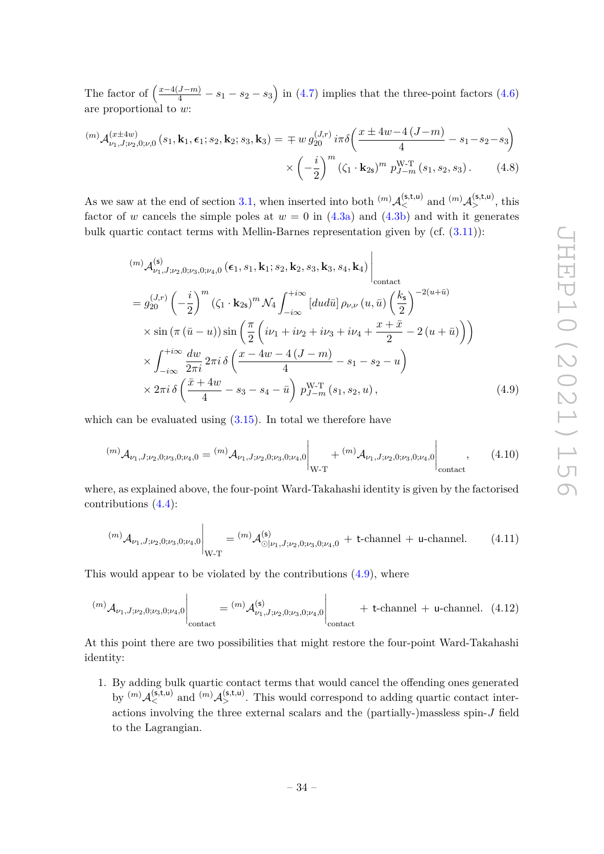The factor of  $\left(\frac{x-4(J-m)}{4}-s_1-s_2-s_3\right)$  in [\(4.7\)](#page-34-1) implies that the three-point factors [\(4.6\)](#page-34-2) are proportional to *w*:

$$
^{(m)}\mathcal{A}_{\nu_{1},J;\nu_{2},0;\nu,0}^{(x\pm 4w)}(s_{1},\mathbf{k}_{1},\epsilon_{1};s_{2},\mathbf{k}_{2};s_{3},\mathbf{k}_{3}) = \mp w g_{20}^{(J,r)} i\pi \delta \left(\frac{x\pm 4w-4(J-m)}{4} - s_{1} - s_{2} - s_{3}\right) \times \left(-\frac{i}{2}\right)^{m} (\zeta_{1} \cdot \mathbf{k}_{2s})^{m} p_{J-m}^{W-T}(s_{1},s_{2},s_{3}). \tag{4.8}
$$

As we saw at the end of section [3.1,](#page-27-1) when inserted into both  $^{(m)}\mathcal{A}_{\leq}^{(\mathsf{s},\mathsf{t},\mathsf{u})}$  and  $^{(m)}\mathcal{A}_{>}^{(\mathsf{s},\mathsf{t},\mathsf{u})}$ , this factor of *w* cancels the simple poles at  $w = 0$  in  $(4.3a)$  and  $(4.3b)$  and with it generates bulk quartic contact terms with Mellin-Barnes representation given by (cf. [\(3.11\)](#page-29-4)):

$$
\begin{split}\n&\ (m) \mathcal{A}^{(s)}_{\nu_1, J; \nu_2, 0; \nu_3, 0; \nu_4, 0} \left( \epsilon_1, s_1, \mathbf{k}_1; s_2, \mathbf{k}_2, s_3, \mathbf{k}_3, s_4, \mathbf{k}_4 \right) \Big|_{\text{contact} } \\
&= g_{20}^{(J,r)} \left( -\frac{i}{2} \right)^m \left( \zeta_1 \cdot \mathbf{k}_{2s} \right)^m \mathcal{N}_4 \int_{-i\infty}^{+i\infty} \left[ du d\bar{u} \right] \rho_{\nu, \nu} \left( u, \bar{u} \right) \left( \frac{k_s}{2} \right)^{-2(u+\bar{u})} \\
&\times \sin \left( \pi \left( \bar{u} - u \right) \right) \sin \left( \frac{\pi}{2} \left( i\nu_1 + i\nu_2 + i\nu_3 + i\nu_4 + \frac{x + \bar{x}}{2} - 2 \left( u + \bar{u} \right) \right) \right) \\
&\times \int_{-i\infty}^{+i\infty} \frac{dw}{2\pi i} \, 2\pi i \, \delta \left( \frac{x - 4w - 4 \left( J - m \right)}{4} - s_1 - s_2 - u \right) \\
&\times 2\pi i \, \delta \left( \frac{\bar{x} + 4w}{4} - s_3 - s_4 - \bar{u} \right) \, p_{J-m}^{W-T} \left( s_1, s_2, u \right),\n\end{split} \tag{4.9}
$$

<span id="page-35-0"></span> $\overline{1}$ 

which can be evaluated using  $(3.15)$ . In total we therefore have

$$
^{(m)}\mathcal{A}_{\nu_1,J;\nu_2,0;\nu_3,0;\nu_4,0} = {^{(m)}\mathcal{A}_{\nu_1,J;\nu_2,0;\nu_3,0;\nu_4,0} \Big|_{W-T} + {^{(m)}\mathcal{A}_{\nu_1,J;\nu_2,0;\nu_3,0;\nu_4,0} \Big|_{\text{contact}}},\qquad(4.10)
$$

where, as explained above, the four-point Ward-Takahashi identity is given by the factorised contributions [\(4.4\)](#page-34-0):

$$
^{(m)}\mathcal{A}_{\nu_1,J;\nu_2,0;\nu_3,0;\nu_4,0}\Big|_{\mathcal{W}\text{-}\mathcal{T}} = {}^{(m)}\mathcal{A}_{\odot|\nu_1,J;\nu_2,0;\nu_3,0;\nu_4,0}^{(\mathsf{s})} + \text{t-channel + u-channel.} \qquad (4.11)
$$

This would appear to be violated by the contributions [\(4.9\)](#page-35-0), where

$$
^{(m)}\mathcal{A}_{\nu_1,J;\nu_2,0;\nu_3,0;\nu_4,0}\Big|_{\text{contact}} = {}^{(m)}\mathcal{A}_{\nu_1,J;\nu_2,0;\nu_3,0;\nu_4,0}^{(\mathsf{s})}\Big|_{\text{contact}} + \text{t-channel} + \text{u-channel.} \quad (4.12)
$$

At this point there are two possibilities that might restore the four-point Ward-Takahashi identity:

1. By adding bulk quartic contact terms that would cancel the offending ones generated by  $(m)$   $A_{\leq}^{(s,t,u)}$  and  $(m)$   $A_{>}^{(s,t,u)}$ . This would correspond to adding quartic contact interactions involving the three external scalars and the (partially-)massless spin-*J* field to the Lagrangian.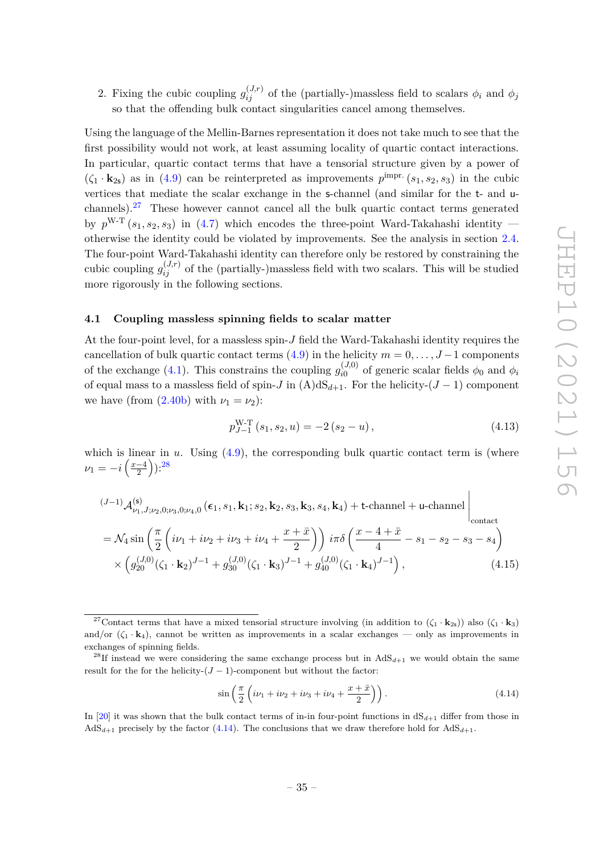2. Fixing the cubic coupling  $g_{ij}^{(J,r)}$  of the (partially-)massless field to scalars  $\phi_i$  and  $\phi_j$ so that the offending bulk contact singularities cancel among themselves.

Using the language of the Mellin-Barnes representation it does not take much to see that the first possibility would not work, at least assuming locality of quartic contact interactions. In particular, quartic contact terms that have a tensorial structure given by a power of  $(\zeta_1 \cdot \mathbf{k}_{2s})$  as in [\(4.9\)](#page-35-0) can be reinterpreted as improvements  $p^{\text{impr.}}(s_1, s_2, s_3)$  in the cubic vertices that mediate the scalar exchange in the s-channel (and similar for the t- and uchannels).[27](#page-36-1) These however cannot cancel all the bulk quartic contact terms generated by  $p^{W-T}(s_1, s_2, s_3)$  in [\(4.7\)](#page-34-1) which encodes the three-point Ward-Takahashi identity otherwise the identity could be violated by improvements. See the analysis in section [2.4.](#page-21-0) The four-point Ward-Takahashi identity can therefore only be restored by constraining the cubic coupling  $g_{ij}^{(J,r)}$  of the (partially-)massless field with two scalars. This will be studied more rigorously in the following sections.

## <span id="page-36-0"></span>**4.1 Coupling massless spinning fields to scalar matter**

At the four-point level, for a massless spin-*J* field the Ward-Takahashi identity requires the cancellation of bulk quartic contact terms  $(4.9)$  in the helicity  $m = 0, \ldots, J-1$  components of the exchange [\(4.1\)](#page-33-2). This constrains the coupling  $g_{i0}^{(J,0)}$  $\phi_i^{(J,0)}$  of generic scalar fields  $\phi_0$  and  $\phi_i$ of equal mass to a massless field of spin-*J* in  $(A)dS_{d+1}$ . For the helicity- $(J-1)$  component we have (from  $(2.40b)$  with  $\nu_1 = \nu_2$ ):

<span id="page-36-4"></span>
$$
p_{J-1}^{W-T}(s_1, s_2, u) = -2(s_2 - u), \qquad (4.13)
$$

which is linear in  $u$ . Using  $(4.9)$ , the corresponding bulk quartic contact term is (where  $\nu_1 = -i\left(\frac{x-4}{2}\right)$  $(\frac{-4}{2})$ ):<sup>[28](#page-36-2)</sup>

$$
\begin{split} &(J-1)\mathcal{A}_{\nu_{1},J,\nu_{2},0;\nu_{3},0;\nu_{4},0}^{(\mathsf{s})}\left(\epsilon_{1},s_{1},\mathbf{k}_{1};s_{2},\mathbf{k}_{2},s_{3},\mathbf{k}_{3},s_{4},\mathbf{k}_{4}\right)+\text{t-channel}+\text{u-channel} \\ &= \mathcal{N}_{4}\sin\left(\frac{\pi}{2}\left(i\nu_{1}+i\nu_{2}+i\nu_{3}+i\nu_{4}+\frac{x+\bar{x}}{2}\right)\right)i\pi\delta\left(\frac{x-4+\bar{x}}{4}-s_{1}-s_{2}-s_{3}-s_{4}\right) \\ &\times\left(g_{20}^{(J,0)}(\zeta_{1}\cdot\mathbf{k}_{2})^{J-1}+g_{30}^{(J,0)}(\zeta_{1}\cdot\mathbf{k}_{3})^{J-1}+g_{40}^{(J,0)}(\zeta_{1}\cdot\mathbf{k}_{4})^{J-1}\right), \end{split} \tag{4.15}
$$

<span id="page-36-3"></span>
$$
\sin\left(\frac{\pi}{2}\left(i\nu_1 + i\nu_2 + i\nu_3 + i\nu_4 + \frac{x + \bar{x}}{2}\right)\right). \tag{4.14}
$$

In [\[20\]](#page-53-5) it was shown that the bulk contact terms of in-in four-point functions in  $dS_{d+1}$  differ from those in  $AdS_{d+1}$  precisely by the factor [\(4.14\)](#page-36-3). The conclusions that we draw therefore hold for  $AdS_{d+1}$ .

<span id="page-36-1"></span><sup>&</sup>lt;sup>27</sup>Contact terms that have a mixed tensorial structure involving (in addition to  $(\zeta_1 \cdot \mathbf{k}_{2s})$ ) also  $(\zeta_1 \cdot \mathbf{k}_{3})$ and/or  $(\zeta_1 \cdot \mathbf{k}_4)$ , cannot be written as improvements in a scalar exchanges — only as improvements in exchanges of spinning fields.

<span id="page-36-2"></span><sup>&</sup>lt;sup>28</sup>If instead we were considering the same exchange process but in  $AdS_{d+1}$  we would obtain the same result for the for the helicity- $(J-1)$ -component but without the factor: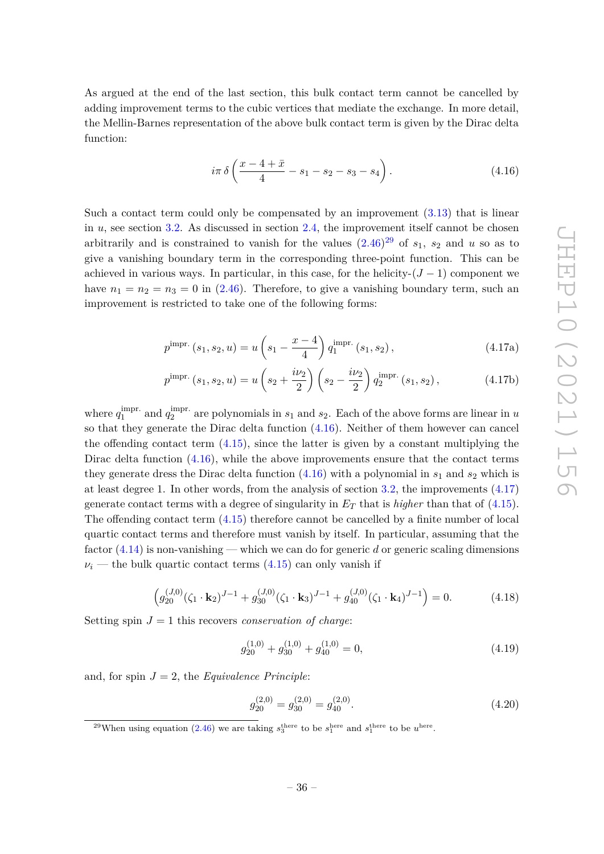As argued at the end of the last section, this bulk contact term cannot be cancelled by adding improvement terms to the cubic vertices that mediate the exchange. In more detail, the Mellin-Barnes representation of the above bulk contact term is given by the Dirac delta function:

<span id="page-37-1"></span>
$$
i\pi \delta \left(\frac{x-4+\bar{x}}{4}-s_1-s_2-s_3-s_4\right).
$$
 (4.16)

Such a contact term could only be compensated by an improvement [\(3.13\)](#page-30-3) that is linear in *u*, see section [3.2.](#page-29-0) As discussed in section [2.4,](#page-21-0) the improvement itself cannot be chosen arbitrarily and is constrained to vanish for the values  $(2.46)^{29}$  $(2.46)^{29}$  $(2.46)^{29}$  $(2.46)^{29}$  of  $s_1$ ,  $s_2$  and  $u$  so as to give a vanishing boundary term in the corresponding three-point function. This can be achieved in various ways. In particular, in this case, for the helicity- $(J-1)$  component we have  $n_1 = n_2 = n_3 = 0$  in [\(2.46\)](#page-17-2). Therefore, to give a vanishing boundary term, such an improvement is restricted to take one of the following forms:

<span id="page-37-2"></span>
$$
p^{\text{impr.}}(s_1, s_2, u) = u\left(s_1 - \frac{x - 4}{4}\right) q_1^{\text{impr.}}(s_1, s_2), \qquad (4.17a)
$$

$$
p^{\text{impr.}}(s_1, s_2, u) = u\left(s_2 + \frac{i\nu_2}{2}\right)\left(s_2 - \frac{i\nu_2}{2}\right)q_2^{\text{impr.}}(s_1, s_2),\tag{4.17b}
$$

where  $q_1^{\text{impr.}}$  $_1^{\text{impr.}}$  and  $q_2^{\text{impr.}}$  $\frac{1}{2}$  are polynomials in  $s_1$  and  $s_2$ . Each of the above forms are linear in *u* so that they generate the Dirac delta function [\(4.16\)](#page-37-1). Neither of them however can cancel the offending contact term  $(4.15)$ , since the latter is given by a constant multiplying the Dirac delta function  $(4.16)$ , while the above improvements ensure that the contact terms they generate dress the Dirac delta function  $(4.16)$  with a polynomial in  $s_1$  and  $s_2$  which is at least degree 1. In other words, from the analysis of section [3.2,](#page-29-0) the improvements [\(4.17\)](#page-37-2) generate contact terms with a degree of singularity in  $E_T$  that is *higher* than that of  $(4.15)$ . The offending contact term [\(4.15\)](#page-36-4) therefore cannot be cancelled by a finite number of local quartic contact terms and therefore must vanish by itself. In particular, assuming that the factor [\(4.14\)](#page-36-3) is non-vanishing — which we can do for generic *d* or generic scaling dimensions  $\nu_i$  — the bulk quartic contact terms  $(4.15)$  can only vanish if

<span id="page-37-3"></span>
$$
\left(g_{20}^{(J,0)}(\zeta_1 \cdot \mathbf{k}_2)^{J-1} + g_{30}^{(J,0)}(\zeta_1 \cdot \mathbf{k}_3)^{J-1} + g_{40}^{(J,0)}(\zeta_1 \cdot \mathbf{k}_4)^{J-1}\right) = 0.
$$
 (4.18)

Setting spin  $J = 1$  this recovers *conservation of charge*:

<span id="page-37-4"></span>
$$
g_{20}^{(1,0)} + g_{30}^{(1,0)} + g_{40}^{(1,0)} = 0,
$$
\n(4.19)

and, for spin  $J = 2$ , the *Equivalence Principle*:

<span id="page-37-5"></span>
$$
g_{20}^{(2,0)} = g_{30}^{(2,0)} = g_{40}^{(2,0)}.
$$
\n(4.20)

<span id="page-37-0"></span><sup>&</sup>lt;sup>29</sup>When using equation [\(2.46\)](#page-17-2) we are taking  $s_3^{\text{there}}$  to be  $s_1^{\text{here}}$  and  $s_1^{\text{there}}$  to be  $u^{\text{here}}$ .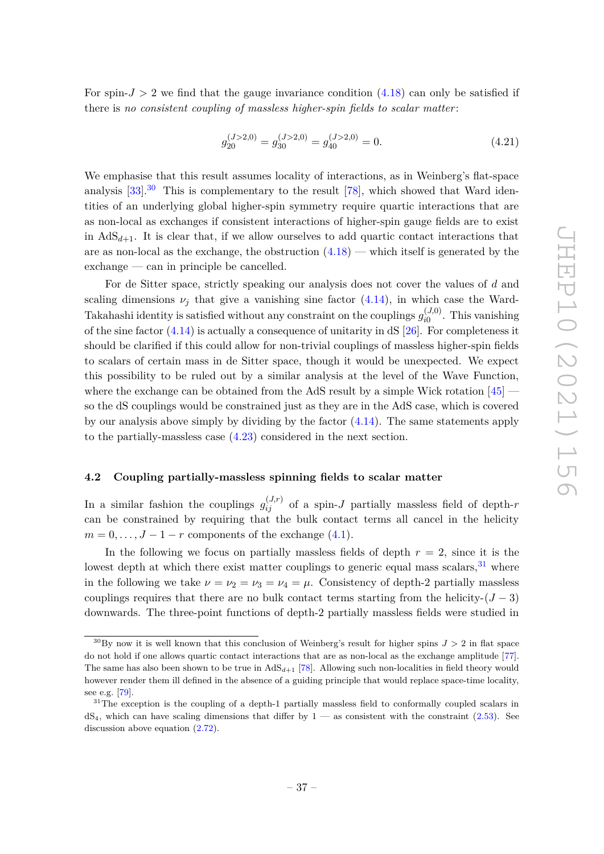For spin- $J > 2$  we find that the gauge invariance condition  $(4.18)$  can only be satisfied if there is *no consistent coupling of massless higher-spin fields to scalar matter* :

<span id="page-38-3"></span>
$$
g_{20}^{(J>2,0)} = g_{30}^{(J>2,0)} = g_{40}^{(J>2,0)} = 0.
$$
\n(4.21)

We emphasise that this result assumes locality of interactions, as in Weinberg's flat-space analysis  $[33]$ <sup>[30](#page-38-1)</sup> This is complementary to the result  $[78]$ , which showed that Ward identities of an underlying global higher-spin symmetry require quartic interactions that are as non-local as exchanges if consistent interactions of higher-spin gauge fields are to exist in  $AdS_{d+1}$ . It is clear that, if we allow ourselves to add quartic contact interactions that are as non-local as the exchange, the obstruction  $(4.18)$  — which itself is generated by the exchange — can in principle be cancelled.

For de Sitter space, strictly speaking our analysis does not cover the values of *d* and scaling dimensions  $\nu_j$  that give a vanishing sine factor  $(4.14)$ , in which case the Ward-Takahashi identity is satisfied without any constraint on the couplings  $g_{i0}^{(J,0)}$  $T_{i0}^{(9,0)}$ . This vanishing of the sine factor  $(4.14)$  is actually a consequence of unitarity in  $dS$  [\[26\]](#page-54-12). For completeness it should be clarified if this could allow for non-trivial couplings of massless higher-spin fields to scalars of certain mass in de Sitter space, though it would be unexpected. We expect this possibility to be ruled out by a similar analysis at the level of the Wave Function, where the exchange can be obtained from the AdS result by a simple Wick rotation [\[45\]](#page-55-1) so the dS couplings would be constrained just as they are in the AdS case, which is covered by our analysis above simply by dividing by the factor  $(4.14)$ . The same statements apply to the partially-massless case [\(4.23\)](#page-39-0) considered in the next section.

#### <span id="page-38-0"></span>**4.2 Coupling partially-massless spinning fields to scalar matter**

In a similar fashion the couplings  $g_{ij}^{(J,r)}$  of a spin-*J* partially massless field of depth-*r* can be constrained by requiring that the bulk contact terms all cancel in the helicity  $m = 0, \ldots, J - 1 - r$  components of the exchange [\(4.1\)](#page-33-2).

In the following we focus on partially massless fields of depth  $r = 2$ , since it is the lowest depth at which there exist matter couplings to generic equal mass scalars,  $31$  where in the following we take  $\nu = \nu_2 = \nu_3 = \nu_4 = \mu$ . Consistency of depth-2 partially massless couplings requires that there are no bulk contact terms starting from the helicity- $(J-3)$ downwards. The three-point functions of depth-2 partially massless fields were studied in

<span id="page-38-1"></span> $30\text{By}$  now it is well known that this conclusion of Weinberg's result for higher spins  $J > 2$  in flat space do not hold if one allows quartic contact interactions that are as non-local as the exchange amplitude [\[77\]](#page-56-8). The same has also been shown to be true in  $AdS_{d+1}$  [\[78\]](#page-56-7). Allowing such non-localities in field theory would however render them ill defined in the absence of a guiding principle that would replace space-time locality, see e.g. [\[79\]](#page-56-9).

<span id="page-38-2"></span> $31$ The exception is the coupling of a depth-1 partially massless field to conformally coupled scalars in  $dS_4$ , which can have scaling dimensions that differ by  $1 -$  as consistent with the constraint [\(2.53\)](#page-19-1). See discussion above equation [\(2.72\)](#page-25-1).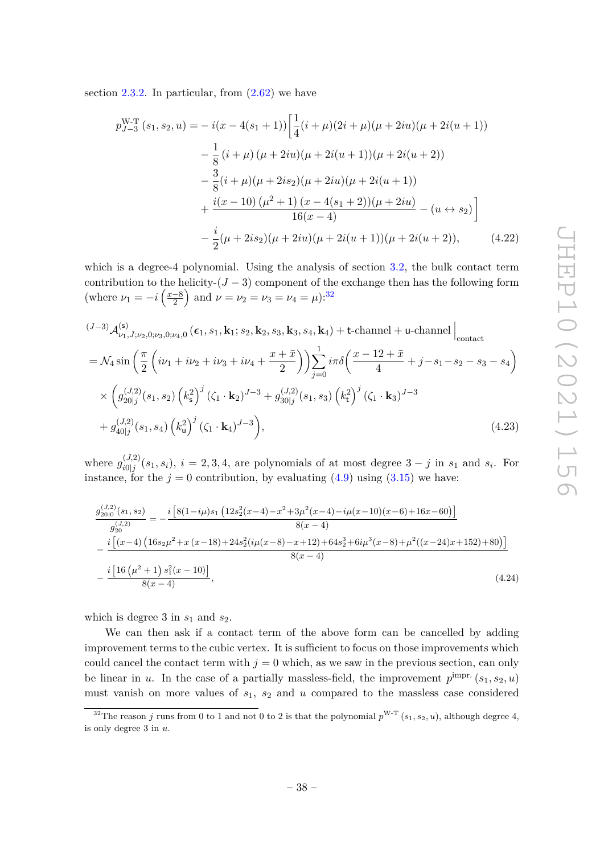section [2.3.2.](#page-19-0) In particular, from  $(2.62)$  we have

$$
p_{J-3}^{W-T}(s_1, s_2, u) = -i(x - 4(s_1 + 1)) \left[ \frac{1}{4} (i + \mu)(2i + \mu)(\mu + 2iu)(\mu + 2i(u + 1)) - \frac{1}{8} (i + \mu)(\mu + 2iu)(\mu + 2i(u + 1))(\mu + 2i(u + 2)) - \frac{3}{8} (i + \mu)(\mu + 2is_2)(\mu + 2iu)(\mu + 2i(u + 1)) + \frac{i(x - 10)(\mu^2 + 1)(x - 4(s_1 + 2))(\mu + 2iu)}{16(x - 4)} - (u \leftrightarrow s_2) \right] - \frac{i}{2} (\mu + 2is_2)(\mu + 2iu)(\mu + 2i(u + 1))(\mu + 2i(u + 2)), \tag{4.22}
$$

which is a degree-4 polynomial. Using the analysis of section [3.2,](#page-29-0) the bulk contact term contribution to the helicity- $(J-3)$  component of the exchange then has the following form (where  $\nu_1 = -i \left( \frac{x-8}{2} \right)$  $\left(\frac{-8}{2}\right)$  and  $\nu = \nu_2 = \nu_3 = \nu_4 = \mu$ :<sup>[32](#page-39-1)</sup>

$$
(J-3) \mathcal{A}_{\nu_1, J; \nu_2, 0; \nu_3, 0; \nu_4, 0}^{(s)} (\epsilon_1, s_1, \mathbf{k}_1; s_2, \mathbf{k}_2, s_3, \mathbf{k}_3, s_4, \mathbf{k}_4) + \text{t-channel} + \text{u-channel} \Big|_{\text{contact}}
$$
  
=  $\mathcal{N}_4 \sin\left(\frac{\pi}{2} \left(i\nu_1 + i\nu_2 + i\nu_3 + i\nu_4 + \frac{x + \bar{x}}{2}\right)\right) \sum_{j=0}^1 i\pi \delta\left(\frac{x - 12 + \bar{x}}{4} + j - s_1 - s_2 - s_3 - s_4\right)$   
 $\times \left(g_{20|j}^{(J,2)}(s_1, s_2) \left(k_s^2\right)^j (\zeta_1 \cdot \mathbf{k}_2)^{J-3} + g_{30|j}^{(J,2)}(s_1, s_3) \left(k_t^2\right)^j (\zeta_1 \cdot \mathbf{k}_3)^{J-3}$   
 $+ g_{40|j}^{(J,2)}(s_1, s_4) \left(k_u^2\right)^j (\zeta_1 \cdot \mathbf{k}_4)^{J-3},$  (4.23)

where  $g_{i0|i}^{(J,2)}$  $\frac{d^{(J,2)}(s_1, s_i)}{i^{(J)}}$ ,  $i = 2, 3, 4$ , are polynomials of at most degree  $3 - j$  in  $s_1$  and  $s_i$ . For instance, for the  $j = 0$  contribution, by evaluating  $(4.9)$  using  $(3.15)$  we have:

<span id="page-39-2"></span><span id="page-39-0"></span>
$$
\frac{g_{20|0}^{(J,2)}(s_1, s_2)}{g_{20}^{(J,2)}} = -\frac{i \left[8(1-i\mu)s_1 \left(12s_2^2(x-4) - x^2 + 3\mu^2(x-4) - i\mu(x-10)(x-6) + 16x - 60\right)\right]}{8(x-4)}
$$
\n
$$
-\frac{i \left[(x-4) \left(16s_2\mu^2 + x(x-18) + 24s_2^2(i\mu(x-8) - x+12) + 64s_2^3 + 6i\mu^3(x-8) + \mu^2((x-24)x+152) + 80\right)\right]}{8(x-4)}
$$
\n
$$
-\frac{i \left[16\left(\mu^2+1\right)s_1^2(x-10)\right]}{8(x-4)},\tag{4.24}
$$

which is degree 3 in  $s_1$  and  $s_2$ .

We can then ask if a contact term of the above form can be cancelled by adding improvement terms to the cubic vertex. It is sufficient to focus on those improvements which could cancel the contact term with  $j = 0$  which, as we saw in the previous section, can only be linear in *u*. In the case of a partially massless-field, the improvement  $p^{\text{impr.}}(s_1, s_2, u)$ must vanish on more values of *s*1, *s*<sup>2</sup> and *u* compared to the massless case considered

<span id="page-39-1"></span><sup>&</sup>lt;sup>32</sup>The reason *j* runs from 0 to 1 and not 0 to 2 is that the polynomial  $p^{W-T}(s_1, s_2, u)$ , although degree 4, is only degree 3 in *u*.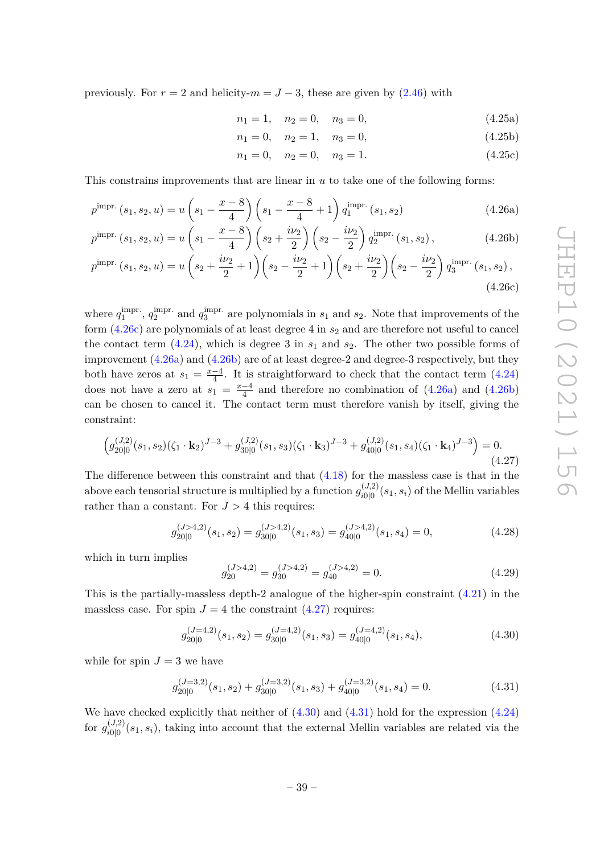previously. For  $r = 2$  and helicity- $m = J - 3$ , these are given by  $(2.46)$  with

$$
n_1 = 1, \quad n_2 = 0, \quad n_3 = 0,\tag{4.25a}
$$

$$
n_1 = 0, \quad n_2 = 1, \quad n_3 = 0,\tag{4.25b}
$$

<span id="page-40-2"></span><span id="page-40-1"></span><span id="page-40-0"></span>
$$
n_1 = 0, \quad n_2 = 0, \quad n_3 = 1. \tag{4.25c}
$$

This constrains improvements that are linear in *u* to take one of the following forms:

$$
p^{\text{impr.}}(s_1, s_2, u) = u \left(s_1 - \frac{x - 8}{4}\right) \left(s_1 - \frac{x - 8}{4} + 1\right) q_1^{\text{impr.}}(s_1, s_2)
$$
\n(4.26a)

$$
p^{\text{impr.}}\left(s_{1}, s_{2}, u\right) = u\left(s_{1} - \frac{x - 8}{4}\right)\left(s_{2} + \frac{i\nu_{2}}{2}\right)\left(s_{2} - \frac{i\nu_{2}}{2}\right)q_{2}^{\text{impr.}}\left(s_{1}, s_{2}\right),\tag{4.26b}
$$

$$
p^{\text{impr.}}\left(s_{1}, s_{2}, u\right) = u\left(s_{2} + \frac{i\nu_{2}}{2} + 1\right)\left(s_{2} - \frac{i\nu_{2}}{2} + 1\right)\left(s_{2} + \frac{i\nu_{2}}{2}\right)\left(s_{2} - \frac{i\nu_{2}}{2}\right)q^{\text{impr.}}_{3}\left(s_{1}, s_{2}\right),\tag{4.26c}
$$

where  $q_1^{\text{impr}}$ .  $q_1^{\text{impr.}}, q_2^{\text{impr.}}$  $q_3^{\text{impr.}}$  and  $q_3^{\text{impr.}}$  $\frac{3}{3}$  are polynomials in  $s_1$  and  $s_2$ . Note that improvements of the form  $(4.26c)$  are polynomials of at least degree 4 in  $s_2$  and are therefore not useful to cancel the contact term  $(4.24)$ , which is degree 3 in  $s_1$  and  $s_2$ . The other two possible forms of improvement [\(4.26a\)](#page-40-1) and [\(4.26b\)](#page-40-2) are of at least degree-2 and degree-3 respectively, but they both have zeros at  $s_1 = \frac{x-4}{4}$  $\frac{-4}{4}$ . It is straightforward to check that the contact term  $(4.24)$ does not have a zero at  $s_1 = \frac{x-4}{4}$  $\frac{-4}{4}$  and therefore no combination of  $(4.26a)$  and  $(4.26b)$ can be chosen to cancel it. The contact term must therefore vanish by itself, giving the constraint:

<span id="page-40-3"></span>
$$
\left(g_{20|0}^{(J,2)}(s_1,s_2)(\zeta_1 \cdot \mathbf{k}_2)^{J-3} + g_{30|0}^{(J,2)}(s_1,s_3)(\zeta_1 \cdot \mathbf{k}_3)^{J-3} + g_{40|0}^{(J,2)}(s_1,s_4)(\zeta_1 \cdot \mathbf{k}_4)^{J-3}\right) = 0.
$$
\n(4.27)

The difference between this constraint and that  $(4.18)$  for the massless case is that in the above each tensorial structure is multiplied by a function  $g_{i_0}^{(J,2)}$  $\int_{i0|0}^{(J,2)} (s_1, s_i)$  of the Mellin variables rather than a constant. For  $J > 4$  this requires:

$$
g_{20|0}^{(J>4,2)}(s_1, s_2) = g_{30|0}^{(J>4,2)}(s_1, s_3) = g_{40|0}^{(J>4,2)}(s_1, s_4) = 0,
$$
\n(4.28)

which in turn implies

$$
g_{20}^{(J>4,2)} = g_{30}^{(J>4,2)} = g_{40}^{(J>4,2)} = 0.
$$
\n(4.29)

This is the partially-massless depth-2 analogue of the higher-spin constraint  $(4.21)$  in the massless case. For spin  $J = 4$  the constraint  $(4.27)$  requires:

<span id="page-40-4"></span>
$$
g_{20|0}^{(J=4,2)}(s_1, s_2) = g_{30|0}^{(J=4,2)}(s_1, s_3) = g_{40|0}^{(J=4,2)}(s_1, s_4),
$$
\n(4.30)

while for spin  $J = 3$  we have

<span id="page-40-5"></span>
$$
g_{20|0}^{(J=3,2)}(s_1, s_2) + g_{30|0}^{(J=3,2)}(s_1, s_3) + g_{40|0}^{(J=3,2)}(s_1, s_4) = 0.
$$
 (4.31)

We have checked explicitly that neither of  $(4.30)$  and  $(4.31)$  hold for the expression  $(4.24)$ for  $g_{i0|0}^{(J,2)}$  $\frac{d^{(J,2)}(s_1,s_i)}{d^{(0)}(s_1,s_i)}$ , taking into account that the external Mellin variables are related via the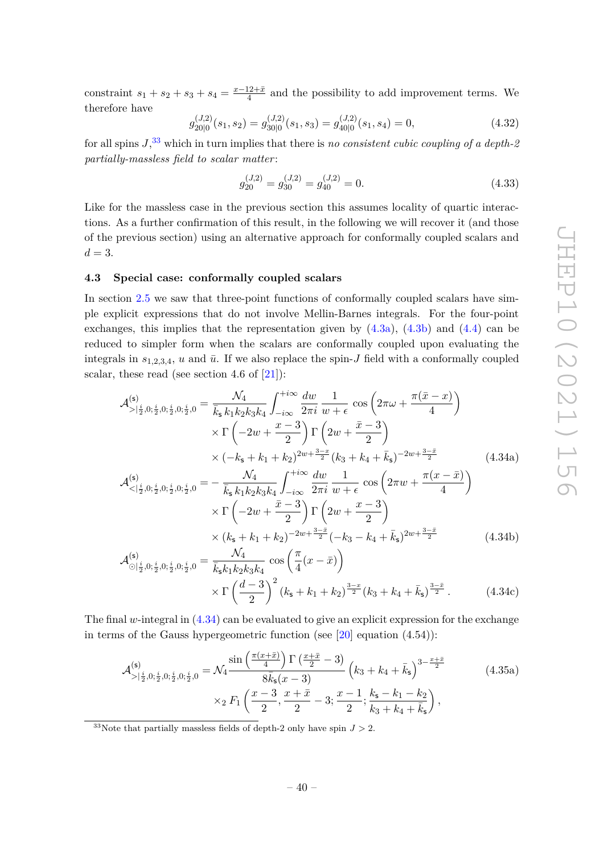constraint  $s_1 + s_2 + s_3 + s_4 = \frac{x - 12 + \bar{x}}{4}$  $\frac{12+x}{4}$  and the possibility to add improvement terms. We therefore have

$$
g_{20|0}^{(J,2)}(s_1, s_2) = g_{30|0}^{(J,2)}(s_1, s_3) = g_{40|0}^{(J,2)}(s_1, s_4) = 0,
$$
\n(4.32)

for all spins *J*, [33](#page-41-1) which in turn implies that there is *no consistent cubic coupling of a depth-2 partially-massless field to scalar matter* :

$$
g_{20}^{(J,2)} = g_{30}^{(J,2)} = g_{40}^{(J,2)} = 0.
$$
\n(4.33)

Like for the massless case in the previous section this assumes locality of quartic interactions. As a further confirmation of this result, in the following we will recover it (and those of the previous section) using an alternative approach for conformally coupled scalars and  $d=3$ .

#### <span id="page-41-0"></span>**4.3 Special case: conformally coupled scalars**

In section [2.5](#page-22-0) we saw that three-point functions of conformally coupled scalars have simple explicit expressions that do not involve Mellin-Barnes integrals. For the four-point exchanges, this implies that the representation given by  $(4.3a)$ ,  $(4.3b)$  and  $(4.4)$  can be reduced to simpler form when the scalars are conformally coupled upon evaluating the integrals in  $s_{1,2,3,4}$ , *u* and  $\bar{u}$ . If we also replace the spin-*J* field with a conformally coupled scalar, these read (see section 4.6 of [\[21\]](#page-53-6)):

<span id="page-41-2"></span>
$$
\mathcal{A}_{>\left|\frac{i}{2},0;\frac{i}{2},0;\frac{i}{2},0;\frac{i}{2},0\right|}^{(5)} = \frac{\mathcal{N}_4}{\bar{k}_5 k_1 k_2 k_3 k_4} \int_{-i\infty}^{+i\infty} \frac{dw}{2\pi i} \frac{1}{w+\epsilon} \cos\left(2\pi\omega + \frac{\pi(\bar{x}-x)}{4}\right) \times \Gamma\left(-2w + \frac{x-3}{2}\right) \Gamma\left(2w + \frac{\bar{x}-3}{2}\right) \times (-k_5 + k_1 + k_2)^{2w + \frac{3-x}{2}} (k_3 + k_4 + \bar{k}_5)^{-2w + \frac{3-x}{2}} \times (4.34a)
$$
\n
$$
\mathcal{N}_4 \qquad \int_{-i\infty}^{+i\infty} dw \quad 1 \qquad \text{for } (2\pi\omega + \pi(x-\bar{x})) \tag{4.34a}
$$

$$
\mathcal{A}^{(s)}_{\langle \lvert \frac{i}{2}, 0, \frac{i}{2}, 0, \frac{i}{2}, 0, \frac{i}{2}, 0} = -\frac{\mathcal{N}_4}{\bar{k}_s k_1 k_2 k_3 k_4} \int_{-i\infty}^{+i\infty} \frac{dw}{2\pi i} \frac{1}{w + \epsilon} \cos\left(2\pi w + \frac{\pi(x - \bar{x})}{4}\right) \times \Gamma\left(-2w + \frac{\bar{x} - 3}{2}\right) \Gamma\left(2w + \frac{x - 3}{2}\right) \times \left(k_s + k_1 + k_2\right)^{-2w + \frac{3 - \bar{x}}{2}} \left(-k_3 - k_4 + \bar{k}_s\right)^{2w + \frac{3 - \bar{x}}{2}} \tag{4.34b}
$$

$$
\mathcal{A}_{\bigcirc|\frac{i}{2},0;\frac{i}{2},0;\frac{i}{2},0;\frac{i}{2},0}^{(s)} = \frac{\mathcal{N}_4}{\bar{k}_s k_1 k_2 k_3 k_4} \cos\left(\frac{\pi}{4}(x-\bar{x})\right) \times \Gamma\left(\frac{d-3}{2}\right)^2 (k_s + k_1 + k_2)^{\frac{3-x}{2}} (k_3 + k_4 + \bar{k}_s)^{\frac{3-\bar{x}}{2}}.
$$
 (4.34c)

The final *w*-integral in [\(4.34\)](#page-41-2) can be evaluated to give an explicit expression for the exchange in terms of the Gauss hypergeometric function (see  $[20]$  equation  $(4.54)$ ):

<span id="page-41-3"></span>
$$
\mathcal{A}_{>\left|\frac{i}{2},0;\frac{i}{2},0;\frac{i}{2},0;\frac{i}{2},0\right|}^{(s)} = \mathcal{N}_4 \frac{\sin\left(\frac{\pi(x+\bar{x})}{4}\right) \Gamma\left(\frac{x+\bar{x}}{2}-3\right)}{8\bar{k}_s(x-3)} \left(k_3 + k_4 + \bar{k}_s\right)^{3-\frac{x+\bar{x}}{2}} \times {}_{2}F_1\left(\frac{x-3}{2}, \frac{x+\bar{x}}{2}-3;\frac{x-1}{2};\frac{k_s-k_1-k_2}{k_3+k_4+\bar{k}_s}\right),
$$
\n(4.35a)

<span id="page-41-1"></span><sup>33</sup>Note that partially massless fields of depth-2 only have spin  $J > 2$ .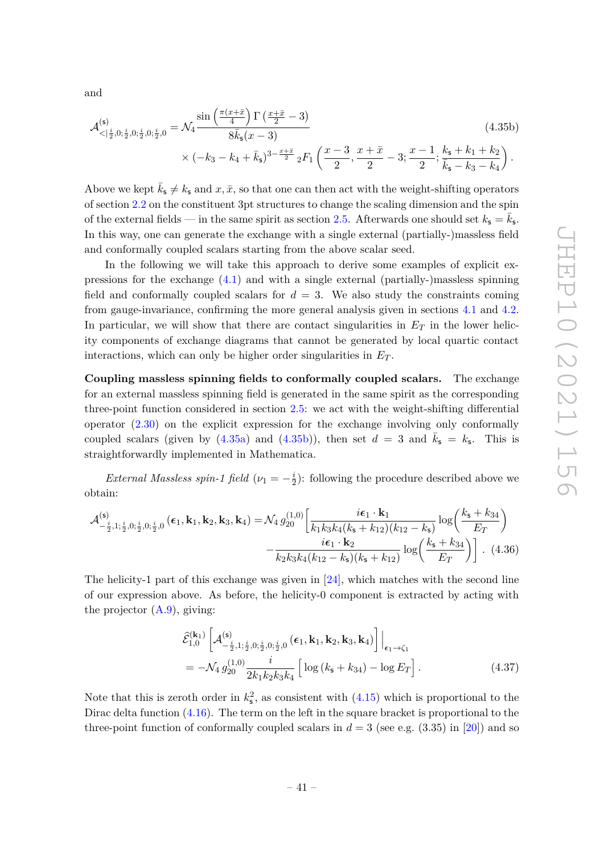and

<span id="page-42-0"></span>
$$
\mathcal{A}_{\langle \cdot | \frac{i}{2}, 0; \frac{i}{2}, 0; \frac{i}{2}, 0; \frac{i}{2}, 0}^{(s)} = \mathcal{N}_4 \frac{\sin\left(\frac{\pi(x+\bar{x})}{4}\right) \Gamma\left(\frac{x+\bar{x}}{2} - 3\right)}{8\bar{k}_s(x-3)} \times (-k_3 - k_4 + \bar{k}_s)^{3 - \frac{x+\bar{x}}{2}} {}_2F_1\left(\frac{x-3}{2}, \frac{x+\bar{x}}{2} - 3; \frac{x-1}{2}; \frac{k_s + k_1 + k_2}{\bar{k}_s - k_3 - k_4}\right).
$$
\n(4.35b)

Above we kept  $k_{\mathsf{s}} \neq k_{\mathsf{s}}$  and  $x, \bar{x}$ , so that one can then act with the weight-shifting operators of section [2.2](#page-10-0) on the constituent 3pt structures to change the scaling dimension and the spin of the external fields — in the same spirit as section [2.5.](#page-22-0) Afterwards one should set  $k_s = \bar{k}_s$ . In this way, one can generate the exchange with a single external (partially-)massless field and conformally coupled scalars starting from the above scalar seed.

In the following we will take this approach to derive some examples of explicit expressions for the exchange [\(4.1\)](#page-33-2) and with a single external (partially-)massless spinning field and conformally coupled scalars for  $d = 3$ . We also study the constraints coming from gauge-invariance, confirming the more general analysis given in sections [4.1](#page-36-0) and [4.2.](#page-38-0) In particular, we will show that there are contact singularities in  $E_T$  in the lower helicity components of exchange diagrams that cannot be generated by local quartic contact interactions, which can only be higher order singularities in  $E_T$ .

**Coupling massless spinning fields to conformally coupled scalars.** The exchange for an external massless spinning field is generated in the same spirit as the corresponding three-point function considered in section [2.5:](#page-22-0) we act with the weight-shifting differential operator [\(2.30\)](#page-13-1) on the explicit expression for the exchange involving only conformally coupled scalars (given by  $(4.35a)$  and  $(4.35b)$ ), then set  $d = 3$  and  $\bar{k}_s = k_s$ . This is straightforwardly implemented in Mathematica.

*External Massless spin-1 field*  $(\nu_1 = -\frac{i}{2})$  $\frac{i}{2}$ : following the procedure described above we obtain:

$$
\mathcal{A}_{-\frac{i}{2},1;\frac{i}{2},0;\frac{i}{2},0;\frac{i}{2},0}^{(5)}(\epsilon_1, \mathbf{k}_1, \mathbf{k}_2, \mathbf{k}_3, \mathbf{k}_4) = \mathcal{N}_4 g_{20}^{(1,0)} \left[ \frac{i\epsilon_1 \cdot \mathbf{k}_1}{k_1 k_3 k_4 (k_5 + k_{12}) (k_{12} - k_5)} \log \left( \frac{k_5 + k_{34}}{E_T} \right) \right. \\
\left. - \frac{i\epsilon_1 \cdot \mathbf{k}_2}{k_2 k_3 k_4 (k_{12} - k_5) (k_5 + k_{12})} \log \left( \frac{k_5 + k_{34}}{E_T} \right) \right] . \tag{4.36}
$$

The helicity-1 part of this exchange was given in  $[24]$ , which matches with the second line of our expression above. As before, the helicity-0 component is extracted by acting with the projector  $(A.9)$ , giving:

<span id="page-42-1"></span>
$$
\hat{\mathcal{E}}_{1,0}^{(\mathbf{k}_1)} \left[ \mathcal{A}_{-\frac{i}{2},1;\frac{i}{2},0;\frac{i}{2},0;\frac{i}{2},0}^{(\mathbf{s})} (\boldsymbol{\epsilon}_1, \mathbf{k}_1, \mathbf{k}_2, \mathbf{k}_3, \mathbf{k}_4) \right] \Big|_{\boldsymbol{\epsilon}_1 \to \zeta_1} \n= -\mathcal{N}_4 g_{20}^{(1,0)} \frac{i}{2k_1 k_2 k_3 k_4} \left[ \log \left( k_{\mathbf{s}} + k_{34} \right) - \log E_T \right].
$$
\n(4.37)

Note that this is zeroth order in  $k_s^2$ , as consistent with  $(4.15)$  which is proportional to the Dirac delta function [\(4.16\)](#page-37-1). The term on the left in the square bracket is proportional to the three-point function of conformally coupled scalars in  $d = 3$  (see e.g. (3.35) in [\[20\]](#page-53-5)) and so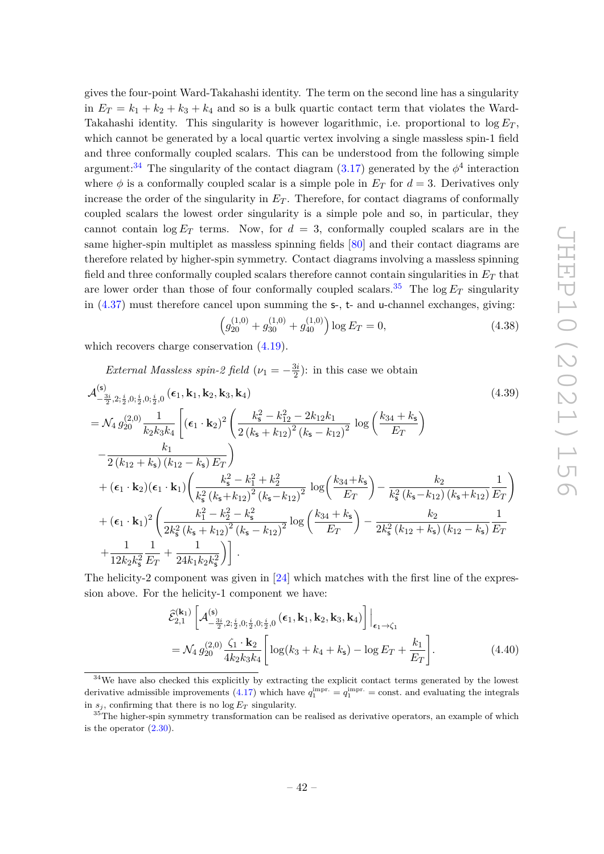gives the four-point Ward-Takahashi identity. The term on the second line has a singularity in  $E_T = k_1 + k_2 + k_3 + k_4$  and so is a bulk quartic contact term that violates the Ward-Takahashi identity. This singularity is however logarithmic, i.e. proportional to  $\log E_T$ , which cannot be generated by a local quartic vertex involving a single massless spin-1 field and three conformally coupled scalars. This can be understood from the following simple argument:<sup>[34](#page-43-0)</sup> The singularity of the contact diagram  $(3.17)$  generated by the  $\phi^4$  interaction where  $\phi$  is a conformally coupled scalar is a simple pole in  $E_T$  for  $d = 3$ . Derivatives only increase the order of the singularity in  $E_T$ . Therefore, for contact diagrams of conformally coupled scalars the lowest order singularity is a simple pole and so, in particular, they cannot contain  $\log E_T$  terms. Now, for  $d = 3$ , conformally coupled scalars are in the same higher-spin multiplet as massless spinning fields [\[80\]](#page-56-10) and their contact diagrams are therefore related by higher-spin symmetry. Contact diagrams involving a massless spinning field and three conformally coupled scalars therefore cannot contain singularities in *E<sup>T</sup>* that are lower order than those of four conformally coupled scalars.<sup>[35](#page-43-1)</sup> The log  $E_T$  singularity in [\(4.37\)](#page-42-1) must therefore cancel upon summing the s-, t- and u-channel exchanges, giving:

$$
\left(g_{20}^{(1,0)} + g_{30}^{(1,0)} + g_{40}^{(1,0)}\right) \log E_T = 0,\tag{4.38}
$$

which recovers charge conservation  $(4.19)$ .

*External Massless spin-2 field*  $(\nu_1 = -\frac{3i}{2})$  $\frac{3i}{2}$ : in this case we obtain

$$
\begin{split}\n&\mathcal{A}^{(\mathsf{s})}_{-\frac{3i}{2},2;\frac{i}{2},0;\frac{i}{2},0;\frac{i}{2},0}(\epsilon_{1},\mathbf{k}_{1},\mathbf{k}_{2},\mathbf{k}_{3},\mathbf{k}_{4}) \\
&= \mathcal{N}_{4} g^{(2,0)}_{20} \frac{1}{k_{2}k_{3}k_{4}} \left[ (\epsilon_{1} \cdot \mathbf{k}_{2})^{2} \left( \frac{k_{\mathsf{s}}^{2} - k_{12}^{2} - 2k_{12}k_{1}}{2(k_{\mathsf{s}} + k_{12})^{2}(k_{\mathsf{s}} - k_{12})^{2}} \log \left( \frac{k_{34} + k_{\mathsf{s}}}{E_{T}} \right) \right. \\
&\left. - \frac{k_{1}}{2(k_{12} + k_{\mathsf{s}})(k_{12} - k_{\mathsf{s}}) E_{T}} \right) \\
&\quad + (\epsilon_{1} \cdot \mathbf{k}_{2})(\epsilon_{1} \cdot \mathbf{k}_{1}) \left( \frac{k_{\mathsf{s}}^{2} - k_{1}^{2} + k_{2}^{2}}{k_{\mathsf{s}}^{2}(k_{\mathsf{s}} + k_{12})^{2}(k_{\mathsf{s}} - k_{12})^{2}} \log \left( \frac{k_{34} + k_{\mathsf{s}}}{E_{T}} \right) - \frac{k_{2}}{k_{\mathsf{s}}^{2}(k_{\mathsf{s}} - k_{12}) (k_{\mathsf{s}} + k_{12})} \frac{1}{E_{T}} \right) \\
&\quad + (\epsilon_{1} \cdot \mathbf{k}_{1})^{2} \left( \frac{k_{1}^{2} - k_{2}^{2} - k_{\mathsf{s}}^{2}}{2k_{\mathsf{s}}^{2}(k_{\mathsf{s}} + k_{12})^{2}(k_{\mathsf{s}} - k_{12})^{2}} \log \left( \frac{k_{34} + k_{\mathsf{s}}}{E_{T}} \right) - \frac{k_{2}}{2k_{\mathsf{s}}^{2}(k_{12} + k_{\mathsf{s}})(k_{12} - k_{\mathsf{s}})} \frac{1}{E_{T}} \right. \\
&\quad + \frac{1}{12k_{2}k_{\mathsf{s}}^{2}} \frac{1}{E_{T}} + \frac{1}{24k_{1}k_{2}k_{\mathsf{s}}^{2}} \right) \Bigg].\n\end{split}
$$
\n(4.39)

The helicity-2 component was given in [\[24\]](#page-54-5) which matches with the first line of the expression above. For the helicity-1 component we have:

$$
\hat{\mathcal{E}}_{2,1}^{(\mathbf{k}_1)} \left[ \mathcal{A}_{-\frac{3i}{2},2;\frac{i}{2},0;\frac{i}{2},0;\frac{i}{2},0}^{(\mathbf{s})}(\boldsymbol{\epsilon}_1, \mathbf{k}_1, \mathbf{k}_2, \mathbf{k}_3, \mathbf{k}_4) \right] \Big|_{\boldsymbol{\epsilon}_1 \to \zeta_1} \n= \mathcal{N}_4 g_{20}^{(2,0)} \frac{\zeta_1 \cdot \mathbf{k}_2}{4k_2 k_3 k_4} \left[ \log(k_3 + k_4 + k_5) - \log E_T + \frac{k_1}{E_T} \right].
$$
\n(4.40)

<span id="page-43-0"></span><sup>&</sup>lt;sup>34</sup>We have also checked this explicitly by extracting the explicit contact terms generated by the lowest derivative admissible improvements [\(4.17\)](#page-37-2) which have  $q_1^{\text{impr.}} = q_1^{\text{impr.}} = \text{const.}$  and evaluating the integrals in  $s_j$ , confirming that there is no  $\log E_T$  singularity.

<span id="page-43-1"></span><sup>&</sup>lt;sup>35</sup>The higher-spin symmetry transformation can be realised as derivative operators, an example of which is the operator  $(2.30)$ .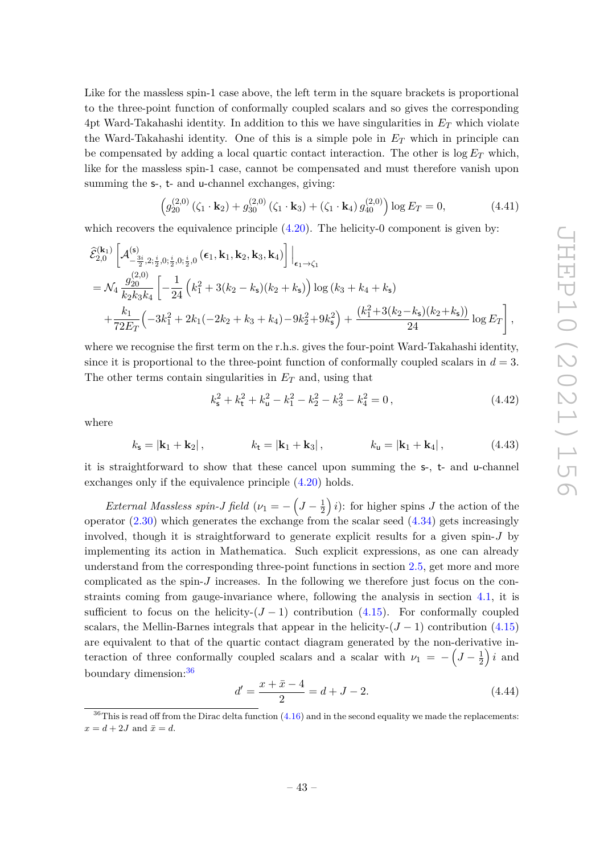Like for the massless spin-1 case above, the left term in the square brackets is proportional to the three-point function of conformally coupled scalars and so gives the corresponding 4pt Ward-Takahashi identity. In addition to this we have singularities in *E<sup>T</sup>* which violate the Ward-Takahashi identity. One of this is a simple pole in *E<sup>T</sup>* which in principle can be compensated by adding a local quartic contact interaction. The other is log *E<sup>T</sup>* which, like for the massless spin-1 case, cannot be compensated and must therefore vanish upon summing the s-, t- and u-channel exchanges, giving:

$$
\left(g_{20}^{(2,0)}\left(\zeta_1 \cdot \mathbf{k}_2\right) + g_{30}^{(2,0)}\left(\zeta_1 \cdot \mathbf{k}_3\right) + \left(\zeta_1 \cdot \mathbf{k}_4\right) g_{40}^{(2,0)}\right) \log E_T = 0, \tag{4.41}
$$

which recovers the equivalence principle  $(4.20)$ . The helicity-0 component is given by:

$$
\hat{\mathcal{E}}_{2,0}^{(\mathbf{k}_1)} \left[ \mathcal{A}_{-\frac{3i}{2},2;\frac{i}{2},0;\frac{i}{2},0;\frac{i}{2},0}^{(\mathbf{s})}(\epsilon_1, \mathbf{k}_1, \mathbf{k}_2, \mathbf{k}_3, \mathbf{k}_4) \right] \Big|_{\epsilon_1 \to \zeta_1} \n= \mathcal{N}_4 \frac{g_{20}^{(2,0)}}{k_2 k_3 k_4} \left[ -\frac{1}{24} \left( k_1^2 + 3(k_2 - k_5)(k_2 + k_5) \right) \log \left( k_3 + k_4 + k_5 \right) \right. \n+ \frac{k_1}{72 E_T} \left( -3k_1^2 + 2k_1(-2k_2 + k_3 + k_4) - 9k_2^2 + 9k_5^2 \right) + \frac{\left( k_1^2 + 3(k_2 - k_5)(k_2 + k_5) \right)}{24} \log E_T \right],
$$

where we recognise the first term on the r.h.s. gives the four-point Ward-Takahashi identity, since it is proportional to the three-point function of conformally coupled scalars in  $d = 3$ . The other terms contain singularities in *E<sup>T</sup>* and, using that

$$
k_s^2 + k_t^2 + k_u^2 - k_1^2 - k_2^2 - k_3^2 - k_4^2 = 0,
$$
\n(4.42)

where

$$
k_{\rm s} = |{\bf k}_1 + {\bf k}_2|,
$$
  $k_{\rm t} = |{\bf k}_1 + {\bf k}_3|,$   $k_{\rm u} = |{\bf k}_1 + {\bf k}_4|,$  (4.43)

it is straightforward to show that these cancel upon summing the s-, t- and u-channel exchanges only if the equivalence principle [\(4.20\)](#page-37-5) holds.

*External Massless spin-J field*  $(\nu_1 = -\left(J - \frac{1}{2}\right))$  $(\frac{1}{2})$  *i*): for higher spins *J* the action of the operator  $(2.30)$  which generates the exchange from the scalar seed  $(4.34)$  gets increasingly involved, though it is straightforward to generate explicit results for a given spin-*J* by implementing its action in Mathematica. Such explicit expressions, as one can already understand from the corresponding three-point functions in section [2.5,](#page-22-0) get more and more complicated as the spin-*J* increases. In the following we therefore just focus on the constraints coming from gauge-invariance where, following the analysis in section [4.1,](#page-36-0) it is sufficient to focus on the helicity- $(J-1)$  contribution  $(4.15)$ . For conformally coupled scalars, the Mellin-Barnes integrals that appear in the helicity- $(J-1)$  contribution  $(4.15)$ are equivalent to that of the quartic contact diagram generated by the non-derivative interaction of three conformally coupled scalars and a scalar with  $\nu_1 = -\left(J - \frac{1}{2}\right)$  $\frac{1}{2}$  *i* and boundary dimension:[36](#page-44-0)

$$
d' = \frac{x + \bar{x} - 4}{2} = d + J - 2.
$$
 (4.44)

<span id="page-44-0"></span> $36$ This is read off from the Dirac delta function  $(4.16)$  and in the second equality we made the replacements:  $x = d + 2J$  and  $\bar{x} = d$ .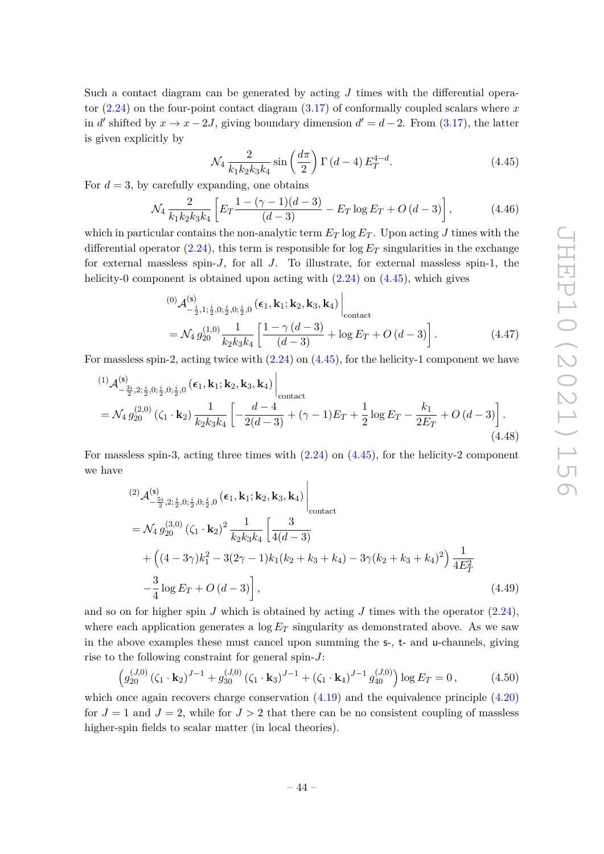Such a contact diagram can be generated by acting *J* times with the differential operator [\(2.24\)](#page-11-2) on the four-point contact diagram [\(3.17\)](#page-31-2) of conformally coupled scalars where *x* in *d'* shifted by  $x \to x - 2J$ , giving boundary dimension  $d' = d - 2$ . From [\(3.17\)](#page-31-2), the latter is given explicitly by

<span id="page-45-0"></span>
$$
\mathcal{N}_4 \frac{2}{k_1 k_2 k_3 k_4} \sin\left(\frac{d\pi}{2}\right) \Gamma\left(d-4\right) E_T^{4-d}.\tag{4.45}
$$

For  $d = 3$ , by carefully expanding, one obtains

$$
\mathcal{N}_4 \frac{2}{k_1 k_2 k_3 k_4} \left[ E_T \frac{1 - (\gamma - 1)(d - 3)}{(d - 3)} - E_T \log E_T + O(d - 3) \right],\tag{4.46}
$$

which in particular contains the non-analytic term  $E_T \log E_T$ . Upon acting *J* times with the differential operator  $(2.24)$ , this term is responsible for  $\log E_T$  singularities in the exchange for external massless spin-*J*, for all *J*. To illustrate, for external massless spin-1, the helicity-0 component is obtained upon acting with  $(2.24)$  on  $(4.45)$ , which gives

$$
\begin{split}^{(0)}\mathcal{A}_{-\frac{i}{2},1;\frac{i}{2},0;\frac{i}{2},0;\frac{i}{2},0}^{(s)}\left(\epsilon_{1},\mathbf{k}_{1};\mathbf{k}_{2},\mathbf{k}_{3},\mathbf{k}_{4}\right)\Big|_{\text{contact} }\\&=\mathcal{N}_{4} g_{20}^{(1,0)}\frac{1}{k_{2}k_{3}k_{4}}\left[\frac{1-\gamma\left(d-3\right)}{\left(d-3\right)}+\log E_{T}+O\left(d-3\right)\right].\end{split} \tag{4.47}
$$

For massless spin-2, acting twice with [\(2.24\)](#page-11-2) on [\(4.45\)](#page-45-0), for the helicity-1 component we have

$$
\begin{split}^{(1)}\mathcal{A}_{-\frac{3i}{2},2;\frac{i}{2},0;\frac{i}{2},0;\frac{i}{2},0}^{(5)} &(\epsilon_1,\mathbf{k}_1;\mathbf{k}_2,\mathbf{k}_3,\mathbf{k}_4) \Big|_{\text{contact}} \\ &= \mathcal{N}_4 \, g_{20}^{(2,0)} \left( \zeta_1 \cdot \mathbf{k}_2 \right) \frac{1}{k_2 k_3 k_4} \left[ -\frac{d-4}{2(d-3)} + (\gamma - 1)E_T + \frac{1}{2} \log E_T - \frac{k_1}{2E_T} + O\left(d-3\right) \right]. \end{split} \tag{4.48}
$$

For massless spin-3, acting three times with [\(2.24\)](#page-11-2) on [\(4.45\)](#page-45-0), for the helicity-2 component we have

$$
\begin{split}\n^{(2)}\mathcal{A}_{-\frac{5i}{2},2;\frac{i}{2},0;\frac{i}{2},0;\frac{i}{2},0}^{(5)} &(\epsilon_{1},\mathbf{k}_{1};\mathbf{k}_{2},\mathbf{k}_{3},\mathbf{k}_{4})\Big|_{\text{contact}} \\
&= \mathcal{N}_{4} g_{20}^{(3,0)} \left(\zeta_{1} \cdot \mathbf{k}_{2}\right)^{2} \frac{1}{k_{2}k_{3}k_{4}} \left[\frac{3}{4(d-3)}\right. \\
&\left. + \left((4-3\gamma)k_{1}^{2} - 3(2\gamma - 1)k_{1}(k_{2} + k_{3} + k_{4}) - 3\gamma(k_{2} + k_{3} + k_{4})^{2}\right) \frac{1}{4E_{T}^{2}} \\
&- \frac{3}{4} \log E_{T} + O\left(d-3\right)\right],\n\end{split} \tag{4.49}
$$

and so on for higher spin *J* which is obtained by acting *J* times with the operator  $(2.24)$ , where each application generates a  $\log E_T$  singularity as demonstrated above. As we saw in the above examples these must cancel upon summing the s-, t- and u-channels, giving rise to the following constraint for general spin-*J*:

$$
\left(g_{20}^{(J,0)}\left(\zeta_1 \cdot \mathbf{k}_2\right)^{J-1} + g_{30}^{(J,0)}\left(\zeta_1 \cdot \mathbf{k}_3\right)^{J-1} + \left(\zeta_1 \cdot \mathbf{k}_4\right)^{J-1} g_{40}^{(J,0)}\right) \log E_T = 0\,,\tag{4.50}
$$

which once again recovers charge conservation  $(4.19)$  and the equivalence principle  $(4.20)$ for  $J = 1$  and  $J = 2$ , while for  $J > 2$  that there can be no consistent coupling of massless higher-spin fields to scalar matter (in local theories).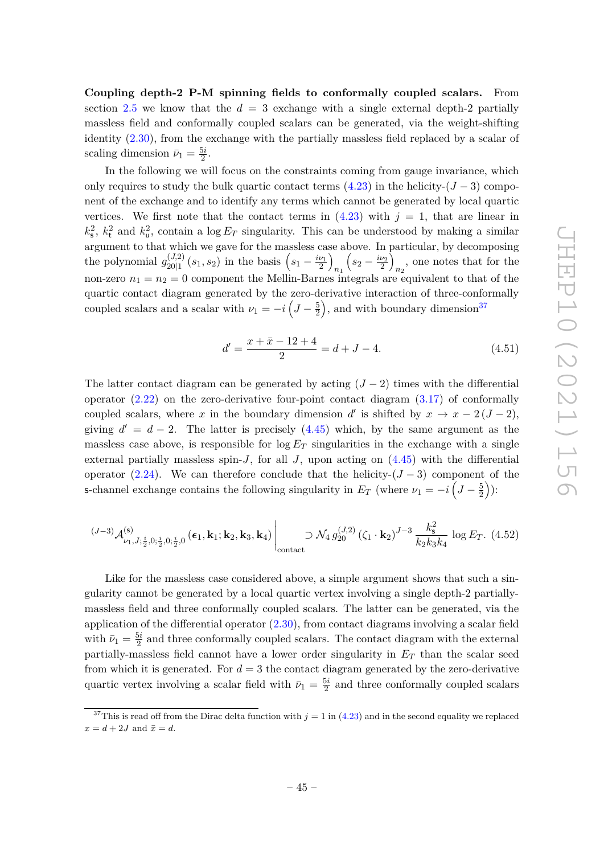**Coupling depth-2 P-M spinning fields to conformally coupled scalars.** From section [2.5](#page-22-0) we know that the  $d = 3$  exchange with a single external depth-2 partially massless field and conformally coupled scalars can be generated, via the weight-shifting identity [\(2.30\)](#page-13-1), from the exchange with the partially massless field replaced by a scalar of scaling dimension  $\bar{\nu}_1 = \frac{5i}{2}$  $\frac{5i}{2}$ .

In the following we will focus on the constraints coming from gauge invariance, which only requires to study the bulk quartic contact terms  $(4.23)$  in the helicity- $(J-3)$  component of the exchange and to identify any terms which cannot be generated by local quartic vertices. We first note that the contact terms in  $(4.23)$  with  $j = 1$ , that are linear in  $k_s^2$ ,  $k_t^2$  and  $k_u^2$ , contain a log  $E_T$  singularity. This can be understood by making a similar argument to that which we gave for the massless case above. In particular, by decomposing the polynomial  $g_{20|1}^{(J,2)}$  $\binom{(J,2)}{20|1}(s_1,s_2)$  in the basis  $\left(s_1 - \frac{i\nu_1}{2}\right)$ *n*<sup>1</sup>  $\left(s_2 - \frac{i\nu_2}{2}\right)$  $n_2$ , one notes that for the non-zero  $n_1 = n_2 = 0$  component the Mellin-Barnes integrals are equivalent to that of the quartic contact diagram generated by the zero-derivative interaction of three-conformally coupled scalars and a scalar with  $\nu_1 = -i \left( J - \frac{5}{2} \right)$  $(\frac{5}{2})$ , and with boundary dimension<sup>[37](#page-46-0)</sup>

$$
d' = \frac{x + \bar{x} - 12 + 4}{2} = d + J - 4.
$$
\n(4.51)

The latter contact diagram can be generated by acting  $(J-2)$  times with the differential operator  $(2.22)$  on the zero-derivative four-point contact diagram  $(3.17)$  of conformally coupled scalars, where *x* in the boundary dimension *d*' is shifted by  $x \to x - 2(J - 2)$ , giving  $d' = d - 2$ . The latter is precisely [\(4.45\)](#page-45-0) which, by the same argument as the massless case above, is responsible for  $\log E_T$  singularities in the exchange with a single external partially massless spin- $J$ , for all  $J$ , upon acting on  $(4.45)$  with the differential operator [\(2.24\)](#page-11-2). We can therefore conclude that the helicity- $(J-3)$  component of the s-channel exchange contains the following singularity in  $E_T$  (where  $\nu_1 = -i\left(J - \frac{5}{2}\right)$  $(\frac{5}{2})$ :

$$
{}^{(J-3)}\mathcal{A}^{(\mathsf{s})}_{\nu_1,J;\frac{i}{2},0;\frac{i}{2},0;\frac{i}{2},0}(\epsilon_1,\mathbf{k}_1;\mathbf{k}_2,\mathbf{k}_3,\mathbf{k}_4) \Big|_{\text{contact}} \supset \mathcal{N}_4 g_{20}^{(J,2)}(\zeta_1 \cdot \mathbf{k}_2)^{J-3} \frac{k_{\mathsf{s}}^2}{k_2 k_3 k_4} \log E_T. \tag{4.52}
$$

Like for the massless case considered above, a simple argument shows that such a singularity cannot be generated by a local quartic vertex involving a single depth-2 partiallymassless field and three conformally coupled scalars. The latter can be generated, via the application of the differential operator  $(2.30)$ , from contact diagrams involving a scalar field with  $\bar{\nu}_1 = \frac{5i}{2}$  $\frac{2^2}{2}$  and three conformally coupled scalars. The contact diagram with the external partially-massless field cannot have a lower order singularity in *E<sup>T</sup>* than the scalar seed from which it is generated. For  $d = 3$  the contact diagram generated by the zero-derivative quartic vertex involving a scalar field with  $\bar{\nu}_1 = \frac{5i}{2}$  $\frac{5i}{2}$  and three conformally coupled scalars

<span id="page-46-0"></span><sup>&</sup>lt;sup>37</sup>This is read off from the Dirac delta function with  $j = 1$  in [\(4.23\)](#page-39-0) and in the second equality we replaced  $x = d + 2J$  and  $\bar{x} = d$ .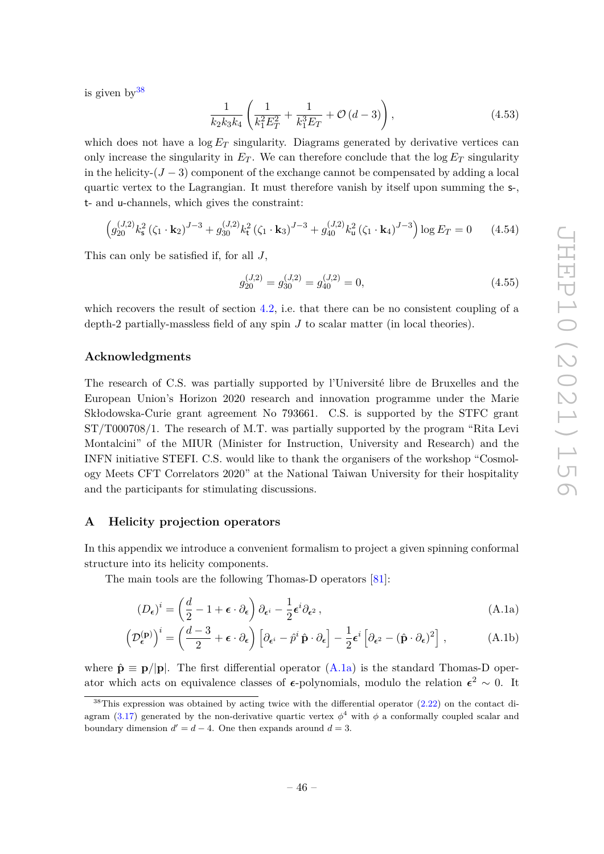is given  $by^{38}$  $by^{38}$  $by^{38}$ 

$$
\frac{1}{k_2 k_3 k_4} \left( \frac{1}{k_1^2 E_T^2} + \frac{1}{k_1^3 E_T} + \mathcal{O}\left(d - 3\right) \right),\tag{4.53}
$$

which does not have a  $\log E_T$  singularity. Diagrams generated by derivative vertices can only increase the singularity in  $E_T$ . We can therefore conclude that the  $\log E_T$  singularity in the helicity- $(J-3)$  component of the exchange cannot be compensated by adding a local quartic vertex to the Lagrangian. It must therefore vanish by itself upon summing the s-, t- and u-channels, which gives the constraint:

$$
\left(g_{20}^{(J,2)}k_s^2\left(\zeta_1 \cdot \mathbf{k}_2\right)^{J-3} + g_{30}^{(J,2)}k_t^2\left(\zeta_1 \cdot \mathbf{k}_3\right)^{J-3} + g_{40}^{(J,2)}k_u^2\left(\zeta_1 \cdot \mathbf{k}_4\right)^{J-3}\right) \log E_T = 0 \tag{4.54}
$$

This can only be satisfied if, for all *J*,

$$
g_{20}^{(J,2)} = g_{30}^{(J,2)} = g_{40}^{(J,2)} = 0,
$$
\n(4.55)

which recovers the result of section [4.2,](#page-38-0) i.e. that there can be no consistent coupling of a depth-2 partially-massless field of any spin *J* to scalar matter (in local theories).

## **Acknowledgments**

The research of C.S. was partially supported by l'Université libre de Bruxelles and the European Union's Horizon 2020 research and innovation programme under the Marie Skłodowska-Curie grant agreement No 793661. C.S. is supported by the STFC grant ST/T000708/1. The research of M.T. was partially supported by the program "Rita Levi Montalcini" of the MIUR (Minister for Instruction, University and Research) and the INFN initiative STEFI. C.S. would like to thank the organisers of the workshop "Cosmology Meets CFT Correlators 2020" at the National Taiwan University for their hospitality and the participants for stimulating discussions.

## <span id="page-47-0"></span>**A Helicity projection operators**

In this appendix we introduce a convenient formalism to project a given spinning conformal structure into its helicity components.

The main tools are the following Thomas-D operators [\[81\]](#page-56-11):

<span id="page-47-3"></span><span id="page-47-1"></span>
$$
(D_{\epsilon})^i = \left(\frac{d}{2} - 1 + \epsilon \cdot \partial_{\epsilon}\right) \partial_{\epsilon^i} - \frac{1}{2} \epsilon^i \partial_{\epsilon^2}, \qquad (A.1a)
$$

$$
\left(\mathcal{D}_{\epsilon}^{(\mathbf{p})}\right)^{i} = \left(\frac{d-3}{2} + \epsilon \cdot \partial_{\epsilon}\right) \left[\partial_{\epsilon^{i}} - \hat{p}^{i} \,\hat{\mathbf{p}} \cdot \partial_{\epsilon}\right] - \frac{1}{2} \epsilon^{i} \left[\partial_{\epsilon^{2}} - (\hat{\mathbf{p}} \cdot \partial_{\epsilon})^{2}\right],\tag{A.1b}
$$

where  $\hat{\mathbf{p}} \equiv \mathbf{p}/|\mathbf{p}|$ . The first differential operator  $(A.1a)$  is the standard Thomas-D operator which acts on equivalence classes of  $\epsilon$ -polynomials, modulo the relation  $\epsilon^2 \sim 0$ . It

<span id="page-47-2"></span> $38$ This expression was obtained by acting twice with the differential operator  $(2.22)$  on the contact di-agram [\(3.17\)](#page-31-2) generated by the non-derivative quartic vertex  $\phi^4$  with  $\phi$  a conformally coupled scalar and boundary dimension  $d' = d - 4$ . One then expands around  $d = 3$ .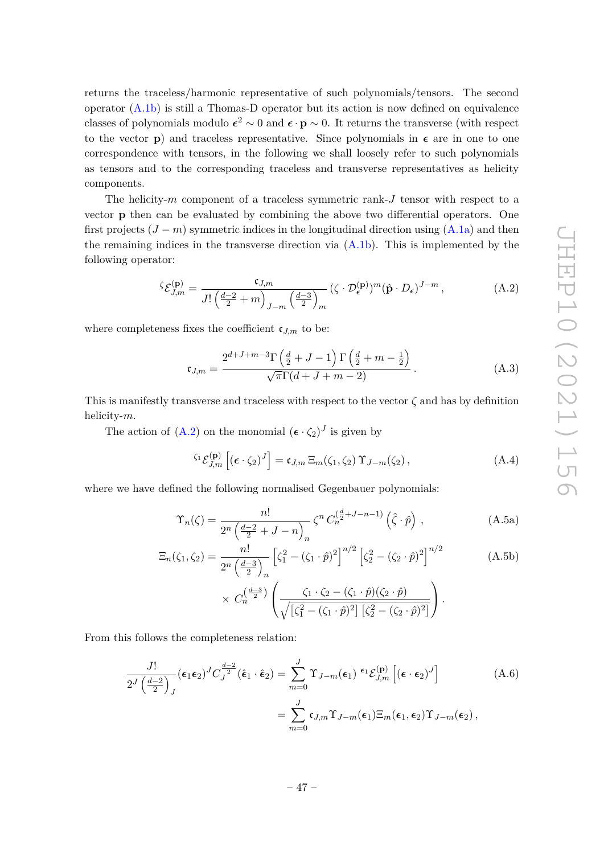returns the traceless/harmonic representative of such polynomials/tensors. The second operator [\(A.1b\)](#page-47-3) is still a Thomas-D operator but its action is now defined on equivalence classes of polynomials modulo  $\epsilon^2 \sim 0$  and  $\epsilon \cdot \mathbf{p} \sim 0$ . It returns the transverse (with respect to the vector **p**) and traceless representative. Since polynomials in  $\epsilon$  are in one to one correspondence with tensors, in the following we shall loosely refer to such polynomials as tensors and to the corresponding traceless and transverse representatives as helicity components.

The helicity-*m* component of a traceless symmetric rank-*J* tensor with respect to a vector **p** then can be evaluated by combining the above two differential operators. One first projects  $(J - m)$  symmetric indices in the longitudinal direction using  $(A.1a)$  and then the remaining indices in the transverse direction via [\(A.1b\)](#page-47-3). This is implemented by the following operator:

$$
\zeta \mathcal{E}_{J,m}^{(\mathbf{p})} = \frac{\mathfrak{e}_{J,m}}{J! \left(\frac{d-2}{2} + m\right)_{J-m} \left(\frac{d-3}{2}\right)_m} \left(\zeta \cdot \mathcal{D}_{\epsilon}^{(\mathbf{p})}\right)^m \left(\hat{\mathbf{p}} \cdot D_{\epsilon}\right)^{J-m},\tag{A.2}
$$

where completeness fixes the coefficient  $\mathfrak{c}_{J,m}$  to be:

<span id="page-48-0"></span>
$$
\mathfrak{c}_{J,m} = \frac{2^{d+J+m-3} \Gamma\left(\frac{d}{2} + J - 1\right) \Gamma\left(\frac{d}{2} + m - \frac{1}{2}\right)}{\sqrt{\pi} \Gamma(d+J+m-2)}.
$$
\n(A.3)

This is manifestly transverse and traceless with respect to the vector  $\zeta$  and has by definition helicity-*m*.

The action of  $(A.2)$  on the monomial  $({\epsilon \cdot \zeta_2})^J$  is given by

$$
\zeta_1 \mathcal{E}_{J,m}^{(\mathbf{p})} \left[ \left( \boldsymbol{\epsilon} \cdot \zeta_2 \right)^J \right] = \mathfrak{c}_{J,m} \, \Xi_m(\zeta_1, \zeta_2) \, \Upsilon_{J-m}(\zeta_2) \,, \tag{A.4}
$$

where we have defined the following normalised Gegenbauer polynomials:

<span id="page-48-1"></span>
$$
\Upsilon_n(\zeta) = \frac{n!}{2^n \left(\frac{d-2}{2} + J - n\right)_n} \zeta^n C_n^{\left(\frac{d}{2} + J - n - 1\right)} \left(\hat{\zeta} \cdot \hat{p}\right),\tag{A.5a}
$$

$$
\Xi_n(\zeta_1, \zeta_2) = \frac{n!}{2^n \left(\frac{d-3}{2}\right)_n} \left[\zeta_1^2 - (\zeta_1 \cdot \hat{p})^2\right]^{n/2} \left[\zeta_2^2 - (\zeta_2 \cdot \hat{p})^2\right]^{n/2} \qquad (A.5b)
$$

$$
\times C_n^{\left(\frac{d-3}{2}\right)} \left(\frac{\zeta_1 \cdot \zeta_2 - (\zeta_1 \cdot \hat{p})(\zeta_2 \cdot \hat{p})}{\sqrt{\left[\zeta_1^2 - (\zeta_1 \cdot \hat{p})^2\right] \left[\zeta_2^2 - (\zeta_2 \cdot \hat{p})^2\right]}}\right).
$$

From this follows the completeness relation:

$$
\frac{J!}{2^{J}\left(\frac{d-2}{2}\right)_{J}}(\epsilon_{1}\epsilon_{2})^{J}C_{J}^{\frac{d-2}{2}}(\hat{\epsilon}_{1}\cdot\hat{\epsilon}_{2}) = \sum_{m=0}^{J}\Upsilon_{J-m}(\epsilon_{1})^{i}\varepsilon_{J,m}^{(p)}[(\boldsymbol{\epsilon}\cdot\boldsymbol{\epsilon}_{2})^{J}]
$$
\n
$$
= \sum_{m=0}^{J}\mathfrak{c}_{J,m}\Upsilon_{J-m}(\epsilon_{1})\Xi_{m}(\epsilon_{1},\epsilon_{2})\Upsilon_{J-m}(\epsilon_{2}),
$$
\n(A.6)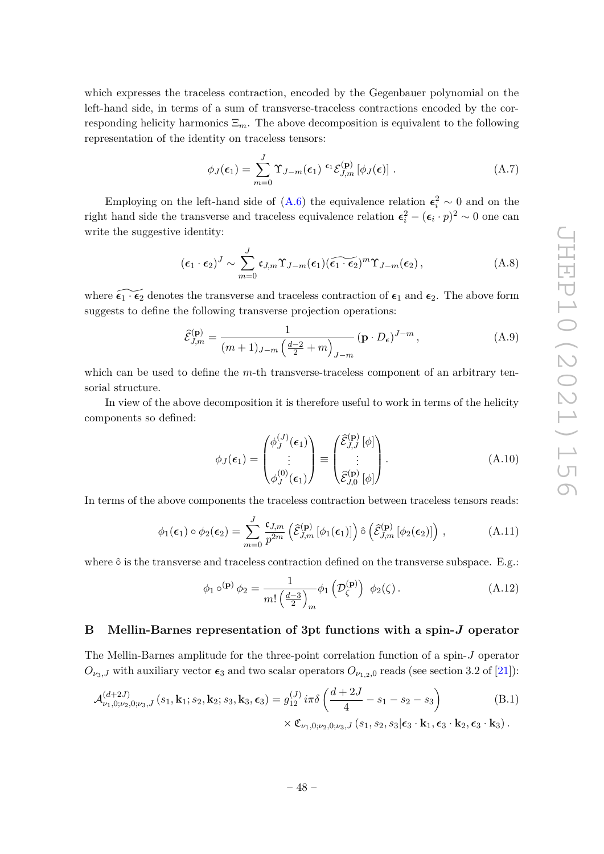which expresses the traceless contraction, encoded by the Gegenbauer polynomial on the left-hand side, in terms of a sum of transverse-traceless contractions encoded by the corresponding helicity harmonics  $\Xi_m$ . The above decomposition is equivalent to the following representation of the identity on traceless tensors:

$$
\phi_J(\epsilon_1) = \sum_{m=0}^J \Upsilon_{J-m}(\epsilon_1) \stackrel{\epsilon_1}{\sim} \mathcal{E}_{J,m}^{(\mathbf{p})} [\phi_J(\epsilon)] . \tag{A.7}
$$

Employing on the left-hand side of  $(A.6)$  the equivalence relation  $\epsilon_i^2 \sim 0$  and on the right hand side the transverse and traceless equivalence relation  $\epsilon_i^2 - (\epsilon_i \cdot p)^2 \sim 0$  one can write the suggestive identity:

$$
(\epsilon_1 \cdot \epsilon_2)^J \sim \sum_{m=0}^J c_{J,m} \Upsilon_{J-m}(\epsilon_1) (\widetilde{\epsilon_1 \cdot \epsilon_2})^m \Upsilon_{J-m}(\epsilon_2), \qquad (A.8)
$$

where  $\widetilde{\epsilon_1 \cdot \epsilon_2}$  denotes the transverse and traceless contraction of  $\epsilon_1$  and  $\epsilon_2$ . The above form suggests to define the following transverse projection operations:

$$
\widehat{\mathcal{E}}_{J,m}^{(\mathbf{p})} = \frac{1}{(m+1)_{J-m} \left(\frac{d-2}{2} + m\right)_{J-m}} (\mathbf{p} \cdot D_{\epsilon})^{J-m},\tag{A.9}
$$

which can be used to define the *m*-th transverse-traceless component of an arbitrary tensorial structure.

In view of the above decomposition it is therefore useful to work in terms of the helicity components so defined:

<span id="page-49-1"></span>
$$
\phi_J(\epsilon_1) = \begin{pmatrix} \phi_J^{(J)}(\epsilon_1) \\ \vdots \\ \phi_J^{(0)}(\epsilon_1) \end{pmatrix} \equiv \begin{pmatrix} \widehat{\mathcal{E}}_{J,J}^{(\mathbf{p})} [\phi] \\ \vdots \\ \widehat{\mathcal{E}}_{J,0}^{(\mathbf{p})} [\phi] \end{pmatrix} .
$$
 (A.10)

In terms of the above components the traceless contraction between traceless tensors reads:

$$
\phi_1(\epsilon_1) \circ \phi_2(\epsilon_2) = \sum_{m=0}^{J} \frac{\mathfrak{c}_{J,m}}{p^{2m}} \left( \widehat{\mathcal{E}}_{J,m}^{(\mathbf{p})} \left[ \phi_1(\epsilon_1) \right] \right) \hat{\circ} \left( \widehat{\mathcal{E}}_{J,m}^{(\mathbf{p})} \left[ \phi_2(\epsilon_2) \right] \right) , \tag{A.11}
$$

where  $\hat{\circ}$  is the transverse and traceless contraction defined on the transverse subspace. E.g.:

$$
\phi_1 \circ^{(\mathbf{p})} \phi_2 = \frac{1}{m! \left(\frac{d-3}{2}\right)_m} \phi_1 \left(\mathcal{D}_{\zeta}^{(\mathbf{p})}\right) \phi_2(\zeta).
$$
\n(A.12)

# <span id="page-49-0"></span>**B Mellin-Barnes representation of 3pt functions with a spin-***J* **operator**

The Mellin-Barnes amplitude for the three-point correlation function of a spin-*J* operator  $O_{\nu_3,J}$  with auxiliary vector  $\epsilon_3$  and two scalar operators  $O_{\nu_1,2,0}$  reads (see section 3.2 of [\[21\]](#page-53-6)):

$$
\mathcal{A}_{\nu_1,0;\nu_2,0;\nu_3,J}^{(d+2J)}(s_1, \mathbf{k}_1; s_2, \mathbf{k}_2; s_3, \mathbf{k}_3, \epsilon_3) = g_{12}^{(J)} i\pi \delta \left(\frac{d+2J}{4} - s_1 - s_2 - s_3\right) \times \mathfrak{C}_{\nu_1,0;\nu_2,0;\nu_3,J}(s_1, s_2, s_3 | \epsilon_3 \cdot \mathbf{k}_1, \epsilon_3 \cdot \mathbf{k}_2, \epsilon_3 \cdot \mathbf{k}_3).
$$
\n(B.1)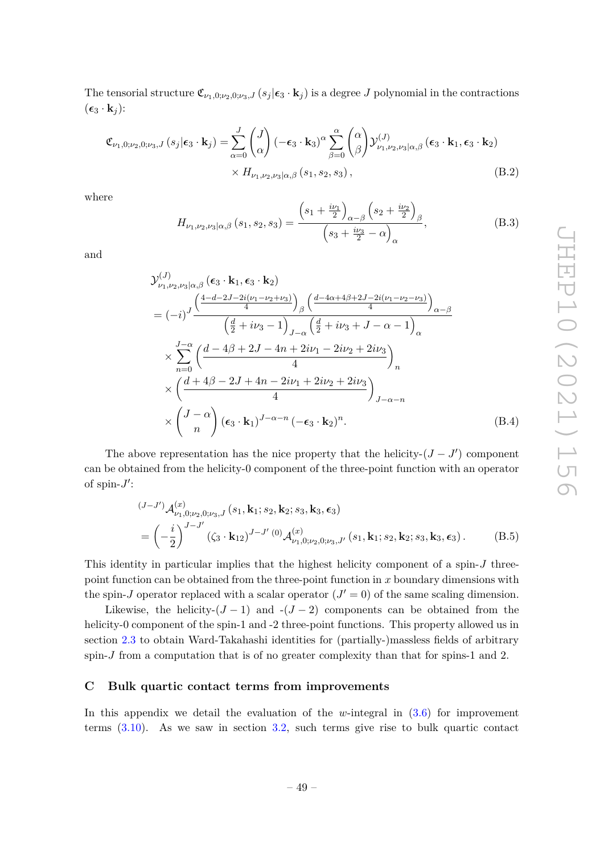The tensorial structure  $\mathfrak{C}_{\nu_1,0;\nu_2,0;\nu_3,J}(s_j|\epsilon_3 \cdot \mathbf{k}_j)$  is a degree *J* polynomial in the contractions  $(\epsilon_3 \cdot \mathbf{k}_j)$ :

$$
\mathfrak{C}_{\nu_1,0;\nu_2,0;\nu_3,J}(s_j|\epsilon_3 \cdot \mathbf{k}_j) = \sum_{\alpha=0}^J \binom{J}{\alpha} (-\epsilon_3 \cdot \mathbf{k}_3)^{\alpha} \sum_{\beta=0}^{\alpha} \binom{\alpha}{\beta} \mathcal{Y}^{(J)}_{\nu_1,\nu_2,\nu_3|\alpha,\beta}(\epsilon_3 \cdot \mathbf{k}_1, \epsilon_3 \cdot \mathbf{k}_2)
$$

$$
\times H_{\nu_1,\nu_2,\nu_3|\alpha,\beta}(s_1, s_2, s_3), \tag{B.2}
$$

where

<span id="page-50-1"></span>
$$
H_{\nu_1,\nu_2,\nu_3|\alpha,\beta}(s_1,s_2,s_3) = \frac{\left(s_1 + \frac{i\nu_1}{2}\right)_{\alpha-\beta}\left(s_2 + \frac{i\nu_2}{2}\right)_{\beta}}{\left(s_3 + \frac{i\nu_3}{2} - \alpha\right)_{\alpha}},
$$
(B.3)

and

$$
\mathcal{Y}_{\nu_{1},\nu_{2},\nu_{3}|\alpha,\beta}^{(J)}\left(\epsilon_{3}\cdot\mathbf{k}_{1},\epsilon_{3}\cdot\mathbf{k}_{2}\right)
$$
\n
$$
= (-i)^{J} \frac{\left(\frac{4-d-2J-2i(\nu_{1}-\nu_{2}+\nu_{3})}{4}\right)_{\beta}\left(\frac{d-4\alpha+4\beta+2J-2i(\nu_{1}-\nu_{2}-\nu_{3})}{4}\right)_{\alpha-\beta}}{\left(\frac{d}{2}+i\nu_{3}-1\right)_{J-\alpha}\left(\frac{d}{2}+i\nu_{3}+J-\alpha-1\right)_{\alpha}}
$$
\n
$$
\times \sum_{n=0}^{J-\alpha} \left(\frac{d-4\beta+2J-4n+2i\nu_{1}-2i\nu_{2}+2i\nu_{3}}{4}\right)_{n}
$$
\n
$$
\times \left(\frac{d+4\beta-2J+4n-2i\nu_{1}+2i\nu_{2}+2i\nu_{3}}{4}\right)_{J-\alpha-n}
$$
\n
$$
\times \left(\frac{J-\alpha}{n}\right)(\epsilon_{3}\cdot\mathbf{k}_{1})^{J-\alpha-n}\left(-\epsilon_{3}\cdot\mathbf{k}_{2}\right)^{n}.
$$
\n(B.4)

The above representation has the nice property that the helicity- $(J - J')$  component can be obtained from the helicity-0 component of the three-point function with an operator of spin- $J'$ :

$$
\begin{split} &(J-J')\mathcal{A}_{\nu_1,0;\nu_2,0;\nu_3,J}^{(x)}\left(s_1,\mathbf{k}_1;s_2,\mathbf{k}_2;s_3,\mathbf{k}_3,\boldsymbol{\epsilon}_3\right) \\ &=\left(-\frac{i}{2}\right)^{J-J'}\left(\zeta_3\cdot\mathbf{k}_{12}\right)^{J-J'}(0)\mathcal{A}_{\nu_1,0;\nu_2,0;\nu_3,J'}^{(x)}\left(s_1,\mathbf{k}_1;s_2,\mathbf{k}_2;s_3,\mathbf{k}_3,\boldsymbol{\epsilon}_3\right). \end{split} \tag{B.5}
$$

This identity in particular implies that the highest helicity component of a spin-*J* threepoint function can be obtained from the three-point function in *x* boundary dimensions with the spin-*J* operator replaced with a scalar operator  $(J' = 0)$  of the same scaling dimension.

Likewise, the helicity- $(J-1)$  and  $-(J-2)$  components can be obtained from the helicity-0 component of the spin-1 and -2 three-point functions. This property allowed us in section [2.3](#page-13-0) to obtain Ward-Takahashi identities for (partially-)massless fields of arbitrary spin-*J* from a computation that is of no greater complexity than that for spins-1 and 2.

# <span id="page-50-0"></span>**C Bulk quartic contact terms from improvements**

In this appendix we detail the evaluation of the *w*-integral in [\(3.6\)](#page-28-2) for improvement terms  $(3.10)$ . As we saw in section [3.2,](#page-29-0) such terms give rise to bulk quartic contact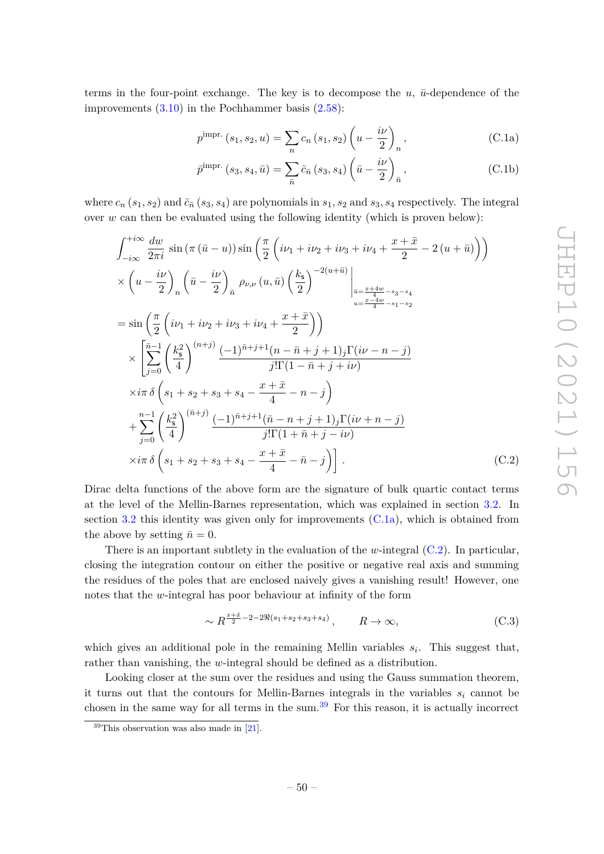terms in the four-point exchange. The key is to decompose the  $u$ ,  $\bar{u}$ -dependence of the improvements [\(3.10\)](#page-29-1) in the Pochhammer basis [\(2.58\)](#page-21-3):

<span id="page-51-0"></span>
$$
p^{\text{impr.}}(s_1, s_2, u) = \sum_{n} c_n (s_1, s_2) \left( u - \frac{i\nu}{2} \right)_n, \tag{C.1a}
$$

$$
\bar{p}^{\text{impr.}}\left(s_3, s_4, \bar{u}\right) = \sum_{\bar{n}} \bar{c}_{\bar{n}}\left(s_3, s_4\right) \left(\bar{u} - \frac{i\nu}{2}\right)_{\bar{n}},\tag{C.1b}
$$

where  $c_n$  ( $s_1, s_2$ ) and  $\bar{c}_n$  ( $s_3, s_4$ ) are polynomials in  $s_1, s_2$  and  $s_3, s_4$  respectively. The integral over *w* can then be evaluated using the following identity (which is proven below):

$$
\int_{-i\infty}^{+i\infty} \frac{dw}{2\pi i} \sin(\pi(\bar{u}-u)) \sin\left(\frac{\pi}{2}\left(i\nu_{1}+i\nu_{2}+i\nu_{3}+i\nu_{4}+\frac{x+\bar{x}}{2}-2(u+\bar{u})\right)\right) \times \left(u-\frac{i\nu}{2}\right)_{n} \left(\bar{u}-\frac{i\nu}{2}\right)_{\bar{n}} \rho_{\nu,\nu}(u,\bar{u}) \left(\frac{k_{\mathsf{s}}}{2}\right)^{-2(u+\bar{u})} \Big|_{\substack{\bar{u}=\frac{x+4w}{4}-s_{3}-s_{4}\\u=\frac{x-4w}{4}-s_{1}-s_{2}}} \exp\left(\frac{\pi}{2}\left(i\nu_{1}+i\nu_{2}+i\nu_{3}+i\nu_{4}+\frac{x+\bar{x}}{2}\right)\right) \times \left[\sum_{j=0}^{\bar{n}-1} \left(\frac{k_{\mathsf{s}}^{2}}{4}\right)^{(n+j)} \frac{(-1)^{\bar{n}+j+1}(n-\bar{n}+j+1)j\Gamma(i\nu-n-j)}{j!\Gamma(1-\bar{n}+j+i\nu)} \right. \times i\pi \delta\left(s_{1}+s_{2}+s_{3}+s_{4}-\frac{x+\bar{x}}{4}-n-j\right) \left. + \sum_{j=0}^{n-1} \left(\frac{k_{\mathsf{s}}^{2}}{4}\right)^{(\bar{n}+j)} \frac{(-1)^{\bar{n}+j+1}(\bar{n}-n+j+1)j\Gamma(i\nu+n-j)}{j!\Gamma(1+\bar{n}+j-i\nu)} \right. \times i\pi \delta\left(s_{1}+s_{2}+s_{3}+s_{4}-\frac{x+\bar{x}}{4}-\bar{n}-j\right)\Big] \,. \tag{C.2}
$$

Dirac delta functions of the above form are the signature of bulk quartic contact terms at the level of the Mellin-Barnes representation, which was explained in section [3.2.](#page-29-0) In section [3.2](#page-29-0) this identity was given only for improvements  $(C.\overline{1a})$ , which is obtained from the above by setting  $\bar{n} = 0$ .

There is an important subtlety in the evaluation of the *w*-integral [\(C.2\)](#page-51-1). In particular, closing the integration contour on either the positive or negative real axis and summing the residues of the poles that are enclosed naively gives a vanishing result! However, one notes that the *w*-integral has poor behaviour at infinity of the form

<span id="page-51-1"></span>
$$
\sim R^{\frac{x+\bar{x}}{2}-2-2\Re(s_1+s_2+s_3+s_4)}, \qquad R \to \infty,
$$
\n(C.3)

which gives an additional pole in the remaining Mellin variables *s<sup>i</sup>* . This suggest that, rather than vanishing, the *w*-integral should be defined as a distribution.

Looking closer at the sum over the residues and using the Gauss summation theorem, it turns out that the contours for Mellin-Barnes integrals in the variables  $s_i$  cannot be chosen in the same way for all terms in the sum.<sup>[39](#page-51-2)</sup> For this reason, it is actually incorrect

<span id="page-51-2"></span> $39$ This observation was also made in [\[21\]](#page-53-6).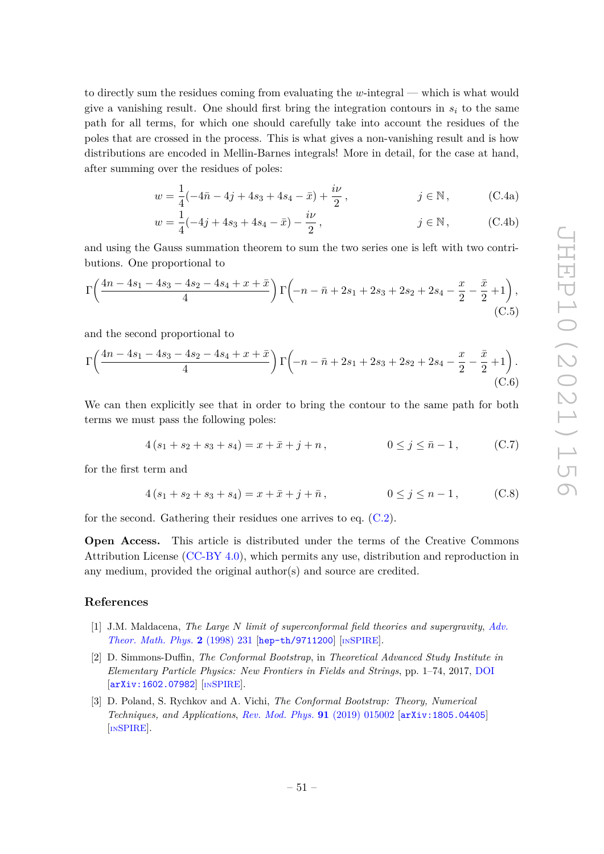to directly sum the residues coming from evaluating the *w*-integral — which is what would give a vanishing result. One should first bring the integration contours in  $s_i$  to the same path for all terms, for which one should carefully take into account the residues of the poles that are crossed in the process. This is what gives a non-vanishing result and is how distributions are encoded in Mellin-Barnes integrals! More in detail, for the case at hand, after summing over the residues of poles:

$$
w = \frac{1}{4}(-4\bar{n} - 4j + 4s_3 + 4s_4 - \bar{x}) + \frac{i\nu}{2}, \qquad j \in \mathbb{N},
$$
 (C.4a)

$$
w = \frac{1}{4}(-4j + 4s_3 + 4s_4 - \bar{x}) - \frac{i\nu}{2}, \qquad j \in \mathbb{N}, \qquad (C.4b)
$$

and using the Gauss summation theorem to sum the two series one is left with two contributions. One proportional to

$$
\Gamma\left(\frac{4n-4s_1-4s_3-4s_2-4s_4+x+\bar{x}}{4}\right)\Gamma\left(-n-\bar{n}+2s_1+2s_3+2s_2+2s_4-\frac{x}{2}-\frac{\bar{x}}{2}+1\right),\tag{C.5}
$$

and the second proportional to

$$
\Gamma\left(\frac{4n-4s_1-4s_3-4s_2-4s_4+x+\bar{x}}{4}\right)\Gamma\left(-n-\bar{n}+2s_1+2s_3+2s_2+2s_4-\frac{x}{2}-\frac{\bar{x}}{2}+1\right).
$$
\n(C.6)

We can then explicitly see that in order to bring the contour to the same path for both terms we must pass the following poles:

$$
4(s1 + s2 + s3 + s4) = x + \bar{x} + j + n, \qquad 0 \le j \le \bar{n} - 1, \qquad (C.7)
$$

for the first term and

$$
4(s1 + s2 + s3 + s4) = x + \bar{x} + j + \bar{n}, \t\t 0 \le j \le n - 1, \t(C.8)
$$

for the second. Gathering their residues one arrives to eq. [\(C.2\)](#page-51-1).

**Open Access.** This article is distributed under the terms of the Creative Commons Attribution License [\(CC-BY 4.0\)](https://creativecommons.org/licenses/by/4.0/), which permits any use, distribution and reproduction in any medium, provided the original author(s) and source are credited.

## **References**

- <span id="page-52-0"></span>[1] J.M. Maldacena, *The Large N limit of superconformal field theories and supergravity*, *[Adv.](https://doi.org/10.1023/A:1026654312961) [Theor. Math. Phys.](https://doi.org/10.1023/A:1026654312961)* **2** (1998) 231 [[hep-th/9711200](https://arxiv.org/abs/hep-th/9711200)] [IN[SPIRE](https://inspirehep.net/search?p=find+EPRINT%2Bhep-th%2F9711200)].
- <span id="page-52-1"></span>[2] D. Simmons-Duffin, *The Conformal Bootstrap*, in *Theoretical Advanced Study Institute in Elementary Particle Physics: New Frontiers in Fields and Strings*, pp. 1–74, 2017, [DOI](https://doi.org/10.1142/9789813149441_0001) [[arXiv:1602.07982](https://arxiv.org/abs/1602.07982)] [IN[SPIRE](https://inspirehep.net/search?p=find+EPRINT%2BarXiv%3A1602.07982)].
- <span id="page-52-2"></span>[3] D. Poland, S. Rychkov and A. Vichi, *The Conformal Bootstrap: Theory, Numerical Techniques, and Applications*, *[Rev. Mod. Phys.](https://doi.org/10.1103/RevModPhys.91.015002)* **91** (2019) 015002 [[arXiv:1805.04405](https://arxiv.org/abs/1805.04405)] [IN[SPIRE](https://inspirehep.net/search?p=find+EPRINT%2BarXiv%3A1805.04405)].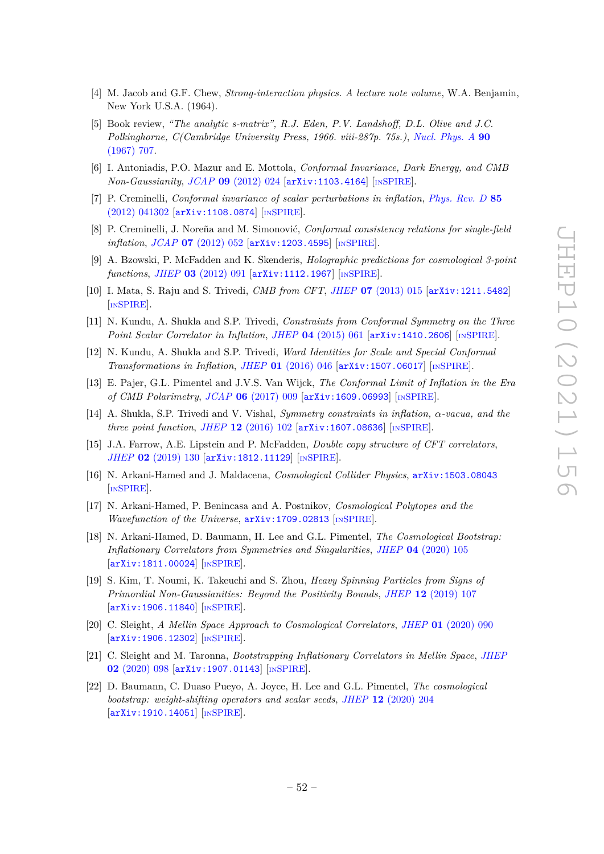- <span id="page-53-0"></span>[4] M. Jacob and G.F. Chew, *Strong-interaction physics. A lecture note volume*, W.A. Benjamin, New York U.S.A. (1964).
- <span id="page-53-1"></span>[5] Book review, *"The analytic s-matrix", R.J. Eden, P.V. Landshoff, D.L. Olive and J.C. Polkinghorne, C(Cambridge University Press, 1966. viii-287p. 75s.)*, *[Nucl. Phys. A](https://doi.org/https://doi.org/10.1016/0375-9474(67)90085-1)* **90** [\(1967\) 707.](https://doi.org/https://doi.org/10.1016/0375-9474(67)90085-1)
- <span id="page-53-2"></span>[6] I. Antoniadis, P.O. Mazur and E. Mottola, *Conformal Invariance, Dark Energy, and CMB Non-Gaussianity*, *JCAP* **09** [\(2012\) 024](https://doi.org/10.1088/1475-7516/2012/09/024) [[arXiv:1103.4164](https://arxiv.org/abs/1103.4164)] [IN[SPIRE](https://inspirehep.net/search?p=find+EPRINT%2BarXiv%3A1103.4164)].
- [7] P. Creminelli, *Conformal invariance of scalar perturbations in inflation*, *[Phys. Rev. D](https://doi.org/10.1103/PhysRevD.85.041302)* **85** [\(2012\) 041302](https://doi.org/10.1103/PhysRevD.85.041302) [[arXiv:1108.0874](https://arxiv.org/abs/1108.0874)] [IN[SPIRE](https://inspirehep.net/search?p=find+EPRINT%2BarXiv%3A1108.0874)].
- [8] P. Creminelli, J. Noreña and M. Simonović, *Conformal consistency relations for single-field inflation*, *JCAP* **07** [\(2012\) 052](https://doi.org/10.1088/1475-7516/2012/07/052) [[arXiv:1203.4595](https://arxiv.org/abs/1203.4595)] [IN[SPIRE](https://inspirehep.net/search?p=find+EPRINT%2BarXiv%3A1203.4595)].
- <span id="page-53-8"></span>[9] A. Bzowski, P. McFadden and K. Skenderis, *Holographic predictions for cosmological 3-point functions*, *JHEP* **03** [\(2012\) 091](https://doi.org/10.1007/JHEP03(2012)091) [[arXiv:1112.1967](https://arxiv.org/abs/1112.1967)] [IN[SPIRE](https://inspirehep.net/search?p=find+EPRINT%2BarXiv%3A1112.1967)].
- <span id="page-53-9"></span>[10] I. Mata, S. Raju and S. Trivedi, *CMB from CFT*, *JHEP* **07** [\(2013\) 015](https://doi.org/10.1007/JHEP07(2013)015) [[arXiv:1211.5482](https://arxiv.org/abs/1211.5482)] [IN[SPIRE](https://inspirehep.net/search?p=find+EPRINT%2BarXiv%3A1211.5482)].
- [11] N. Kundu, A. Shukla and S.P. Trivedi, *Constraints from Conformal Symmetry on the Three Point Scalar Correlator in Inflation, JHEP* **04** [\(2015\) 061](https://doi.org/10.1007/JHEP04(2015)061) [[arXiv:1410.2606](https://arxiv.org/abs/1410.2606)] [IN[SPIRE](https://inspirehep.net/search?p=find+EPRINT%2BarXiv%3A1410.2606)].
- [12] N. Kundu, A. Shukla and S.P. Trivedi, *Ward Identities for Scale and Special Conformal Transformations in Inflation*, *JHEP* **01** [\(2016\) 046](https://doi.org/10.1007/JHEP01(2016)046) [[arXiv:1507.06017](https://arxiv.org/abs/1507.06017)] [IN[SPIRE](https://inspirehep.net/search?p=find+EPRINT%2BarXiv%3A1507.06017)].
- [13] E. Pajer, G.L. Pimentel and J.V.S. Van Wijck, *The Conformal Limit of Inflation in the Era of CMB Polarimetry*, *JCAP* **06** [\(2017\) 009](https://doi.org/10.1088/1475-7516/2017/06/009) [[arXiv:1609.06993](https://arxiv.org/abs/1609.06993)] [IN[SPIRE](https://inspirehep.net/search?p=find+EPRINT%2BarXiv%3A1609.06993)].
- [14] A. Shukla, S.P. Trivedi and V. Vishal, *Symmetry constraints in inflation, α-vacua, and the three point function, JHEP* 12 [\(2016\) 102](https://doi.org/10.1007/JHEP12(2016)102) [[arXiv:1607.08636](https://arxiv.org/abs/1607.08636)] [IN[SPIRE](https://inspirehep.net/search?p=find+EPRINT%2BarXiv%3A1607.08636)].
- <span id="page-53-3"></span>[15] J.A. Farrow, A.E. Lipstein and P. McFadden, *Double copy structure of CFT correlators*, *JHEP* **02** [\(2019\) 130](https://doi.org/10.1007/JHEP02(2019)130) [[arXiv:1812.11129](https://arxiv.org/abs/1812.11129)] [IN[SPIRE](https://inspirehep.net/search?p=find+EPRINT%2BarXiv%3A1812.11129)].
- <span id="page-53-4"></span>[16] N. Arkani-Hamed and J. Maldacena, *Cosmological Collider Physics*, [arXiv:1503.08043](https://arxiv.org/abs/1503.08043) [IN[SPIRE](https://inspirehep.net/search?p=find+EPRINT%2BarXiv%3A1503.08043)].
- [17] N. Arkani-Hamed, P. Benincasa and A. Postnikov, *Cosmological Polytopes and the Wavefunction of the Universe*, [arXiv:1709.02813](https://arxiv.org/abs/1709.02813) [IN[SPIRE](https://inspirehep.net/search?p=find+EPRINT%2BarXiv%3A1709.02813)].
- <span id="page-53-7"></span>[18] N. Arkani-Hamed, D. Baumann, H. Lee and G.L. Pimentel, *The Cosmological Bootstrap: Inflationary Correlators from Symmetries and Singularities*, *JHEP* **04** [\(2020\) 105](https://doi.org/10.1007/JHEP04(2020)105) [[arXiv:1811.00024](https://arxiv.org/abs/1811.00024)] [IN[SPIRE](https://inspirehep.net/search?p=find+EPRINT%2BarXiv%3A1811.00024)].
- [19] S. Kim, T. Noumi, K. Takeuchi and S. Zhou, *Heavy Spinning Particles from Signs of Primordial Non-Gaussianities: Beyond the Positivity Bounds*, *JHEP* **12** [\(2019\) 107](https://doi.org/10.1007/JHEP12(2019)107) [[arXiv:1906.11840](https://arxiv.org/abs/1906.11840)] [IN[SPIRE](https://inspirehep.net/search?p=find+EPRINT%2BarXiv%3A1906.11840)].
- <span id="page-53-5"></span>[20] C. Sleight, *A Mellin Space Approach to Cosmological Correlators*, *JHEP* **01** [\(2020\) 090](https://doi.org/10.1007/JHEP01(2020)090) [[arXiv:1906.12302](https://arxiv.org/abs/1906.12302)] [IN[SPIRE](https://inspirehep.net/search?p=find+EPRINT%2BarXiv%3A1906.12302)].
- <span id="page-53-6"></span>[21] C. Sleight and M. Taronna, *Bootstrapping Inflationary Correlators in Mellin Space*, *[JHEP](https://doi.org/10.1007/JHEP02(2020)098)* **02** [\(2020\) 098](https://doi.org/10.1007/JHEP02(2020)098) [[arXiv:1907.01143](https://arxiv.org/abs/1907.01143)] [IN[SPIRE](https://inspirehep.net/search?p=find+EPRINT%2BarXiv%3A1907.01143)].
- <span id="page-53-10"></span>[22] D. Baumann, C. Duaso Pueyo, A. Joyce, H. Lee and G.L. Pimentel, *The cosmological bootstrap: weight-shifting operators and scalar seeds*, *JHEP* **12** [\(2020\) 204](https://doi.org/10.1007/JHEP12(2020)204) [[arXiv:1910.14051](https://arxiv.org/abs/1910.14051)] [IN[SPIRE](https://inspirehep.net/search?p=find+EPRINT%2BarXiv%3A1910.14051)].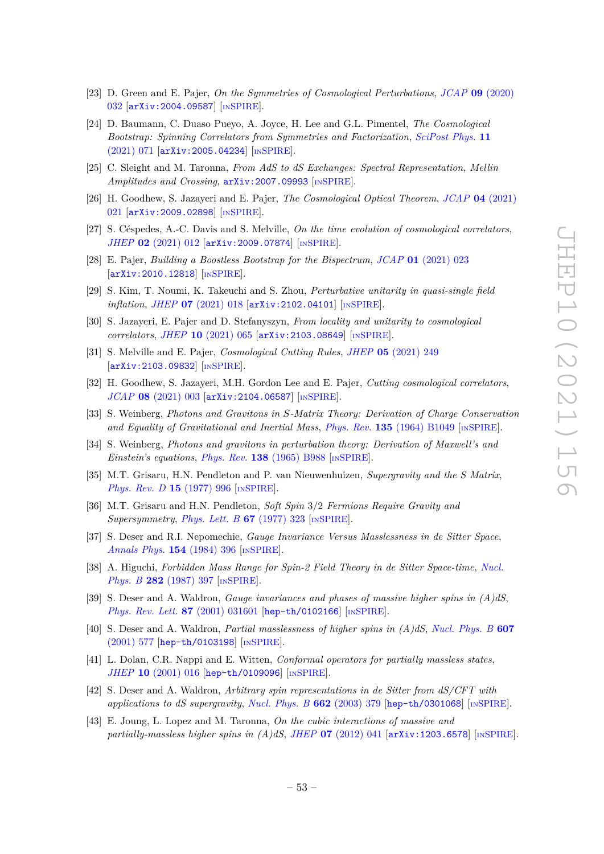- [23] D. Green and E. Pajer, *On the Symmetries of Cosmological Perturbations*, *JCAP* **09** [\(2020\)](https://doi.org/10.1088/1475-7516/2020/09/032) [032](https://doi.org/10.1088/1475-7516/2020/09/032) [[arXiv:2004.09587](https://arxiv.org/abs/2004.09587)] [IN[SPIRE](https://inspirehep.net/search?p=find+EPRINT%2BarXiv%3A2004.09587)].
- <span id="page-54-5"></span>[24] D. Baumann, C. Duaso Pueyo, A. Joyce, H. Lee and G.L. Pimentel, *The Cosmological Bootstrap: Spinning Correlators from Symmetries and Factorization*, *[SciPost Phys.](https://doi.org/10.21468/SciPostPhys.11.3.071)* **11** [\(2021\) 071](https://doi.org/10.21468/SciPostPhys.11.3.071) [[arXiv:2005.04234](https://arxiv.org/abs/2005.04234)] [IN[SPIRE](https://inspirehep.net/search?p=find+EPRINT%2BarXiv%3A2005.04234)].
- <span id="page-54-10"></span>[25] C. Sleight and M. Taronna, *From AdS to dS Exchanges: Spectral Representation, Mellin Amplitudes and Crossing*, [arXiv:2007.09993](https://arxiv.org/abs/2007.09993) [IN[SPIRE](https://inspirehep.net/search?p=find+EPRINT%2BarXiv%3A2007.09993)].
- <span id="page-54-12"></span>[26] H. Goodhew, S. Jazayeri and E. Pajer, *The Cosmological Optical Theorem*, *JCAP* **04** [\(2021\)](https://doi.org/10.1088/1475-7516/2021/04/021) [021](https://doi.org/10.1088/1475-7516/2021/04/021) [[arXiv:2009.02898](https://arxiv.org/abs/2009.02898)] [IN[SPIRE](https://inspirehep.net/search?p=find+EPRINT%2BarXiv%3A2009.02898)].
- [27] S. Céspedes, A.-C. Davis and S. Melville, *On the time evolution of cosmological correlators*, *JHEP* **02** [\(2021\) 012](https://doi.org/10.1007/JHEP02(2021)012) [[arXiv:2009.07874](https://arxiv.org/abs/2009.07874)] [IN[SPIRE](https://inspirehep.net/search?p=find+EPRINT%2BarXiv%3A2009.07874)].
- [28] E. Pajer, *Building a Boostless Bootstrap for the Bispectrum*, *JCAP* **01** [\(2021\) 023](https://doi.org/10.1088/1475-7516/2021/01/023) [[arXiv:2010.12818](https://arxiv.org/abs/2010.12818)] [IN[SPIRE](https://inspirehep.net/search?p=find+EPRINT%2BarXiv%3A2010.12818)].
- [29] S. Kim, T. Noumi, K. Takeuchi and S. Zhou, *Perturbative unitarity in quasi-single field inflation*, *JHEP* **07** [\(2021\) 018](https://doi.org/10.1007/JHEP07(2021)018) [[arXiv:2102.04101](https://arxiv.org/abs/2102.04101)] [IN[SPIRE](https://inspirehep.net/search?p=find+EPRINT%2BarXiv%3A2102.04101)].
- [30] S. Jazayeri, E. Pajer and D. Stefanyszyn, *From locality and unitarity to cosmological correlators*, *JHEP* **10** [\(2021\) 065](https://doi.org/10.1007/JHEP10(2021)065) [[arXiv:2103.08649](https://arxiv.org/abs/2103.08649)] [IN[SPIRE](https://inspirehep.net/search?p=find+EPRINT%2BarXiv%3A2103.08649)].
- <span id="page-54-11"></span>[31] S. Melville and E. Pajer, *Cosmological Cutting Rules*, *JHEP* **05** [\(2021\) 249](https://doi.org/10.1007/JHEP05(2021)249) [[arXiv:2103.09832](https://arxiv.org/abs/2103.09832)] [IN[SPIRE](https://inspirehep.net/search?p=find+EPRINT%2BarXiv%3A2103.09832)].
- <span id="page-54-0"></span>[32] H. Goodhew, S. Jazayeri, M.H. Gordon Lee and E. Pajer, *Cutting cosmological correlators*, *JCAP* **08** [\(2021\) 003](https://doi.org/10.1088/1475-7516/2021/08/003) [[arXiv:2104.06587](https://arxiv.org/abs/2104.06587)] [IN[SPIRE](https://inspirehep.net/search?p=find+EPRINT%2BarXiv%3A2104.06587)].
- <span id="page-54-1"></span>[33] S. Weinberg, *Photons and Gravitons in S-Matrix Theory: Derivation of Charge Conservation and Equality of Gravitational and Inertial Mass*, *Phys. Rev.* **135** [\(1964\) B1049](https://doi.org/10.1103/PhysRev.135.B1049) [IN[SPIRE](https://inspirehep.net/search?p=find+J%20%22Phys.Rev.%2C135%2CB1049%22)].
- <span id="page-54-2"></span>[34] S. Weinberg, *Photons and gravitons in perturbation theory: Derivation of Maxwell's and Einstein's equations*, *Phys. Rev.* **138** [\(1965\) B988](https://doi.org/10.1103/PhysRev.138.B988) [IN[SPIRE](https://inspirehep.net/search?p=find+J%20%22Phys.Rev.%2C138%2CB988%22)].
- <span id="page-54-3"></span>[35] M.T. Grisaru, H.N. Pendleton and P. van Nieuwenhuizen, *Supergravity and the S Matrix*, *[Phys. Rev. D](https://doi.org/10.1103/PhysRevD.15.996)* **15** (1977) 996 [IN[SPIRE](https://inspirehep.net/search?p=find+J%20%22Phys.Rev.%2CD15%2C996%22)].
- <span id="page-54-4"></span>[36] M.T. Grisaru and H.N. Pendleton, *Soft Spin* 3*/*2 *Fermions Require Gravity and Supersymmetry*, *[Phys. Lett. B](https://doi.org/10.1016/0370-2693(77)90383-5)* **67** (1977) 323 [IN[SPIRE](https://inspirehep.net/search?p=find+J%20%22Phys.Lett.%2CB67%2C323%22)].
- <span id="page-54-6"></span>[37] S. Deser and R.I. Nepomechie, *Gauge Invariance Versus Masslessness in de Sitter Space*, *[Annals Phys.](https://doi.org/10.1016/0003-4916(84)90156-8)* **154** (1984) 396 [IN[SPIRE](https://inspirehep.net/search?p=find+J%20%22Annals%20Phys.%2C154%2C396%22)].
- [38] A. Higuchi, *Forbidden Mass Range for Spin-2 Field Theory in de Sitter Space-time*, *[Nucl.](https://doi.org/10.1016/0550-3213(87)90691-2) Phys. B* **282** [\(1987\) 397](https://doi.org/10.1016/0550-3213(87)90691-2) [IN[SPIRE](https://inspirehep.net/search?p=find+J%20%22Nucl.Phys.%2CB282%2C397%22)].
- [39] S. Deser and A. Waldron, *Gauge invariances and phases of massive higher spins in (A)dS*, *[Phys. Rev. Lett.](https://doi.org/10.1103/PhysRevLett.87.031601)* **87** (2001) 031601 [[hep-th/0102166](https://arxiv.org/abs/hep-th/0102166)] [IN[SPIRE](https://inspirehep.net/search?p=find+EPRINT%2Bhep-th%2F0102166)].
- [40] S. Deser and A. Waldron, *Partial masslessness of higher spins in (A)dS*, *[Nucl. Phys. B](https://doi.org/10.1016/S0550-3213(01)00212-7)* **607** [\(2001\) 577](https://doi.org/10.1016/S0550-3213(01)00212-7) [[hep-th/0103198](https://arxiv.org/abs/hep-th/0103198)] [IN[SPIRE](https://inspirehep.net/search?p=find+EPRINT%2Bhep-th%2F0103198)].
- <span id="page-54-9"></span>[41] L. Dolan, C.R. Nappi and E. Witten, *Conformal operators for partially massless states*, *JHEP* **10** [\(2001\) 016](https://doi.org/10.1088/1126-6708/2001/10/016) [[hep-th/0109096](https://arxiv.org/abs/hep-th/0109096)] [IN[SPIRE](https://inspirehep.net/search?p=find+EPRINT%2Bhep-th%2F0109096)].
- <span id="page-54-7"></span>[42] S. Deser and A. Waldron, *Arbitrary spin representations in de Sitter from dS/CFT with applications to dS supergravity*, *[Nucl. Phys. B](https://doi.org/10.1016/S0550-3213(03)00348-1)* **662** (2003) 379 [[hep-th/0301068](https://arxiv.org/abs/hep-th/0301068)] [IN[SPIRE](https://inspirehep.net/search?p=find+EPRINT%2Bhep-th%2F0301068)].
- <span id="page-54-8"></span>[43] E. Joung, L. Lopez and M. Taronna, *On the cubic interactions of massive and partially-massless higher spins in*  $(A)dS$ *, <i>JHEP* **07** [\(2012\) 041](https://doi.org/10.1007/JHEP07(2012)041) [[arXiv:1203.6578](https://arxiv.org/abs/1203.6578)] [IN[SPIRE](https://inspirehep.net/search?p=find+EPRINT%2BarXiv%3A1203.6578)].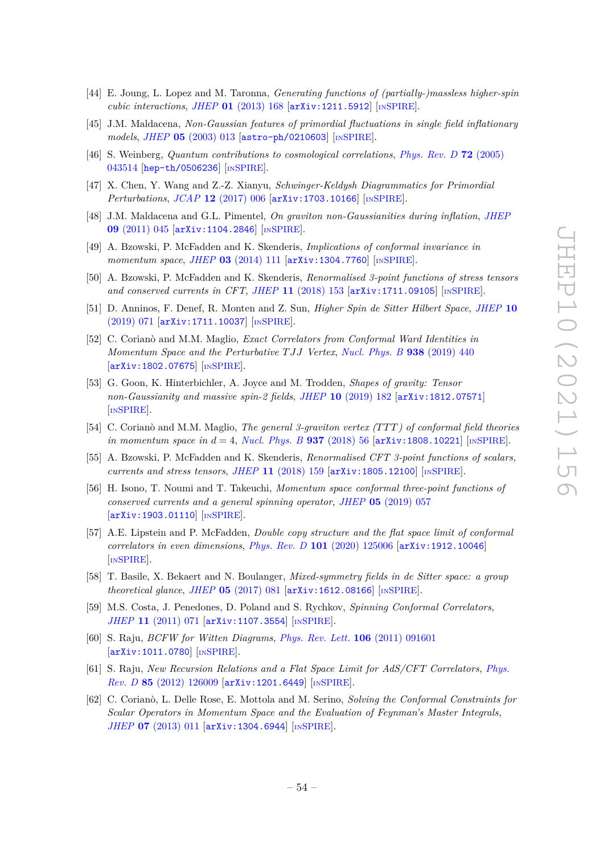- <span id="page-55-0"></span>[44] E. Joung, L. Lopez and M. Taronna, *Generating functions of (partially-)massless higher-spin cubic interactions*, *JHEP* **01** [\(2013\) 168](https://doi.org/10.1007/JHEP01(2013)168) [[arXiv:1211.5912](https://arxiv.org/abs/1211.5912)] [IN[SPIRE](https://inspirehep.net/search?p=find+EPRINT%2BarXiv%3A1211.5912)].
- <span id="page-55-1"></span>[45] J.M. Maldacena, *Non-Gaussian features of primordial fluctuations in single field inflationary models*, *JHEP* **05** [\(2003\) 013](https://doi.org/10.1088/1126-6708/2003/05/013) [[astro-ph/0210603](https://arxiv.org/abs/astro-ph/0210603)] [IN[SPIRE](https://inspirehep.net/search?p=find+EPRINT%2Bastro-ph%2F0210603)].
- <span id="page-55-2"></span>[46] S. Weinberg, *Quantum contributions to cosmological correlations*, *[Phys. Rev. D](https://doi.org/10.1103/PhysRevD.72.043514)* **72** (2005) [043514](https://doi.org/10.1103/PhysRevD.72.043514) [[hep-th/0506236](https://arxiv.org/abs/hep-th/0506236)] [IN[SPIRE](https://inspirehep.net/search?p=find+EPRINT%2Bhep-th%2F0506236)].
- <span id="page-55-3"></span>[47] X. Chen, Y. Wang and Z.-Z. Xianyu, *Schwinger-Keldysh Diagrammatics for Primordial Perturbations*, *JCAP* **12** [\(2017\) 006](https://doi.org/10.1088/1475-7516/2017/12/006) [[arXiv:1703.10166](https://arxiv.org/abs/1703.10166)] [IN[SPIRE](https://inspirehep.net/search?p=find+EPRINT%2BarXiv%3A1703.10166)].
- <span id="page-55-4"></span>[48] J.M. Maldacena and G.L. Pimentel, *On graviton non-Gaussianities during inflation*, *[JHEP](https://doi.org/10.1007/JHEP09(2011)045)* **09** [\(2011\) 045](https://doi.org/10.1007/JHEP09(2011)045) [[arXiv:1104.2846](https://arxiv.org/abs/1104.2846)] [IN[SPIRE](https://inspirehep.net/search?p=find+EPRINT%2BarXiv%3A1104.2846)].
- <span id="page-55-9"></span>[49] A. Bzowski, P. McFadden and K. Skenderis, *Implications of conformal invariance in momentum space*, *JHEP* **03** [\(2014\) 111](https://doi.org/10.1007/JHEP03(2014)111) [[arXiv:1304.7760](https://arxiv.org/abs/1304.7760)] [IN[SPIRE](https://inspirehep.net/search?p=find+EPRINT%2BarXiv%3A1304.7760)].
- [50] A. Bzowski, P. McFadden and K. Skenderis, *Renormalised 3-point functions of stress tensors and conserved currents in CFT*, *JHEP* **11** [\(2018\) 153](https://doi.org/10.1007/JHEP11(2018)153) [[arXiv:1711.09105](https://arxiv.org/abs/1711.09105)] [IN[SPIRE](https://inspirehep.net/search?p=find+EPRINT%2BarXiv%3A1711.09105)].
- [51] D. Anninos, F. Denef, R. Monten and Z. Sun, *Higher Spin de Sitter Hilbert Space*, *[JHEP](https://doi.org/10.1007/JHEP10(2019)071)* **10** [\(2019\) 071](https://doi.org/10.1007/JHEP10(2019)071) [[arXiv:1711.10037](https://arxiv.org/abs/1711.10037)] [IN[SPIRE](https://inspirehep.net/search?p=find+EPRINT%2BarXiv%3A1711.10037)].
- [52] C. Corianò and M.M. Maglio, *Exact Correlators from Conformal Ward Identities in Momentum Space and the Perturbative T JJ Vertex*, *[Nucl. Phys. B](https://doi.org/10.1016/j.nuclphysb.2018.11.016)* **938** (2019) 440 [[arXiv:1802.07675](https://arxiv.org/abs/1802.07675)] [IN[SPIRE](https://inspirehep.net/search?p=find+EPRINT%2BarXiv%3A1802.07675)].
- [53] G. Goon, K. Hinterbichler, A. Joyce and M. Trodden, *Shapes of gravity: Tensor non-Gaussianity and massive spin-2 fields*, *JHEP* **10** [\(2019\) 182](https://doi.org/10.1007/JHEP10(2019)182) [[arXiv:1812.07571](https://arxiv.org/abs/1812.07571)] [IN[SPIRE](https://inspirehep.net/search?p=find+EPRINT%2BarXiv%3A1812.07571)].
- [54] C. Corianò and M.M. Maglio, *The general 3-graviton vertex (T T T) of conformal field theories in momentum space in d* = 4, *[Nucl. Phys. B](https://doi.org/10.1016/j.nuclphysb.2018.10.007)* **937** (2018) 56 [[arXiv:1808.10221](https://arxiv.org/abs/1808.10221)] [IN[SPIRE](https://inspirehep.net/search?p=find+EPRINT%2BarXiv%3A1808.10221)].
- [55] A. Bzowski, P. McFadden and K. Skenderis, *Renormalised CFT 3-point functions of scalars, currents and stress tensors*, *JHEP* **11** [\(2018\) 159](https://doi.org/10.1007/JHEP11(2018)159) [[arXiv:1805.12100](https://arxiv.org/abs/1805.12100)] [IN[SPIRE](https://inspirehep.net/search?p=find+EPRINT%2BarXiv%3A1805.12100)].
- <span id="page-55-12"></span>[56] H. Isono, T. Noumi and T. Takeuchi, *Momentum space conformal three-point functions of conserved currents and a general spinning operator*, *JHEP* **05** [\(2019\) 057](https://doi.org/10.1007/JHEP05(2019)057) [[arXiv:1903.01110](https://arxiv.org/abs/1903.01110)] [IN[SPIRE](https://inspirehep.net/search?p=find+EPRINT%2BarXiv%3A1903.01110)].
- <span id="page-55-5"></span>[57] A.E. Lipstein and P. McFadden, *Double copy structure and the flat space limit of conformal correlators in even dimensions*, *Phys. Rev. D* **101** [\(2020\) 125006](https://doi.org/10.1103/PhysRevD.101.125006) [[arXiv:1912.10046](https://arxiv.org/abs/1912.10046)] [IN[SPIRE](https://inspirehep.net/search?p=find+EPRINT%2BarXiv%3A1912.10046)].
- <span id="page-55-8"></span>[58] T. Basile, X. Bekaert and N. Boulanger, *Mixed-symmetry fields in de Sitter space: a group theoretical glance*, *JHEP* **05** [\(2017\) 081](https://doi.org/10.1007/JHEP05(2017)081) [[arXiv:1612.08166](https://arxiv.org/abs/1612.08166)] [IN[SPIRE](https://inspirehep.net/search?p=find+EPRINT%2BarXiv%3A1612.08166)].
- <span id="page-55-6"></span>[59] M.S. Costa, J. Penedones, D. Poland and S. Rychkov, *Spinning Conformal Correlators*, *JHEP* **11** [\(2011\) 071](https://doi.org/10.1007/JHEP11(2011)071) [[arXiv:1107.3554](https://arxiv.org/abs/1107.3554)] [IN[SPIRE](https://inspirehep.net/search?p=find+EPRINT%2BarXiv%3A1107.3554)].
- <span id="page-55-7"></span>[60] S. Raju, *BCFW for Witten Diagrams*, *[Phys. Rev. Lett.](https://doi.org/10.1103/PhysRevLett.106.091601)* **106** (2011) 091601 [[arXiv:1011.0780](https://arxiv.org/abs/1011.0780)] [IN[SPIRE](https://inspirehep.net/search?p=find+EPRINT%2BarXiv%3A1011.0780)].
- <span id="page-55-10"></span>[61] S. Raju, *New Recursion Relations and a Flat Space Limit for AdS/CFT Correlators*, *[Phys.](https://doi.org/10.1103/PhysRevD.85.126009) Rev. D* **85** [\(2012\) 126009](https://doi.org/10.1103/PhysRevD.85.126009) [[arXiv:1201.6449](https://arxiv.org/abs/1201.6449)] [IN[SPIRE](https://inspirehep.net/search?p=find+EPRINT%2BarXiv%3A1201.6449)].
- <span id="page-55-11"></span>[62] C. Corianò, L. Delle Rose, E. Mottola and M. Serino, *Solving the Conformal Constraints for Scalar Operators in Momentum Space and the Evaluation of Feynman's Master Integrals*, *JHEP* **07** [\(2013\) 011](https://doi.org/10.1007/JHEP07(2013)011) [[arXiv:1304.6944](https://arxiv.org/abs/1304.6944)] [IN[SPIRE](https://inspirehep.net/search?p=find+EPRINT%2BarXiv%3A1304.6944)].